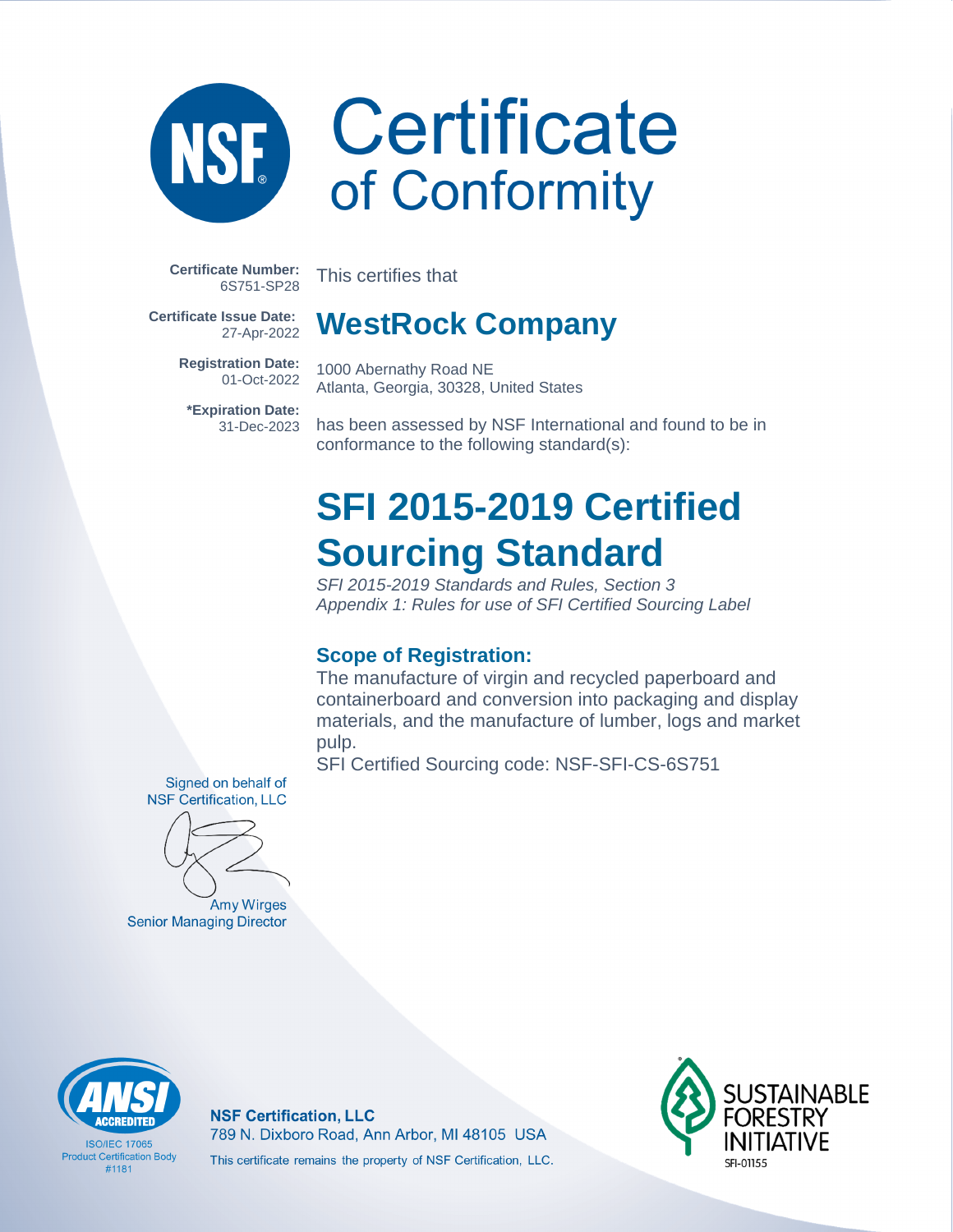**Certificate Number:** 6S751-SP28

**NSE** 

This certifies that

**Certificate Issue Date:** 27-Apr-2022

> **Registration Date:** 01-Oct-2022

**\*Expiration Date:** 31-Dec-2023

### **WestRock Company**

1000 Abernathy Road NE Atlanta, Georgia, 30328, United States

has been assessed by NSF International and found to be in conformance to the following standard(s):

### **SFI 2015-2019 Certified Sourcing Standard**

SFI 2015-2019 Standards and Rules, Section 3 Appendix 1: Rules for use of SFI Certified Sourcing Label

### **Scope of Registration:**

The manufacture of virgin and recycled paperboard and containerboard and conversion into packaging and display materials, and the manufacture of lumber, logs and market pulp.

SFI Certified Sourcing code: NSF-SFI-CS-6S751

Signed on behalf of **NSF Certification, LLC** 

Amy Wirges **Senior Managing Director** 



**ISO/IFC 17065 Product Certification Body** #1181

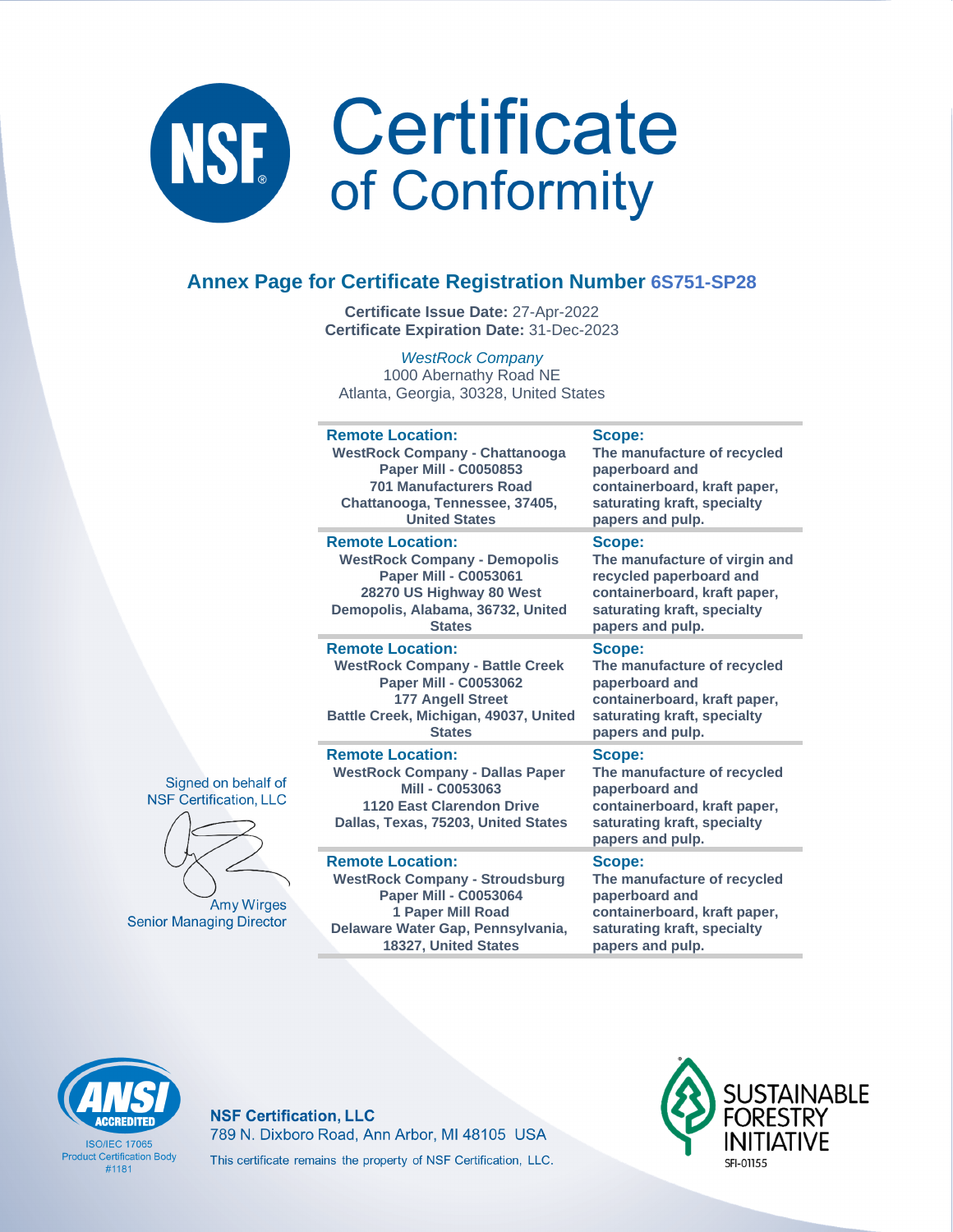

### **Annex Page for Certificate Registration Number 6S751-SP28**

**Certificate Issue Date:** 27-Apr-2022 **Certificate Expiration Date:** 31-Dec-2023

WestRock Company 1000 Abernathy Road NE Atlanta, Georgia, 30328, United States

| <b>Remote Location:</b><br><b>WestRock Company - Chattanooga</b><br><b>Paper Mill - C0050853</b><br><b>701 Manufacturers Road</b><br>Chattanooga, Tennessee, 37405,<br><b>United States</b> | Scope:<br>The manufacture of recycled<br>paperboard and<br>containerboard, kraft paper,<br>saturating kraft, specialty<br>papers and pulp.            |
|---------------------------------------------------------------------------------------------------------------------------------------------------------------------------------------------|-------------------------------------------------------------------------------------------------------------------------------------------------------|
| <b>Remote Location:</b><br><b>WestRock Company - Demopolis</b><br><b>Paper Mill - C0053061</b><br>28270 US Highway 80 West<br>Demopolis, Alabama, 36732, United<br><b>States</b>            | Scope:<br>The manufacture of virgin and<br>recycled paperboard and<br>containerboard, kraft paper,<br>saturating kraft, specialty<br>papers and pulp. |
| <b>Remote Location:</b><br><b>WestRock Company - Battle Creek</b><br><b>Paper Mill - C0053062</b><br><b>177 Angell Street</b><br>Battle Creek, Michigan, 49037, United<br><b>States</b>     | Scope:<br>The manufacture of recycled<br>paperboard and<br>containerboard, kraft paper,<br>saturating kraft, specialty<br>papers and pulp.            |
| <b>Remote Location:</b><br><b>WestRock Company - Dallas Paper</b><br>Mill - C0053063<br><b>1120 East Clarendon Drive</b><br>Dallas, Texas, 75203, United States                             | Scope:<br>The manufacture of recycled<br>paperboard and<br>containerboard, kraft paper,<br>saturating kraft, specialty<br>papers and pulp.            |
| <b>Remote Location:</b><br><b>WestRock Company - Stroudsburg</b><br><b>Paper Mill - C0053064</b><br>1 Paper Mill Road<br>Delaware Water Gap, Pennsylvania.                                  | <b>Scope:</b><br>The manufacture of recycled<br>paperboard and<br>containerboard, kraft paper,<br>saturating kraft, specialty                         |





**Senior Managing Director** 



**ISO/IFC 17065 Product Certification Body** #1181

**NSF Certification, LLC** 789 N. Dixboro Road, Ann Arbor, MI 48105 USA This certificate remains the property of NSF Certification, LLC.

**18327, United States**



**papers and pulp.**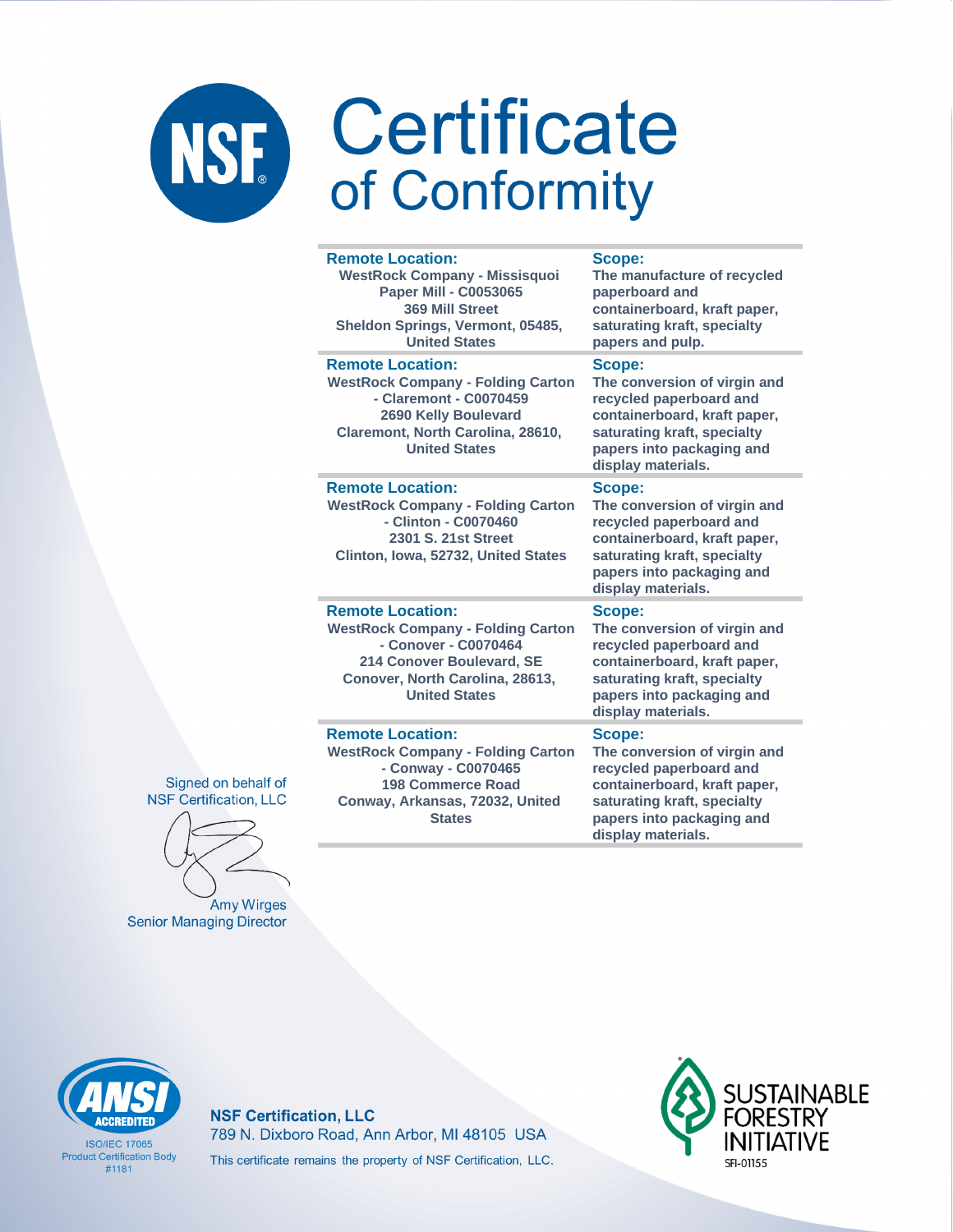| <b>Remote Location:</b><br><b>WestRock Company - Missisquoi</b><br><b>Paper Mill - C0053065</b><br>369 Mill Street<br>Sheldon Springs, Vermont, 05485,<br><b>United States</b>      | Scope:<br>The manufacture of recycled<br>paperboard and<br>containerboard, kraft paper,<br>saturating kraft, specialty<br>papers and pulp.                                          |
|-------------------------------------------------------------------------------------------------------------------------------------------------------------------------------------|-------------------------------------------------------------------------------------------------------------------------------------------------------------------------------------|
| <b>Remote Location:</b><br><b>WestRock Company - Folding Carton</b><br>- Claremont - C0070459<br>2690 Kelly Boulevard<br>Claremont, North Carolina, 28610,<br><b>United States</b>  | Scope:<br>The conversion of virgin and<br>recycled paperboard and<br>containerboard, kraft paper,<br>saturating kraft, specialty<br>papers into packaging and<br>display materials. |
| <b>Remote Location:</b><br><b>WestRock Company - Folding Carton</b><br>- Clinton - C0070460<br>2301 S. 21st Street<br>Clinton, Iowa, 52732, United States                           | Scope:<br>The conversion of virgin and<br>recycled paperboard and<br>containerboard, kraft paper,<br>saturating kraft, specialty<br>papers into packaging and<br>display materials. |
| <b>Remote Location:</b><br><b>WestRock Company - Folding Carton</b><br>- Conover - C0070464<br>214 Conover Boulevard, SE<br>Conover, North Carolina, 28613,<br><b>United States</b> | Scope:<br>The conversion of virgin and<br>recycled paperboard and<br>containerboard, kraft paper,<br>saturating kraft, specialty<br>papers into packaging and<br>display materials. |
| <b>Remote Location:</b><br><b>WestRock Company - Folding Carton</b><br>- Conway - C0070465<br><b>198 Commerce Road</b><br>Conway, Arkansas, 72032, United<br><b>States</b>          | Scope:<br>The conversion of virgin and<br>recycled paperboard and<br>containerboard, kraft paper,<br>saturating kraft, specialty<br>papers into packaging and                       |

display materials.

Signed on behalf of **NSF Certification, LLC** 

Amy Wirges **Senior Managing Director** 



**ISO/IFC 17065 Product Certification Body**  $#1181$ 

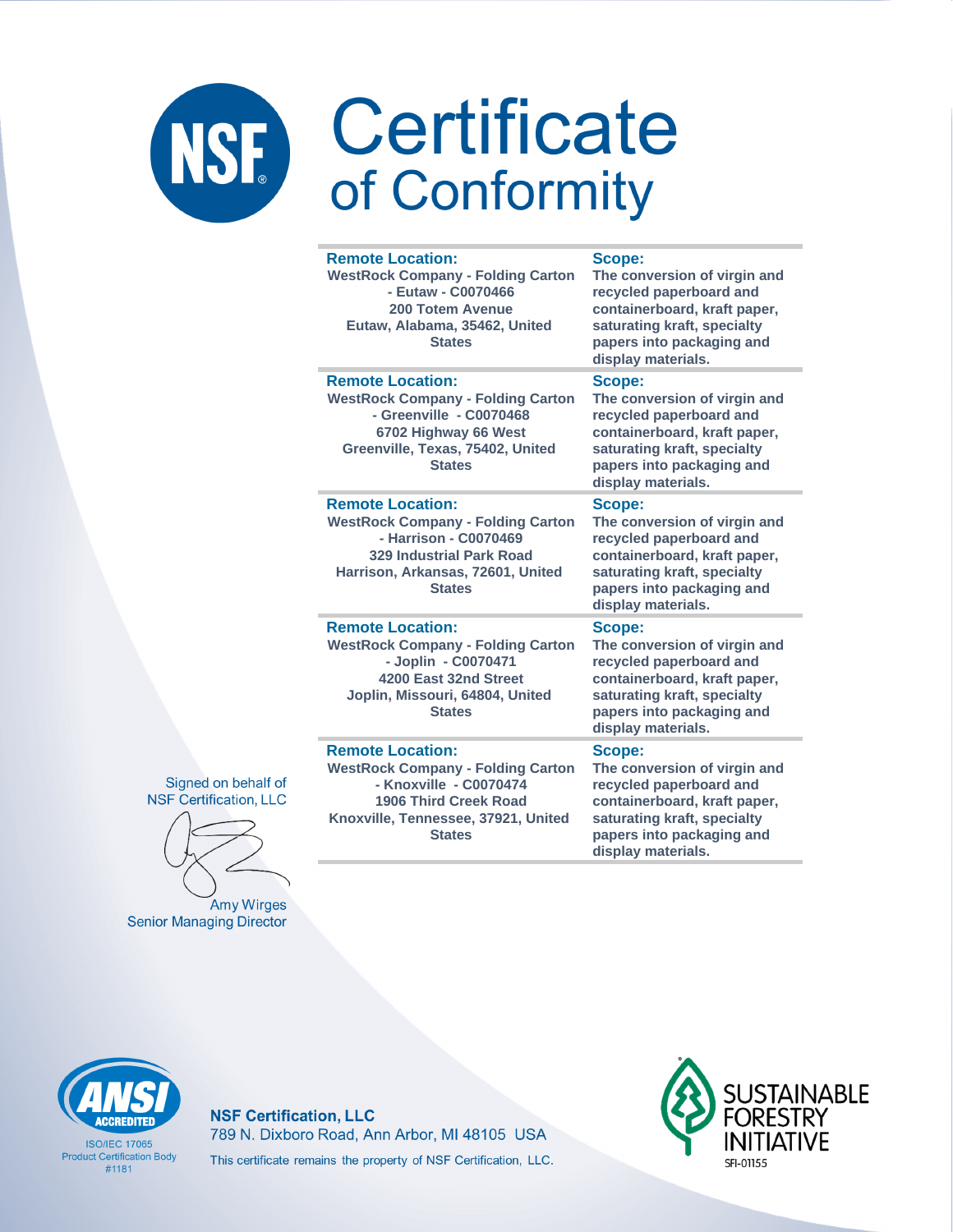|  | <b>Remote Location:</b><br><b>WestRock Company - Folding Carton</b><br>- Eutaw - C0070466<br><b>200 Totem Avenue</b><br>Eutaw, Alabama, 35462, United<br><b>States</b>                | Scope:<br>The conversion of virgin and<br>recycled paperboard and<br>containerboard, kraft paper,<br>saturating kraft, specialty<br>papers into packaging and<br>display materials. |
|--|---------------------------------------------------------------------------------------------------------------------------------------------------------------------------------------|-------------------------------------------------------------------------------------------------------------------------------------------------------------------------------------|
|  | <b>Remote Location:</b><br><b>WestRock Company - Folding Carton</b><br>- Greenville - C0070468<br>6702 Highway 66 West<br>Greenville, Texas, 75402, United<br><b>States</b>           | Scope:<br>The conversion of virgin and<br>recycled paperboard and<br>containerboard, kraft paper,<br>saturating kraft, specialty<br>papers into packaging and<br>display materials. |
|  | <b>Remote Location:</b><br><b>WestRock Company - Folding Carton</b><br>- Harrison - C0070469<br><b>329 Industrial Park Road</b><br>Harrison, Arkansas, 72601, United<br><b>States</b> | Scope:<br>The conversion of virgin and<br>recycled paperboard and<br>containerboard, kraft paper,<br>saturating kraft, specialty<br>papers into packaging and<br>display materials. |
|  | <b>Remote Location:</b><br><b>WestRock Company - Folding Carton</b><br>- Joplin - C0070471<br>4200 East 32nd Street<br>Joplin, Missouri, 64804, United<br><b>States</b>               | Scope:<br>The conversion of virgin and<br>recycled paperboard and<br>containerboard, kraft paper,<br>saturating kraft, specialty<br>papers into packaging and<br>display materials. |
|  | <b>Remote Location:</b><br><b>WestRock Company - Folding Carton</b><br>- Knoxville - C0070474<br><b>1906 Third Creek Road</b><br>Knoxville, Tennessee, 37921, United<br><b>States</b> | Scope:<br>The conversion of virgin and<br>recycled paperboard and<br>containerboard, kraft paper,<br>saturating kraft, specialty<br>papers into packaging and                       |

display materials.





**Amy Wirges Senior Managing Director** 

# **CCREDITED**

**ISO/IFC 17065 Product Certification Body**  $#1181$ 

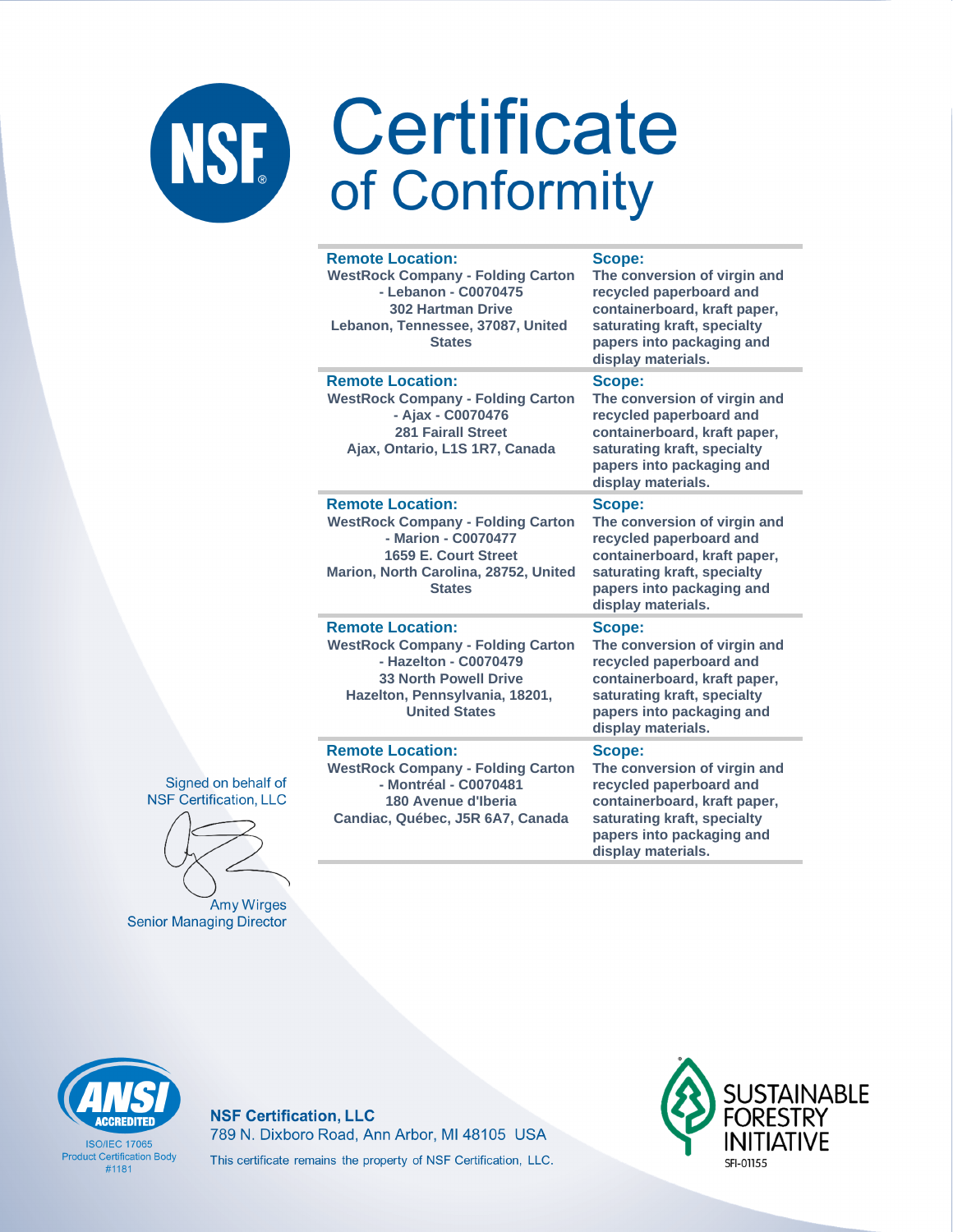|  | <b>Remote Location:</b><br><b>WestRock Company - Folding Carton</b><br>- Lebanon - C0070475<br><b>302 Hartman Drive</b><br>Lebanon, Tennessee, 37087, United<br><b>States</b>          | Scope:<br>The conversion of virgin and<br>recycled paperboard and<br>containerboard, kraft paper,<br>saturating kraft, specialty<br>papers into packaging and<br>display materials. |
|--|----------------------------------------------------------------------------------------------------------------------------------------------------------------------------------------|-------------------------------------------------------------------------------------------------------------------------------------------------------------------------------------|
|  | <b>Remote Location:</b><br><b>WestRock Company - Folding Carton</b><br>- Ajax - C0070476<br><b>281 Fairall Street</b><br>Ajax, Ontario, L1S 1R7, Canada                                | Scope:<br>The conversion of virgin and<br>recycled paperboard and<br>containerboard, kraft paper,<br>saturating kraft, specialty<br>papers into packaging and<br>display materials. |
|  | <b>Remote Location:</b><br><b>WestRock Company - Folding Carton</b><br>- Marion - C0070477<br>1659 E. Court Street<br>Marion, North Carolina, 28752, United<br><b>States</b>           | Scope:<br>The conversion of virgin and<br>recycled paperboard and<br>containerboard, kraft paper,<br>saturating kraft, specialty<br>papers into packaging and<br>display materials. |
|  | <b>Remote Location:</b><br><b>WestRock Company - Folding Carton</b><br>- Hazelton - C0070479<br><b>33 North Powell Drive</b><br>Hazelton, Pennsylvania, 18201,<br><b>United States</b> | Scope:<br>The conversion of virgin and<br>recycled paperboard and<br>containerboard, kraft paper,<br>saturating kraft, specialty<br>papers into packaging and<br>display materials. |
|  | <b>Remote Location:</b><br><b>WestRock Company - Folding Carton</b><br>- Montréal - C0070481<br>180 Avenue d'Iberia<br>Candiac, Québec, J5R 6A7, Canada                                | Scope:<br>The conversion of virgin and<br>recycled paperboard and<br>containerboard, kraft paper,<br>saturating kraft, specialty<br>papers into packaging and<br>display materials. |

Signed on behalf of **NSF Certification, LLC** 

Amy Wirges **Senior Managing Director** 



**ISO/IEC 17065 Product Certification Body**  $#1181$ 

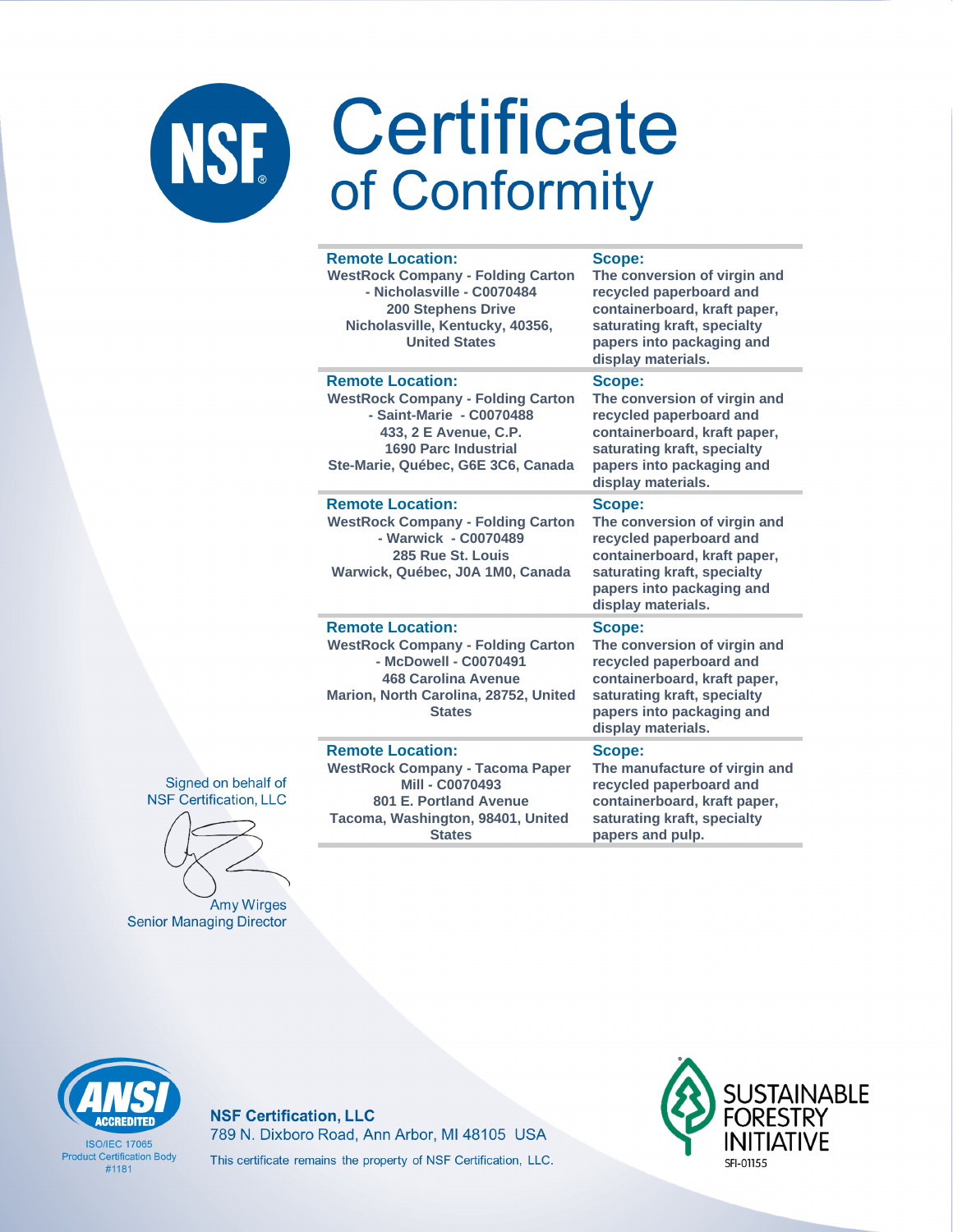|    | <b>Remote Location:</b><br><b>WestRock Company - Folding Carton</b><br>- Nicholasville - C0070484<br><b>200 Stephens Drive</b><br>Nicholasville, Kentucky, 40356,<br><b>United States</b>     | Scope:<br>The conversion of virgin and<br>recycled paperboard and<br>containerboard, kraft paper,<br>saturating kraft, specialty<br>papers into packaging and<br>display materials. |
|----|-----------------------------------------------------------------------------------------------------------------------------------------------------------------------------------------------|-------------------------------------------------------------------------------------------------------------------------------------------------------------------------------------|
|    | <b>Remote Location:</b><br><b>WestRock Company - Folding Carton</b><br>- Saint-Marie - C0070488<br>433, 2 E Avenue, C.P.<br><b>1690 Parc Industrial</b><br>Ste-Marie, Québec, G6E 3C6, Canada | Scope:<br>The conversion of virgin and<br>recycled paperboard and<br>containerboard, kraft paper,<br>saturating kraft, specialty<br>papers into packaging and<br>display materials. |
|    | <b>Remote Location:</b><br><b>WestRock Company - Folding Carton</b><br>- Warwick - C0070489<br>285 Rue St. Louis<br>Warwick, Québec, J0A 1M0, Canada                                          | Scope:<br>The conversion of virgin and<br>recycled paperboard and<br>containerboard, kraft paper,<br>saturating kraft, specialty<br>papers into packaging and<br>display materials. |
|    | <b>Remote Location:</b><br><b>WestRock Company - Folding Carton</b><br>- McDowell - C0070491<br><b>468 Carolina Avenue</b><br>Marion, North Carolina, 28752, United<br><b>States</b>          | Scope:<br>The conversion of virgin and<br>recycled paperboard and<br>containerboard, kraft paper,<br>saturating kraft, specialty<br>papers into packaging and<br>display materials. |
| if | <b>Remote Location:</b><br><b>WestRock Company - Tacoma Paper</b><br>Mill - C0070493<br>801 E. Portland Avenue<br>Tacoma, Washington, 98401, United<br><b>States</b>                          | Scope:<br>The manufacture of virgin and<br>recycled paperboard and<br>containerboard, kraft paper,<br>saturating kraft, specialty<br>papers and pulp.                               |



Amy Wirges **Senior Managing Director** 



**ISO/IEC 17065 Product Certification Body**  $#1181$ 

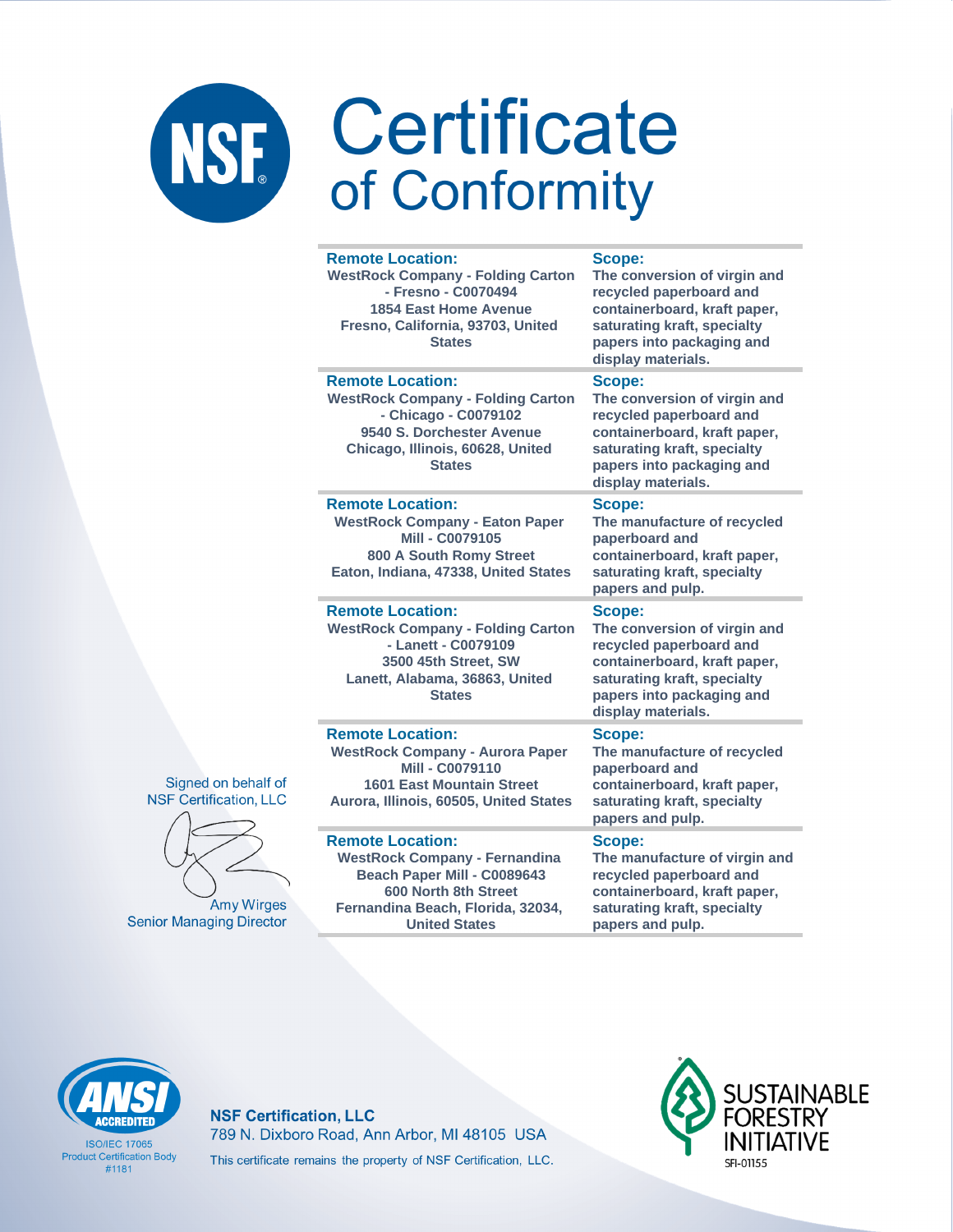| <b>Remote Location:</b><br><b>WestRock Company - Folding Carton</b><br>- Fresno - C0070494<br><b>1854 East Home Avenue</b><br>Fresno, California, 93703, United<br><b>States</b> | Scope:<br>The conversion of virgin and<br>recycled paperboard and<br>containerboard, kraft paper,<br>saturating kraft, specialty<br>papers into packaging and<br>display materials. |
|----------------------------------------------------------------------------------------------------------------------------------------------------------------------------------|-------------------------------------------------------------------------------------------------------------------------------------------------------------------------------------|
| <b>Remote Location:</b><br><b>WestRock Company - Folding Carton</b><br>- Chicago - C0079102<br>9540 S. Dorchester Avenue<br>Chicago, Illinois, 60628, United<br><b>States</b>    | Scope:<br>The conversion of virgin and<br>recycled paperboard and<br>containerboard, kraft paper,<br>saturating kraft, specialty<br>papers into packaging and<br>display materials. |
| <b>Remote Location:</b><br><b>WestRock Company - Eaton Paper</b><br><b>Mill - C0079105</b><br>800 A South Romy Street<br>Eaton, Indiana, 47338, United States                    | Scope:<br>The manufacture of recycled<br>paperboard and<br>containerboard, kraft paper,<br>saturating kraft, specialty<br>papers and pulp.                                          |
| <b>Remote Location:</b><br><b>WestRock Company - Folding Carton</b><br>- Lanett - C0079109<br>3500 45th Street, SW<br>Lanett, Alabama, 36863, United<br><b>States</b>            | Scope:<br>The conversion of virgin and<br>recycled paperboard and<br>containerboard, kraft paper,<br>saturating kraft, specialty<br>papers into packaging and<br>display materials. |
| <b>Remote Location:</b><br><b>WestRock Company - Aurora Paper</b><br>Mill - C0079110<br><b>1601 East Mountain Street</b><br>Aurora, Illinois, 60505, United States               | Scope:<br>The manufacture of recycled<br>paperboard and<br>containerboard, kraft paper,<br>saturating kraft, specialty<br>papers and pulp.                                          |
| <b>Remote Location:</b><br><b>WestRock Company - Fernandina</b><br>Beach Paper Mill - C0089643<br>600 North 8th Street<br>Fernandina Beach, Florida, 32034,                      | Scope:<br>The manufacture of virgin and<br>recycled paperboard and<br>containerboard, kraft paper,<br>saturating kraft, specialty                                                   |

Signed on behalf of **NSF Certification, LLC** 



Amy Wirges **Senior Managing Director** 



**ISO/IFC 17065 Product Certification Body**  $#1181$ 

**NSF Certification, LLC** 789 N. Dixboro Road, Ann Arbor, MI 48105 USA This certificate remains the property of NSF Certification, LLC.

**United States** 



papers and pulp.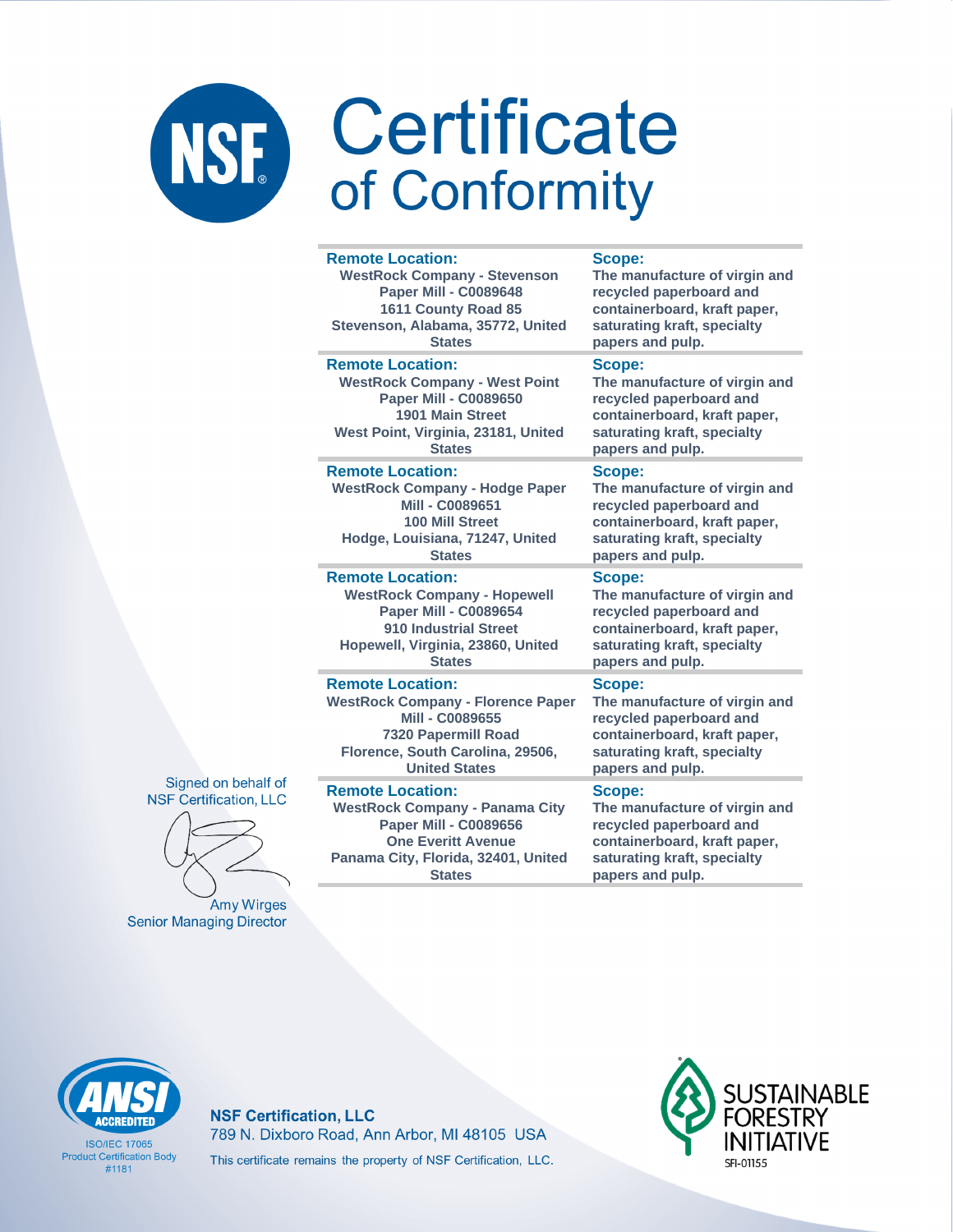| <b>Remote Location:</b>                  | <b>Scope:</b>                 |
|------------------------------------------|-------------------------------|
| <b>WestRock Company - Stevenson</b>      | The manufacture of virgin and |
| <b>Paper Mill - C0089648</b>             | recycled paperboard and       |
| 1611 County Road 85                      | containerboard, kraft paper,  |
| Stevenson, Alabama, 35772, United        | saturating kraft, specialty   |
| <b>States</b>                            | papers and pulp.              |
| <b>Remote Location:</b>                  | Scope:                        |
| <b>WestRock Company - West Point</b>     | The manufacture of virgin and |
| <b>Paper Mill - C0089650</b>             | recycled paperboard and       |
| 1901 Main Street                         | containerboard, kraft paper,  |
| West Point, Virginia, 23181, United      | saturating kraft, specialty   |
| <b>States</b>                            | papers and pulp.              |
| <b>Remote Location:</b>                  | Scope:                        |
| <b>WestRock Company - Hodge Paper</b>    | The manufacture of virgin and |
| Mill - C0089651                          | recycled paperboard and       |
| <b>100 Mill Street</b>                   | containerboard, kraft paper,  |
| Hodge, Louisiana, 71247, United          | saturating kraft, specialty   |
| <b>States</b>                            | papers and pulp.              |
| <b>Remote Location:</b>                  | Scope:                        |
| <b>WestRock Company - Hopewell</b>       | The manufacture of virgin and |
| <b>Paper Mill - C0089654</b>             | recycled paperboard and       |
| 910 Industrial Street                    | containerboard, kraft paper,  |
| Hopewell, Virginia, 23860, United        | saturating kraft, specialty   |
| <b>States</b>                            | papers and pulp.              |
| <b>Remote Location:</b>                  | Scope:                        |
| <b>WestRock Company - Florence Paper</b> | The manufacture of virgin and |
| Mill - C0089655                          | recycled paperboard and       |
| <b>7320 Papermill Road</b>               | containerboard, kraft paper,  |
| Florence, South Carolina, 29506,         | saturating kraft, specialty   |
| <b>United States</b>                     | papers and pulp.              |

Signed on behalf of **NSF Certification, LLC** 

Amy Wirges **Senior Managing Director** 

**ACCREDITED** 

**ISO/IEC 17065 Product Certification Body** 

 $#1181$ 

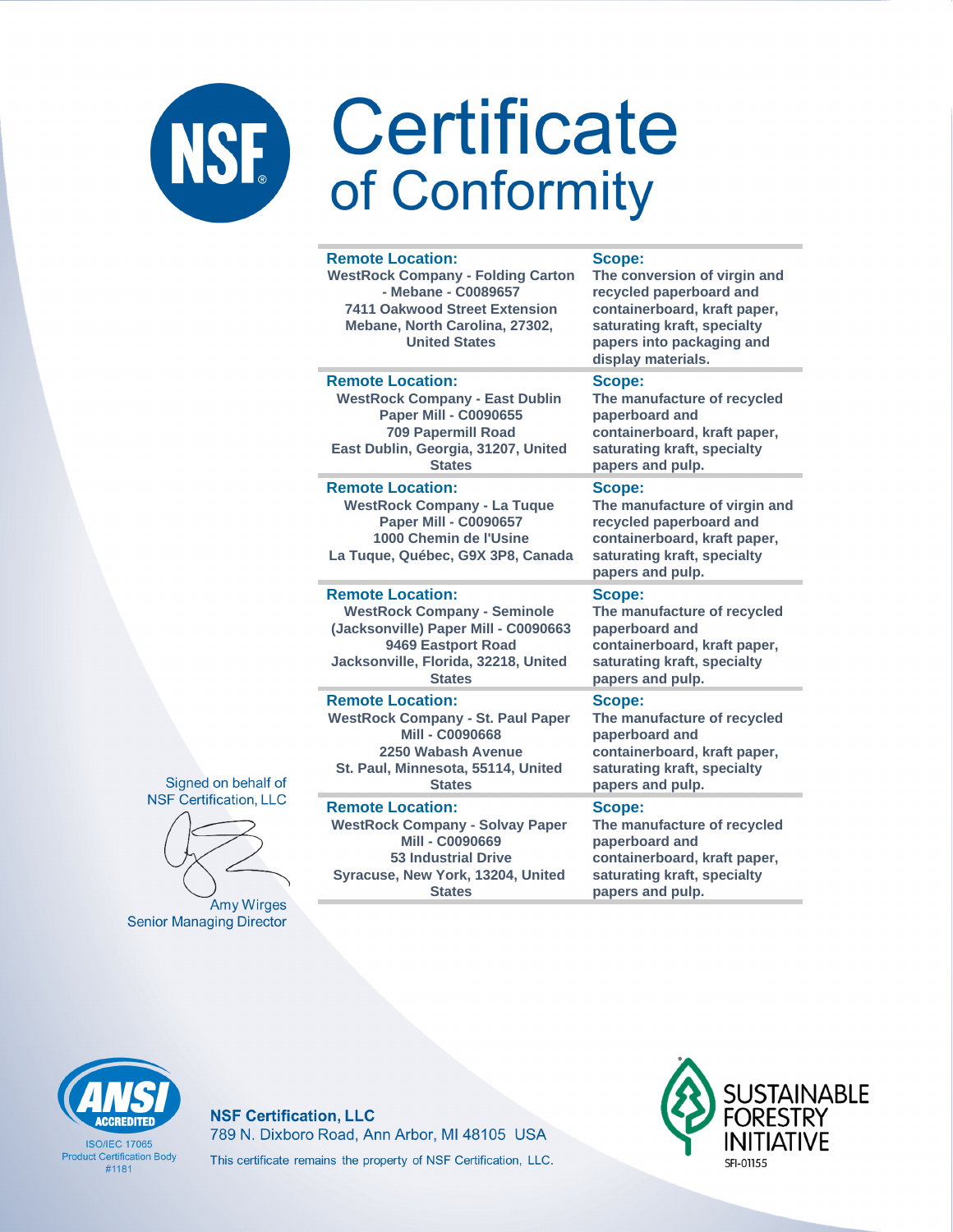|  | <b>Remote Location:</b><br><b>WestRock Company - Folding Carton</b><br>- Mebane - C0089657<br><b>7411 Oakwood Street Extension</b><br>Mebane, North Carolina, 27302,<br><b>United States</b> | Scope:<br>The conversion of virgin and<br>recycled paperboard and<br>containerboard, kraft paper,<br>saturating kraft, specialty<br>papers into packaging and<br>display materials. |
|--|----------------------------------------------------------------------------------------------------------------------------------------------------------------------------------------------|-------------------------------------------------------------------------------------------------------------------------------------------------------------------------------------|
|  | <b>Remote Location:</b><br><b>WestRock Company - East Dublin</b><br><b>Paper Mill - C0090655</b><br><b>709 Papermill Road</b><br>East Dublin, Georgia, 31207, United<br><b>States</b>        | Scope:<br>The manufacture of recycled<br>paperboard and<br>containerboard, kraft paper,<br>saturating kraft, specialty<br>papers and pulp.                                          |
|  | <b>Remote Location:</b><br><b>WestRock Company - La Tuque</b><br><b>Paper Mill - C0090657</b><br>1000 Chemin de l'Usine<br>La Tuque, Québec, G9X 3P8, Canada                                 | Scope:<br>The manufacture of virgin and<br>recycled paperboard and<br>containerboard, kraft paper,<br>saturating kraft, specialty<br>papers and pulp.                               |
|  | <b>Remote Location:</b><br><b>WestRock Company - Seminole</b><br>(Jacksonville) Paper Mill - C0090663<br>9469 Eastport Road<br>Jacksonville, Florida, 32218, United<br><b>States</b>         | Scope:<br>The manufacture of recycled<br>paperboard and<br>containerboard, kraft paper,<br>saturating kraft, specialty<br>papers and pulp.                                          |
|  | <b>Remote Location:</b><br><b>WestRock Company - St. Paul Paper</b><br><b>Mill - C0090668</b><br>2250 Wabash Avenue<br>St. Paul, Minnesota, 55114, United<br><b>States</b>                   | Scope:<br>The manufacture of recycled<br>paperboard and<br>containerboard, kraft paper,<br>saturating kraft, specialty<br>papers and pulp.                                          |
|  | <b>Remote Location:</b><br><b>WestRock Company - Solvay Paper</b><br><b>Mill - C0090669</b>                                                                                                  | Scope:<br>The manufacture of recycled<br>paperboard and                                                                                                                             |

Signed on behalf of **NSF Certification, LLC** 



Amy Wirges **Senior Managing Director** 

**53 Industrial Drive Syracuse, New York, 13204, United**  **paperboard and containerboard, kraft paper, saturating kraft, specialty papers and pulp.**



**ISO/IFC 17065 Product Certification Body** #1181

**NSF Certification, LLC** 789 N. Dixboro Road, Ann Arbor, MI 48105 USA This certificate remains the property of NSF Certification, LLC.

**States**

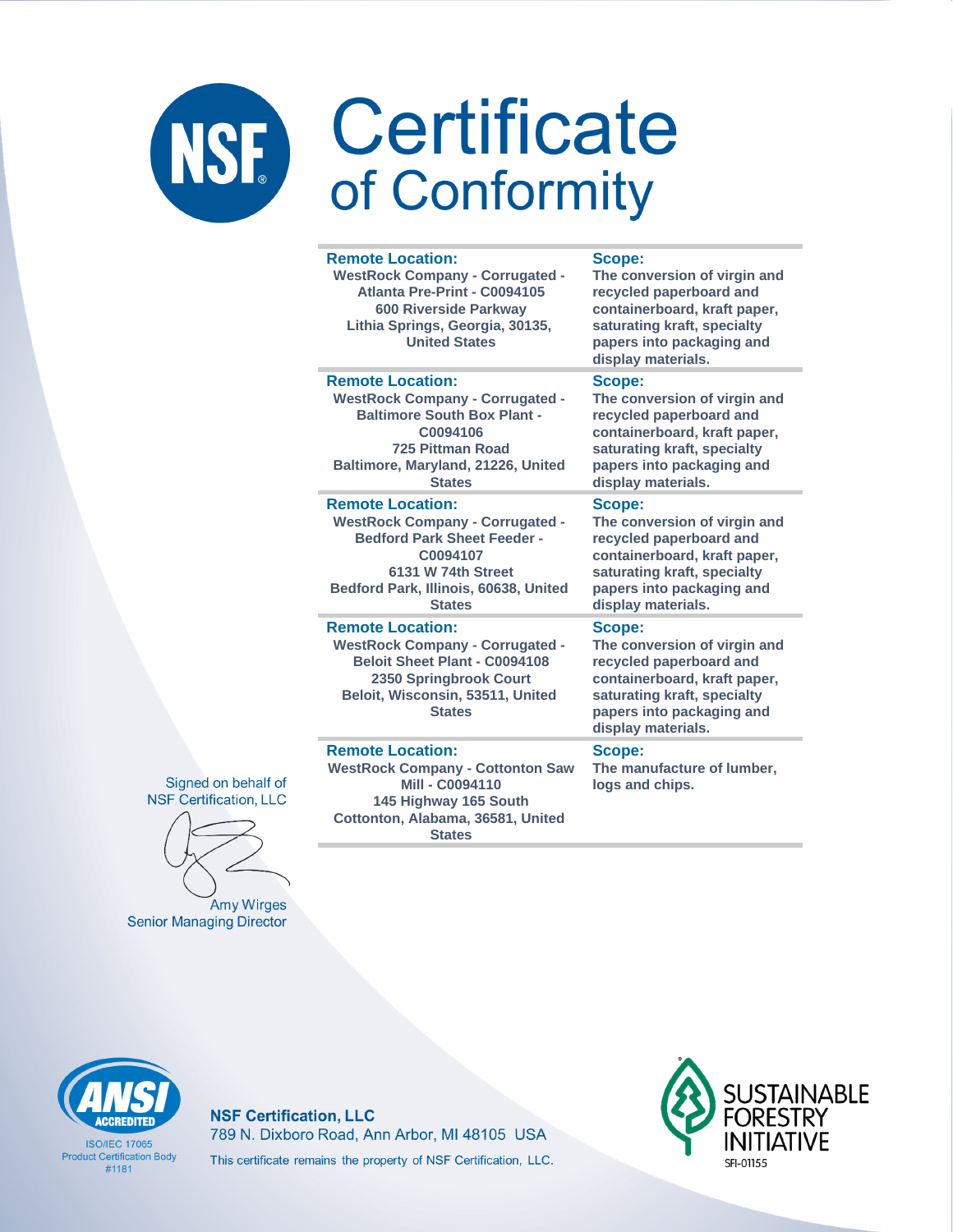| <b>Remote Location:</b><br><b>WestRock Company - Corrugated -</b><br>Atlanta Pre-Print - C0094105<br><b>600 Riverside Parkway</b><br>Lithia Springs, Georgia, 30135,<br><b>United States</b>          | Scope:<br>The conversion of virgin and<br>recycled paperboard and<br>containerboard, kraft paper,<br>saturating kraft, specialty<br>papers into packaging and<br>display materials. |
|-------------------------------------------------------------------------------------------------------------------------------------------------------------------------------------------------------|-------------------------------------------------------------------------------------------------------------------------------------------------------------------------------------|
| <b>Remote Location:</b><br><b>WestRock Company - Corrugated -</b><br><b>Baltimore South Box Plant -</b><br>C0094106<br><b>725 Pittman Road</b><br>Baltimore, Maryland, 21226, United<br><b>States</b> | Scope:<br>The conversion of virgin and<br>recycled paperboard and<br>containerboard, kraft paper,<br>saturating kraft, specialty<br>papers into packaging and<br>display materials. |
| <b>Remote Location:</b><br><b>WestRock Company - Corrugated -</b><br><b>Bedford Park Sheet Feeder -</b><br>C0094107<br>6131 W 74th Street<br>Bedford Park, Illinois, 60638, United<br><b>States</b>   | Scope:<br>The conversion of virgin and<br>recycled paperboard and<br>containerboard, kraft paper,<br>saturating kraft, specialty<br>papers into packaging and<br>display materials. |
| <b>Remote Location:</b><br><b>WestRock Company - Corrugated -</b><br><b>Beloit Sheet Plant - C0094108</b><br>2350 Springbrook Court<br>Beloit, Wisconsin, 53511, United<br><b>States</b>              | Scope:<br>The conversion of virgin and<br>recycled paperboard and<br>containerboard, kraft paper,<br>saturating kraft, specialty<br>papers into packaging and<br>display materials. |
| <b>Remote Location:</b><br><b>WestRock Company - Cottonton Saw</b><br><b>Mill - C0094110</b><br>145 Highway 165 South<br>Cottonton, Alabama, 36581, United                                            | Scope:<br>The manufacture of lumber,<br>logs and chips.                                                                                                                             |

Signed on behalf of **NSF Certification, LLC** 

Amy Wirges **Senior Managing Director** 



**ISO/IFC 17065 Product Certification Body**  $#1181$ 

**NSF Certification, LLC** 789 N. Dixboro Road, Ann Arbor, MI 48105 USA This certificate remains the property of NSF Certification, LLC.

**States** 

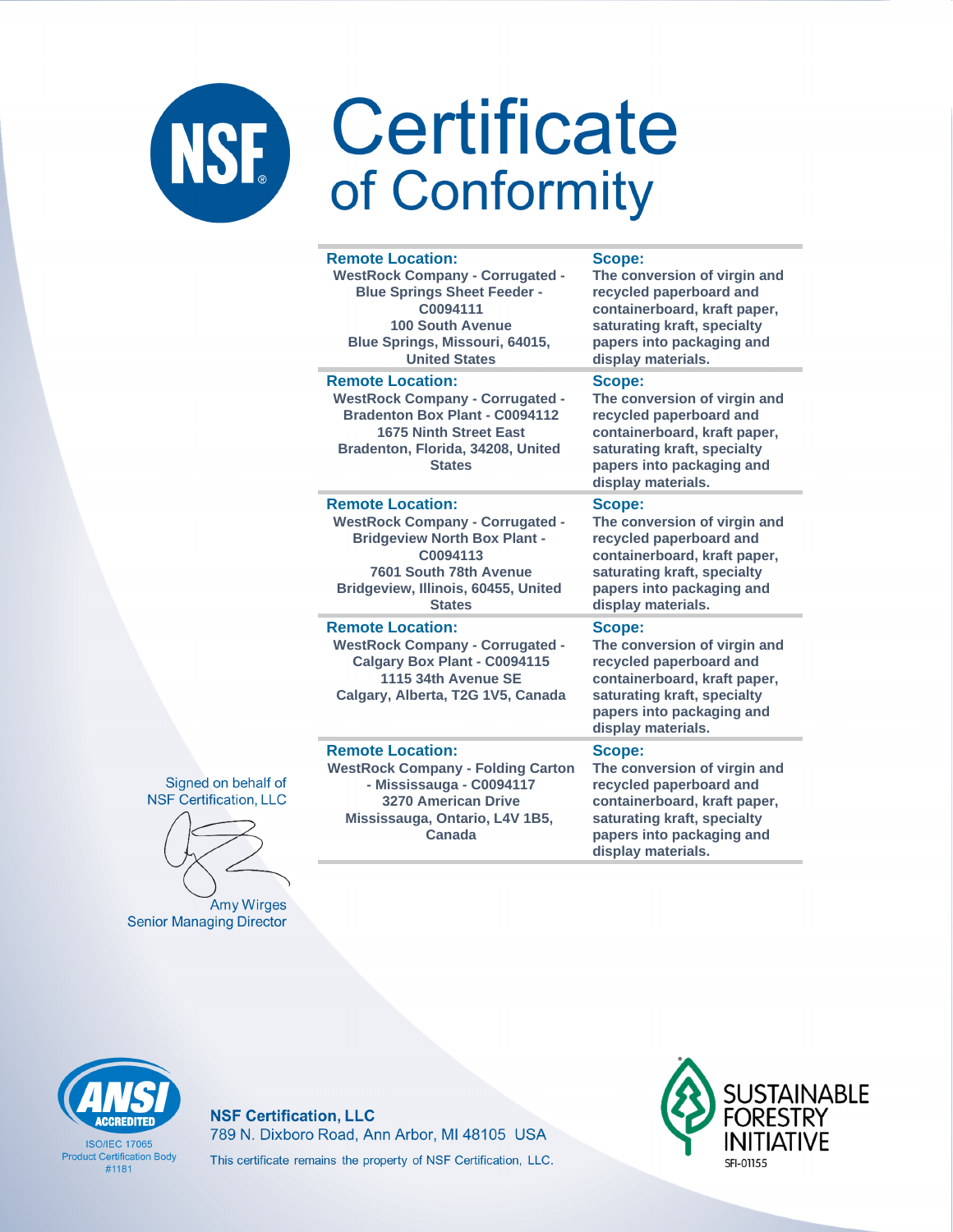| <b>Remote Location:</b>                                                                                                                                                                           | <b>Scope:</b>                                                                                                                                                                       |
|---------------------------------------------------------------------------------------------------------------------------------------------------------------------------------------------------|-------------------------------------------------------------------------------------------------------------------------------------------------------------------------------------|
| <b>WestRock Company - Corrugated -</b>                                                                                                                                                            | The conversion of virgin and                                                                                                                                                        |
| <b>Blue Springs Sheet Feeder -</b>                                                                                                                                                                | recycled paperboard and                                                                                                                                                             |
| C0094111                                                                                                                                                                                          | containerboard, kraft paper,                                                                                                                                                        |
| <b>100 South Avenue</b>                                                                                                                                                                           | saturating kraft, specialty                                                                                                                                                         |
| Blue Springs, Missouri, 64015,                                                                                                                                                                    | papers into packaging and                                                                                                                                                           |
| <b>United States</b>                                                                                                                                                                              | display materials.                                                                                                                                                                  |
| <b>Remote Location:</b><br><b>WestRock Company - Corrugated -</b><br><b>Bradenton Box Plant - C0094112</b><br><b>1675 Ninth Street East</b><br>Bradenton, Florida, 34208, United<br><b>States</b> | Scope:<br>The conversion of virgin and<br>recycled paperboard and<br>containerboard, kraft paper,<br>saturating kraft, specialty<br>papers into packaging and<br>display materials. |
| <b>Remote Location:</b>                                                                                                                                                                           | Scope:                                                                                                                                                                              |
| <b>WestRock Company - Corrugated -</b>                                                                                                                                                            | The conversion of virgin and                                                                                                                                                        |
| <b>Bridgeview North Box Plant -</b>                                                                                                                                                               | recycled paperboard and                                                                                                                                                             |
| C0094113                                                                                                                                                                                          | containerboard, kraft paper,                                                                                                                                                        |
| 7601 South 78th Avenue                                                                                                                                                                            | saturating kraft, specialty                                                                                                                                                         |
| Bridgeview, Illinois, 60455, United                                                                                                                                                               | papers into packaging and                                                                                                                                                           |
| <b>States</b>                                                                                                                                                                                     | display materials.                                                                                                                                                                  |
| <b>Remote Location:</b><br><b>WestRock Company - Corrugated -</b><br>Calgary Box Plant - C0094115<br>1115 34th Avenue SE<br>Calgary, Alberta, T2G 1V5, Canada                                     | Scope:<br>The conversion of virgin and<br>recycled paperboard and<br>containerboard, kraft paper,<br>saturating kraft, specialty<br>papers into packaging and<br>display materials. |
| <b>Remote Location:</b>                                                                                                                                                                           | Scope:                                                                                                                                                                              |
| <b>WestRock Company - Folding Carton</b>                                                                                                                                                          | The conversion of virgin and                                                                                                                                                        |
| - Mississauga - C0094117                                                                                                                                                                          | recycled paperboard and                                                                                                                                                             |
| <b>3270 American Drive</b>                                                                                                                                                                        | containerboard, kraft paper,                                                                                                                                                        |
| Mississauga, Ontario, L4V 1B5,                                                                                                                                                                    | saturating kraft, specialty                                                                                                                                                         |
| Canada                                                                                                                                                                                            | papers into packaging and                                                                                                                                                           |

Signed on behalf of **NSF Certification, LLC** 

Amy Wirges **Senior Managing Director** 

**CCREDITED** 

**ISO/IFC 17065 Product Certification Body** 

 $#1181$ 

**NSF Certification, LLC** 789 N. Dixboro Road, Ann Arbor, MI 48105 USA This certificate remains the property of NSF Certification, LLC.



display materials.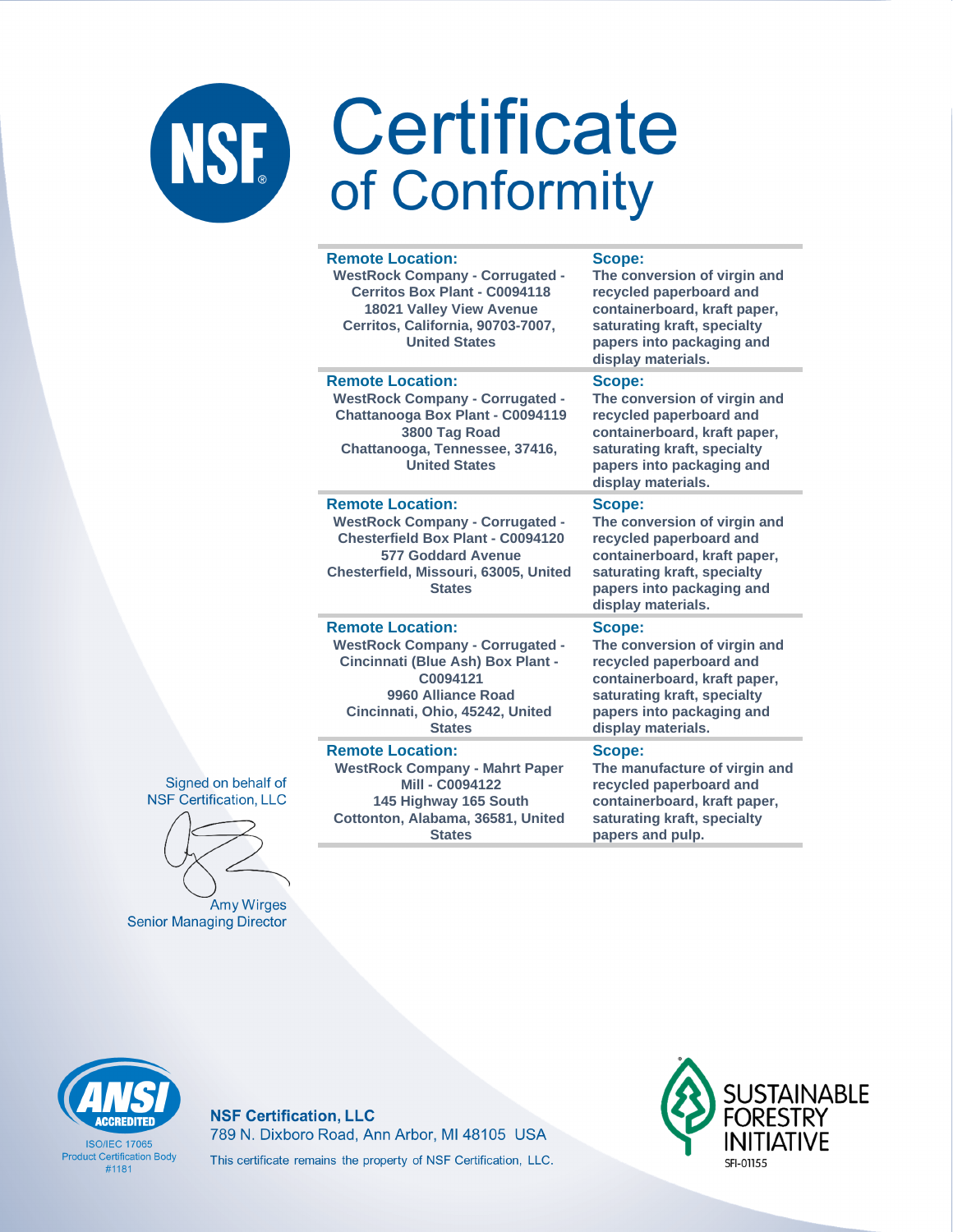| <b>Remote Location:</b><br><b>WestRock Company - Corrugated -</b><br>Cerritos Box Plant - C0094118<br><b>18021 Valley View Avenue</b><br>Cerritos, California, 90703-7007,<br><b>United States</b>   | Scope:<br>The conversion of virgin and<br>recycled paperboard and<br>containerboard, kraft paper,<br>saturating kraft, specialty<br>papers into packaging and<br>display materials. |
|------------------------------------------------------------------------------------------------------------------------------------------------------------------------------------------------------|-------------------------------------------------------------------------------------------------------------------------------------------------------------------------------------|
| <b>Remote Location:</b><br><b>WestRock Company - Corrugated -</b><br>Chattanooga Box Plant - C0094119<br>3800 Tag Road<br>Chattanooga, Tennessee, 37416,<br><b>United States</b>                     | Scope:<br>The conversion of virgin and<br>recycled paperboard and<br>containerboard, kraft paper,<br>saturating kraft, specialty<br>papers into packaging and<br>display materials. |
| <b>Remote Location:</b><br><b>WestRock Company - Corrugated -</b><br><b>Chesterfield Box Plant - C0094120</b><br><b>577 Goddard Avenue</b><br>Chesterfield, Missouri, 63005, United<br><b>States</b> | Scope:<br>The conversion of virgin and<br>recycled paperboard and<br>containerboard, kraft paper,<br>saturating kraft, specialty<br>papers into packaging and<br>display materials. |
| <b>Remote Location:</b><br><b>WestRock Company - Corrugated -</b><br>Cincinnati (Blue Ash) Box Plant -<br>C0094121<br>9960 Alliance Road<br>Cincinnati, Ohio, 45242, United<br><b>States</b>         | Scope:<br>The conversion of virgin and<br>recycled paperboard and<br>containerboard, kraft paper,<br>saturating kraft, specialty<br>papers into packaging and<br>display materials. |
| <b>Remote Location:</b><br><b>WestRock Company - Mahrt Paper</b><br><b>Mill - C0094122</b><br>145 Highway 165 South<br>Cottonton, Alabama, 36581, United<br><b>States</b>                            | Scope:<br>The manufacture of virgin and<br>recycled paperboard and<br>containerboard, kraft paper,<br>saturating kraft, specialty<br>papers and pulp.                               |

Signed on behalf of **NSF Certification, LLC** 

Amy Wirges **Senior Managing Director** 



**ISO/IFC 17065 Product Certification Body**  $#1181$ 

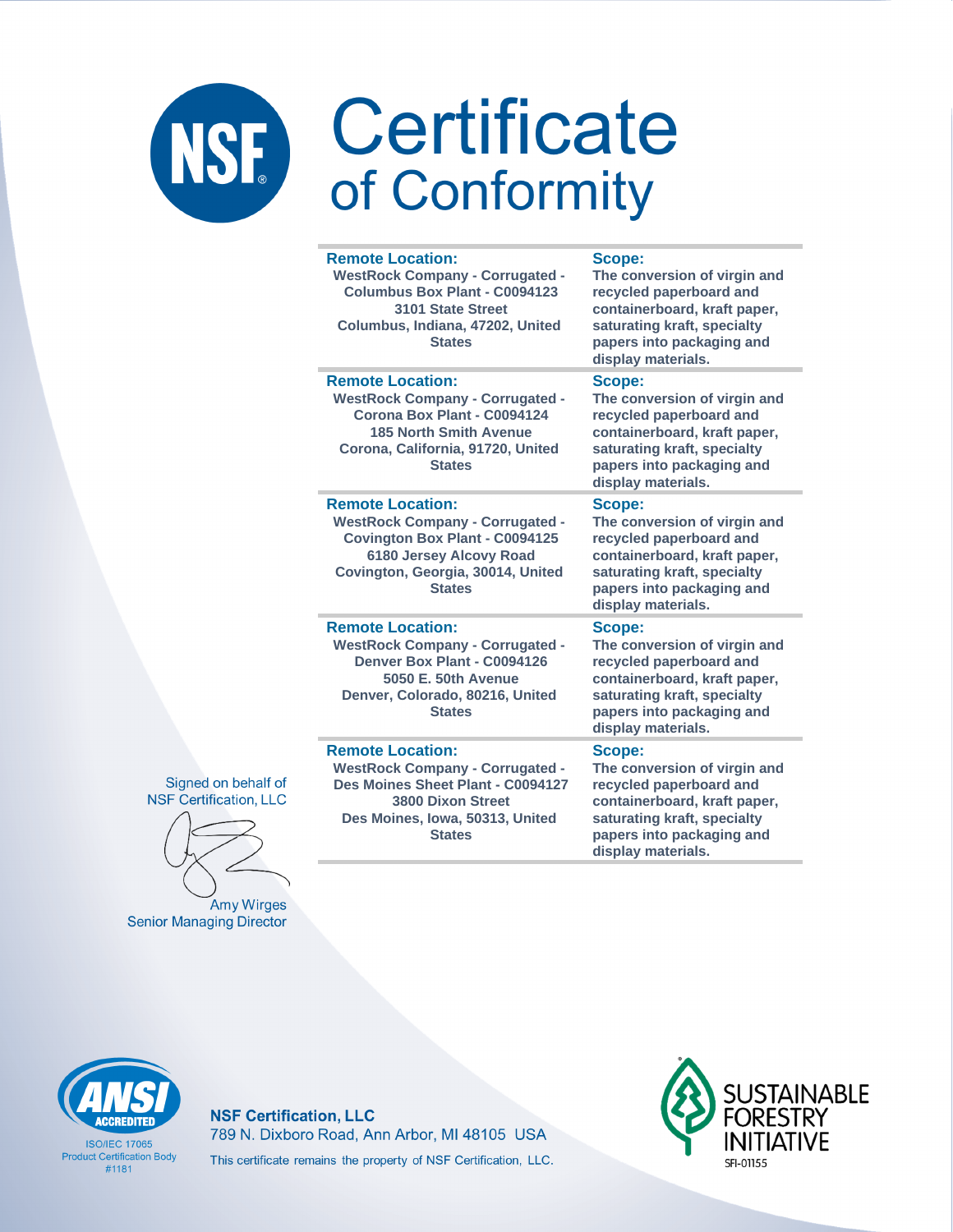|  | <b>Remote Location:</b><br><b>WestRock Company - Corrugated -</b><br>Columbus Box Plant - C0094123<br>3101 State Street<br>Columbus, Indiana, 47202, United<br><b>States</b>                | Scope:<br>The conversion of virgin and<br>recycled paperboard and<br>containerboard, kraft paper,<br>saturating kraft, specialty<br>papers into packaging and<br>display materials. |
|--|---------------------------------------------------------------------------------------------------------------------------------------------------------------------------------------------|-------------------------------------------------------------------------------------------------------------------------------------------------------------------------------------|
|  | <b>Remote Location:</b><br><b>WestRock Company - Corrugated -</b><br>Corona Box Plant - C0094124<br><b>185 North Smith Avenue</b><br>Corona, California, 91720, United<br><b>States</b>     | Scope:<br>The conversion of virgin and<br>recycled paperboard and<br>containerboard, kraft paper,<br>saturating kraft, specialty<br>papers into packaging and<br>display materials. |
|  | <b>Remote Location:</b><br><b>WestRock Company - Corrugated -</b><br><b>Covington Box Plant - C0094125</b><br>6180 Jersey Alcovy Road<br>Covington, Georgia, 30014, United<br><b>States</b> | Scope:<br>The conversion of virgin and<br>recycled paperboard and<br>containerboard, kraft paper,<br>saturating kraft, specialty<br>papers into packaging and<br>display materials. |
|  | <b>Remote Location:</b><br><b>WestRock Company - Corrugated -</b><br>Denver Box Plant - C0094126<br>5050 E. 50th Avenue<br>Denver, Colorado, 80216, United<br><b>States</b>                 | Scope:<br>The conversion of virgin and<br>recycled paperboard and<br>containerboard, kraft paper,<br>saturating kraft, specialty<br>papers into packaging and<br>display materials. |
|  | <b>Remote Location:</b><br><b>WestRock Company - Corrugated -</b><br>Des Moines Sheet Plant - C0094127<br><b>3800 Dixon Street</b><br>Des Moines, Iowa, 50313, United                       | Scope:<br>The conversion of virgin and<br>recycled paperboard and<br>containerboard, kraft paper,<br>saturating kraft, specialty                                                    |

Signed on behalf of **NSF Certification, LLC** 

Amy Wirges **Senior Managing Director** 

**CCREDITED** 

**ISO/IEC 17065 Product Certification Body**  $#1181$ 

**NSF Certification, LLC** 789 N. Dixboro Road, Ann Arbor, MI 48105 USA This certificate remains the property of NSF Certification, LLC.

**States** 



papers into packaging and

display materials.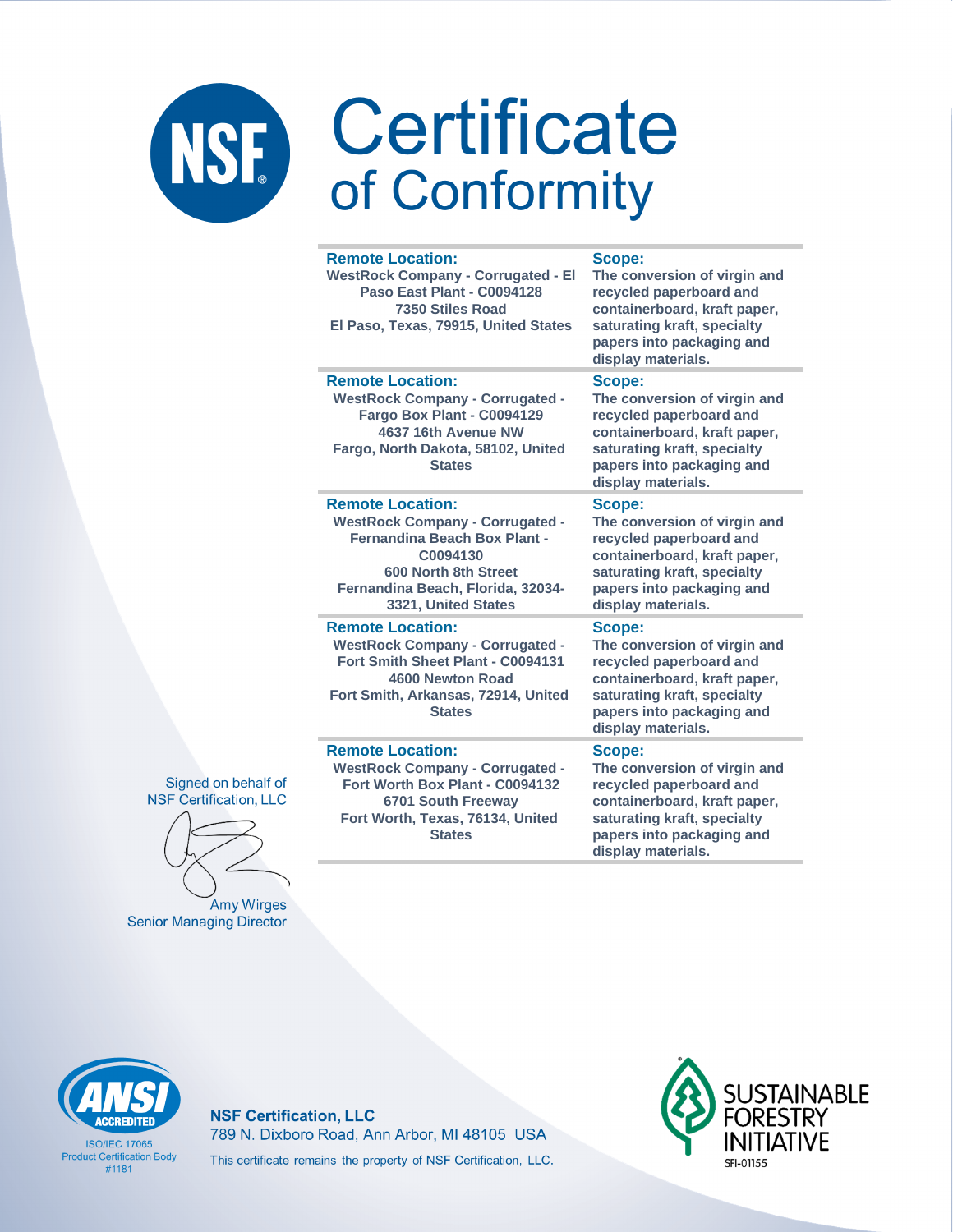| <b>Remote Location:</b><br><b>WestRock Company - Corrugated - El</b><br>Paso East Plant - C0094128<br>7350 Stiles Road<br>El Paso, Texas, 79915, United States                                           | Scope:<br>The conversion of virgin and<br>recycled paperboard and<br>containerboard, kraft paper,<br>saturating kraft, specialty<br>papers into packaging and<br>display materials. |
|----------------------------------------------------------------------------------------------------------------------------------------------------------------------------------------------------------|-------------------------------------------------------------------------------------------------------------------------------------------------------------------------------------|
| <b>Remote Location:</b><br><b>WestRock Company - Corrugated -</b><br>Fargo Box Plant - C0094129<br>4637 16th Avenue NW<br>Fargo, North Dakota, 58102, United<br><b>States</b>                            | Scope:<br>The conversion of virgin and<br>recycled paperboard and<br>containerboard, kraft paper,<br>saturating kraft, specialty<br>papers into packaging and<br>display materials. |
| <b>Remote Location:</b><br><b>WestRock Company - Corrugated -</b><br><b>Fernandina Beach Box Plant -</b><br>C0094130<br>600 North 8th Street<br>Fernandina Beach, Florida, 32034-<br>3321, United States | Scope:<br>The conversion of virgin and<br>recycled paperboard and<br>containerboard, kraft paper,<br>saturating kraft, specialty<br>papers into packaging and<br>display materials. |
| <b>Remote Location:</b><br><b>WestRock Company - Corrugated -</b><br>Fort Smith Sheet Plant - C0094131<br>4600 Newton Road<br>Fort Smith, Arkansas, 72914, United<br><b>States</b>                       | Scope:<br>The conversion of virgin and<br>recycled paperboard and<br>containerboard, kraft paper,<br>saturating kraft, specialty<br>papers into packaging and<br>display materials. |
| <b>Remote Location:</b><br><b>WestRock Company - Corrugated -</b><br>Fort Worth Box Plant - C0094132<br>6701 South Freeway<br>Fort Worth, Texas, 76134, United<br><b>States</b>                          | Scope:<br>The conversion of virgin and<br>recycled paperboard and<br>containerboard, kraft paper,<br>saturating kraft, specialty<br>papers into packaging and                       |



Amy Wirges **Senior Managing Director** 



**ISO/IFC 17065 Product Certification Body**  $#1181$ 

**NSF Certification, LLC** 789 N. Dixboro Road, Ann Arbor, MI 48105 USA This certificate remains the property of NSF Certification, LLC.



display materials.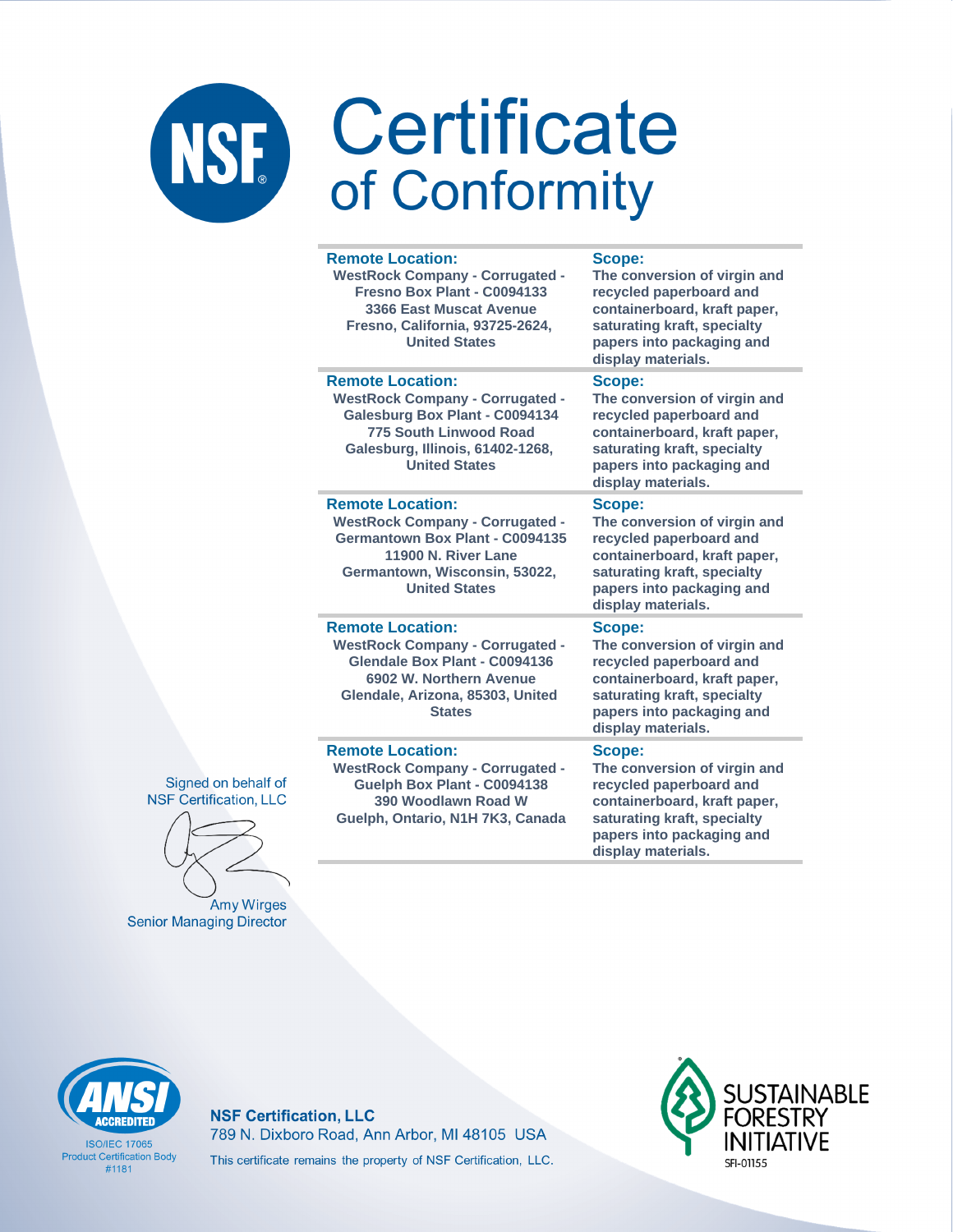| <b>Remote Location:</b><br><b>WestRock Company - Corrugated -</b><br>Fresno Box Plant - C0094133<br>3366 East Muscat Avenue<br>Fresno, California, 93725-2624,<br><b>United States</b>           | Scope:<br>The conversion of virgin and<br>recycled paperboard and<br>containerboard, kraft paper,<br>saturating kraft, specialty<br>papers into packaging and<br>display materials. |
|--------------------------------------------------------------------------------------------------------------------------------------------------------------------------------------------------|-------------------------------------------------------------------------------------------------------------------------------------------------------------------------------------|
| <b>Remote Location:</b><br><b>WestRock Company - Corrugated -</b><br>Galesburg Box Plant - C0094134<br><b>775 South Linwood Road</b><br>Galesburg, Illinois, 61402-1268,<br><b>United States</b> | Scope:<br>The conversion of virgin and<br>recycled paperboard and<br>containerboard, kraft paper,<br>saturating kraft, specialty<br>papers into packaging and<br>display materials. |
| <b>Remote Location:</b><br><b>WestRock Company - Corrugated -</b><br>Germantown Box Plant - C0094135<br>11900 N. River Lane<br>Germantown, Wisconsin, 53022,<br><b>United States</b>             | Scope:<br>The conversion of virgin and<br>recycled paperboard and<br>containerboard, kraft paper,<br>saturating kraft, specialty<br>papers into packaging and<br>display materials. |
| <b>Remote Location:</b><br><b>WestRock Company - Corrugated -</b><br>Glendale Box Plant - C0094136<br>6902 W. Northern Avenue<br>Glendale, Arizona, 85303, United<br><b>States</b>               | Scope:<br>The conversion of virgin and<br>recycled paperboard and<br>containerboard, kraft paper,<br>saturating kraft, specialty<br>papers into packaging and<br>display materials. |
| <b>Remote Location:</b><br><b>WestRock Company - Corrugated -</b><br>Guelph Box Plant - C0094138<br>390 Woodlawn Road W<br>Guelph, Ontario, N1H 7K3, Canada                                      | Scope:<br>The conversion of virgin and<br>recycled paperboard and<br>containerboard, kraft paper,<br>saturating kraft, specialty<br>papers into packaging and<br>display materials. |

Signed on behalf of **NSF Certification, LLC** 

Amy Wirges **Senior Managing Director** 



**ISO/IFC 17065 Product Certification Body**  $#1181$ 

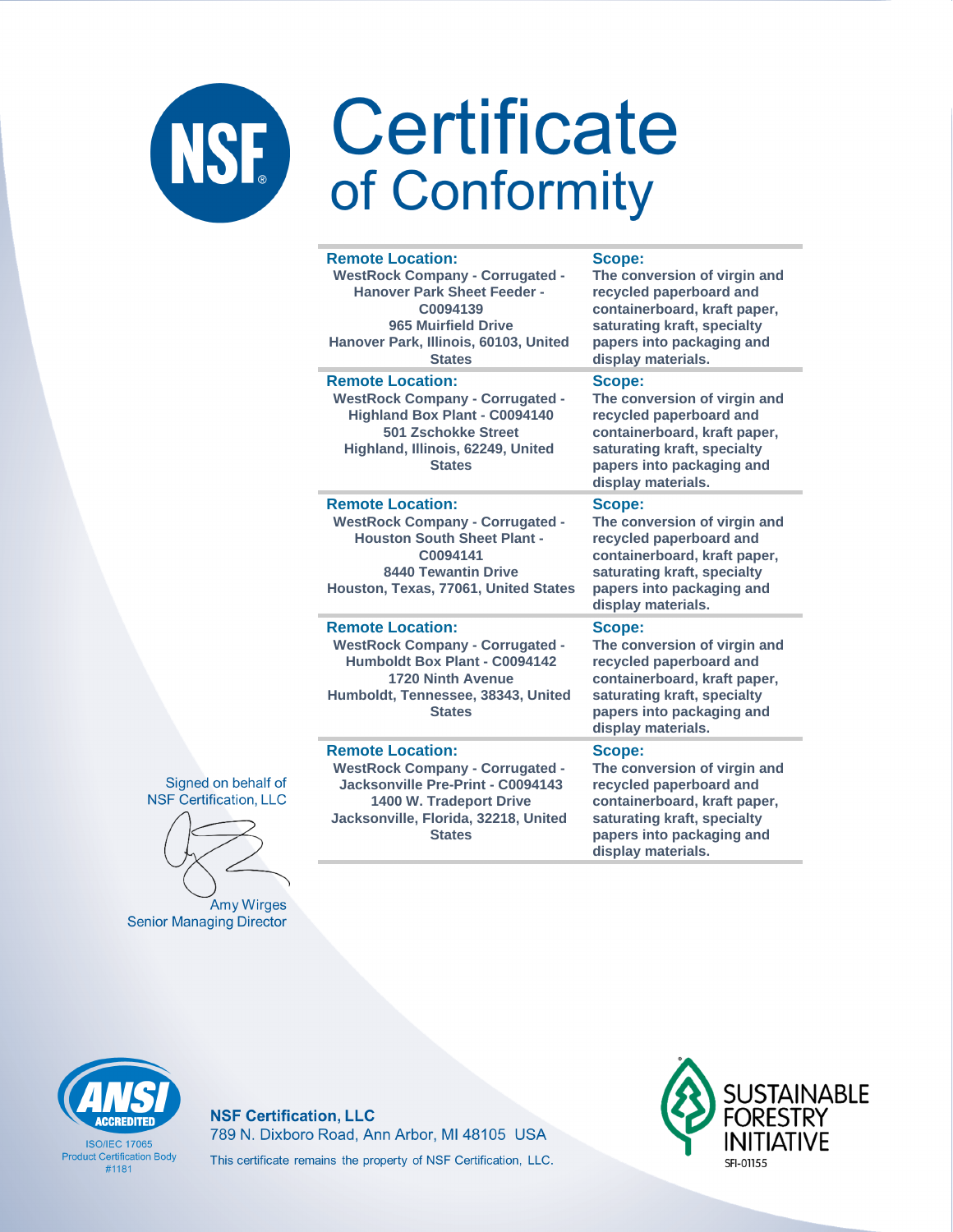|   | <b>Remote Location:</b><br><b>WestRock Company - Corrugated -</b><br><b>Hanover Park Sheet Feeder -</b><br>C0094139<br><b>965 Muirfield Drive</b><br>Hanover Park, Illinois, 60103, United<br><b>States</b> | <b>Scope:</b><br>The conversion of virgin and<br>recycled paperboard and<br>containerboard, kraft paper,<br>saturating kraft, specialty<br>papers into packaging and<br>display materials. |
|---|-------------------------------------------------------------------------------------------------------------------------------------------------------------------------------------------------------------|--------------------------------------------------------------------------------------------------------------------------------------------------------------------------------------------|
|   | <b>Remote Location:</b><br><b>WestRock Company - Corrugated -</b><br><b>Highland Box Plant - C0094140</b><br><b>501 Zschokke Street</b><br>Highland, Illinois, 62249, United<br><b>States</b>               | Scope:<br>The conversion of virgin and<br>recycled paperboard and<br>containerboard, kraft paper,<br>saturating kraft, specialty<br>papers into packaging and<br>display materials.        |
|   | <b>Remote Location:</b><br><b>WestRock Company - Corrugated -</b><br><b>Houston South Sheet Plant -</b><br>C0094141<br><b>8440 Tewantin Drive</b><br>Houston, Texas, 77061, United States                   | Scope:<br>The conversion of virgin and<br>recycled paperboard and<br>containerboard, kraft paper,<br>saturating kraft, specialty<br>papers into packaging and<br>display materials.        |
|   | <b>Remote Location:</b><br><b>WestRock Company - Corrugated -</b><br>Humboldt Box Plant - C0094142<br><b>1720 Ninth Avenue</b><br>Humboldt, Tennessee, 38343, United<br><b>States</b>                       | Scope:<br>The conversion of virgin and<br>recycled paperboard and<br>containerboard, kraft paper,<br>saturating kraft, specialty<br>papers into packaging and<br>display materials.        |
| f | <b>Remote Location:</b><br><b>WestRock Company - Corrugated -</b><br>Jacksonville Pre-Print - C0094143<br>1400 W. Tradeport Drive<br>Jacksonville, Florida, 32218, United<br><b>States</b>                  | Scope:<br>The conversion of virgin and<br>recycled paperboard and<br>containerboard, kraft paper,<br>saturating kraft, specialty<br>papers into packaging and                              |

Signed on behalf of **NSF Certification, LLC** 

Amy Wirges **Senior Managing Director** 

**CCREDITED** 

**ISO/IFC 17065 Product Certification Body**  $#1181$ 

**NSF Certification, LLC** 789 N. Dixboro Road, Ann Arbor, MI 48105 USA This certificate remains the property of NSF Certification, LLC.



display materials.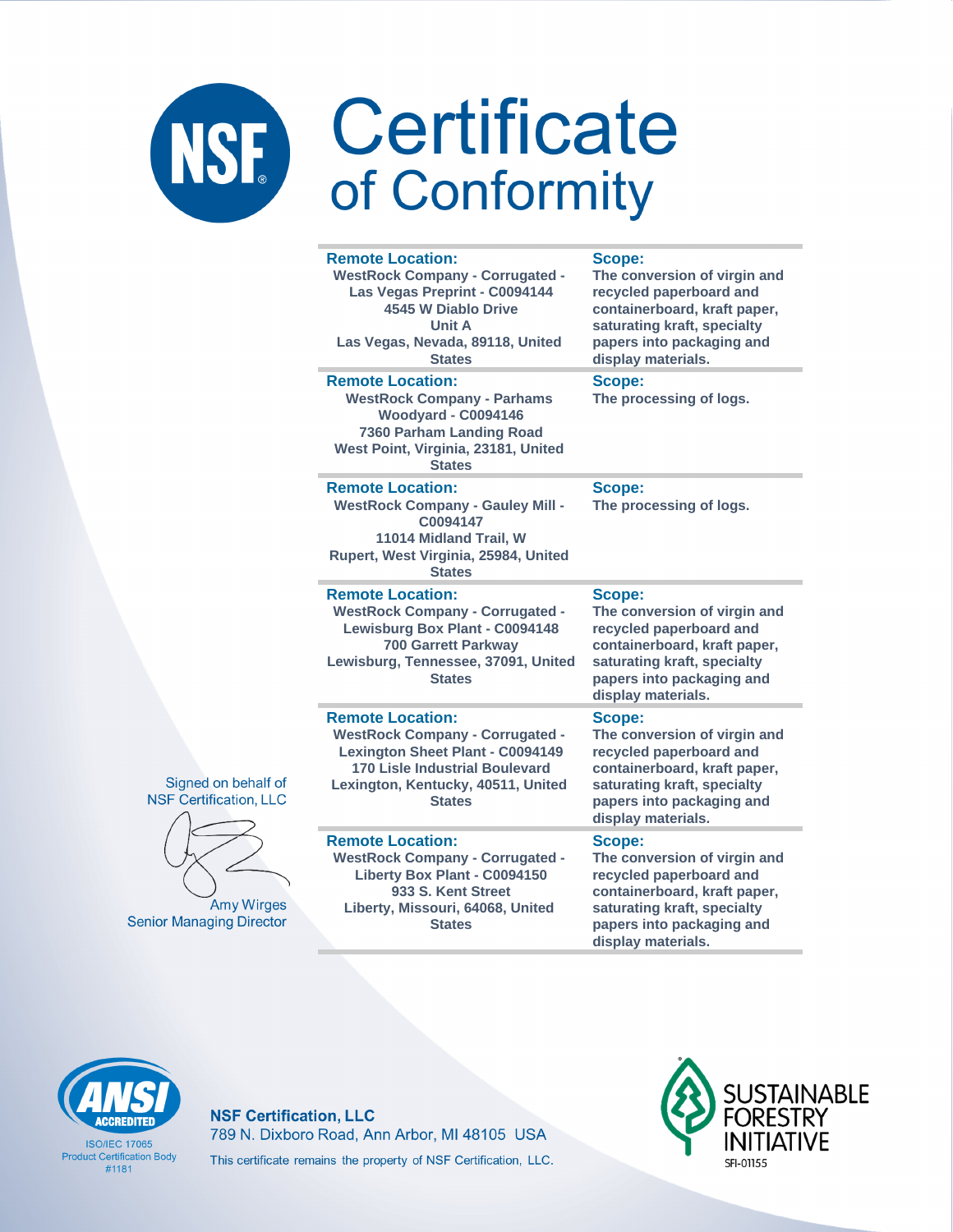| <b>Remote Location:</b><br><b>WestRock Company - Corrugated -</b><br>Las Vegas Preprint - C0094144<br>4545 W Diablo Drive<br><b>Unit A</b><br>Las Vegas, Nevada, 89118, United<br><b>States</b>              | <b>Scope:</b><br>The conversion of virgin and<br>recycled paperboard and<br>containerboard, kraft paper,<br>saturating kraft, specialty<br>papers into packaging and<br>display materials. |
|--------------------------------------------------------------------------------------------------------------------------------------------------------------------------------------------------------------|--------------------------------------------------------------------------------------------------------------------------------------------------------------------------------------------|
| <b>Remote Location:</b><br><b>WestRock Company - Parhams</b><br>Woodyard - C0094146<br>7360 Parham Landing Road<br>West Point, Virginia, 23181, United<br><b>States</b>                                      | Scope:<br>The processing of logs.                                                                                                                                                          |
| <b>Remote Location:</b><br><b>WestRock Company - Gauley Mill -</b><br>C0094147<br>11014 Midland Trail, W<br>Rupert, West Virginia, 25984, United<br><b>States</b>                                            | Scope:<br>The processing of logs.                                                                                                                                                          |
| <b>Remote Location:</b><br><b>WestRock Company - Corrugated -</b><br>Lewisburg Box Plant - C0094148<br><b>700 Garrett Parkway</b><br>Lewisburg, Tennessee, 37091, United<br><b>States</b>                    | <b>Scope:</b><br>The conversion of virgin and<br>recycled paperboard and<br>containerboard, kraft paper,<br>saturating kraft, specialty<br>papers into packaging and<br>display materials. |
| <b>Remote Location:</b><br><b>WestRock Company - Corrugated -</b><br><b>Lexington Sheet Plant - C0094149</b><br><b>170 Lisle Industrial Boulevard</b><br>Lexington, Kentucky, 40511, United<br><b>States</b> | Scope:<br>The conversion of virgin and<br>recycled paperboard and<br>containerboard, kraft paper,<br>saturating kraft, specialty<br>papers into packaging and<br>display materials.        |
| <b>Remote Location:</b><br><b>WestRock Company - Corrugated -</b><br>Liberty Box Plant - C0094150<br>933 S. Kent Street<br>Liberty, Missouri, 64068, United<br><b>States</b>                                 | Scope:<br>The conversion of virgin and<br>recycled paperboard and<br>containerboard, kraft paper,<br>saturating kraft, specialty<br>papers into packaging and                              |





**Amy Wirges Senior Managing Director** 



**ISO/IFC 17065 Product Certification Body**  $#1181$ 

**NSF Certification, LLC** 789 N. Dixboro Road, Ann Arbor, MI 48105 USA This certificate remains the property of NSF Certification, LLC.



display materials.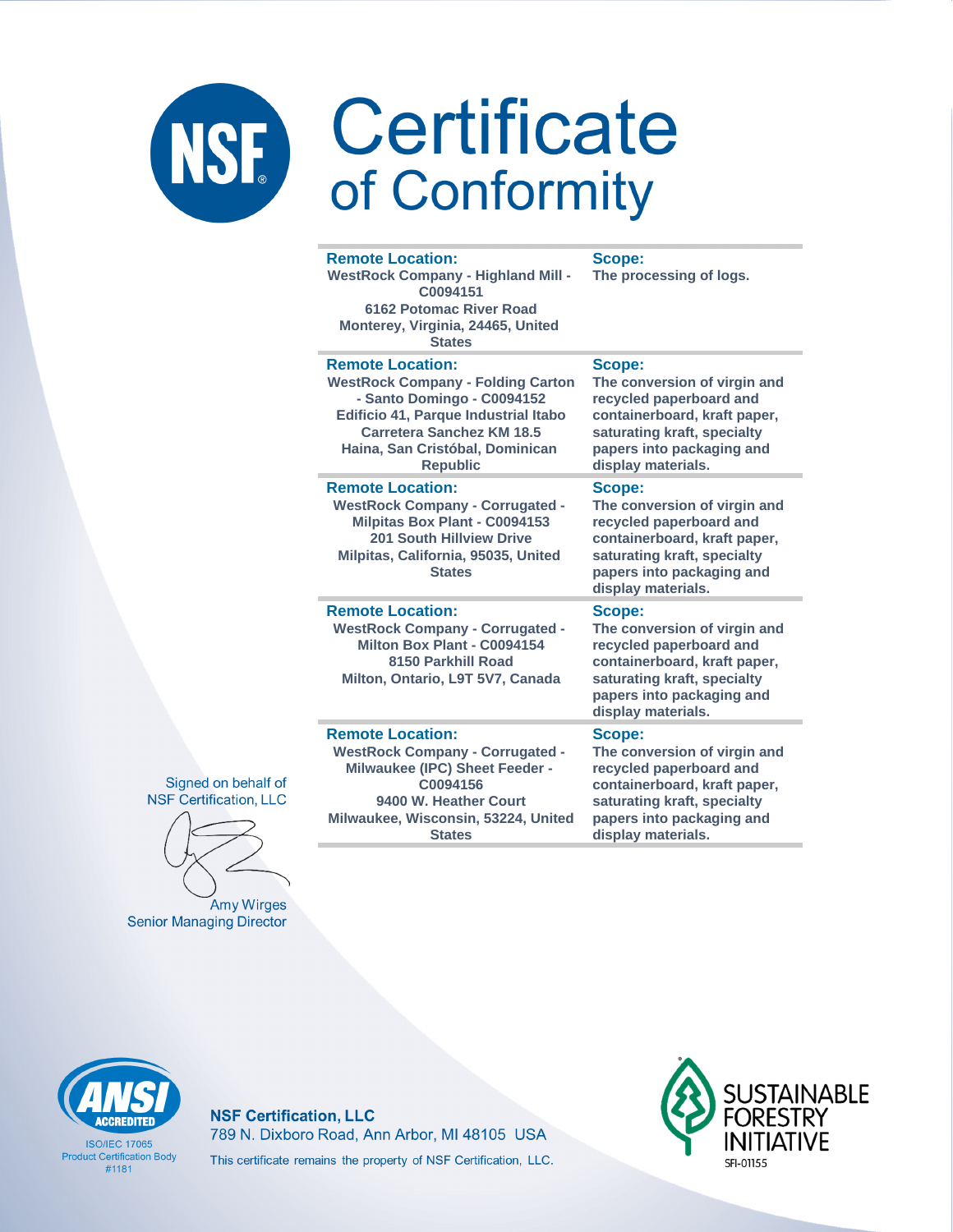### **Remote Location:**

**WestRock Company - Highland Mill - C0094151 6162 Potomac River Road Monterey, Virginia, 24465, United States**

### **Remote Location:**

**WestRock Company - Folding Carton - Santo Domingo - C0094152 Edificio 41, Parque Industrial Itabo Carretera Sanchez KM 18.5 Haina, San Cristóbal, Dominican Republic**

### **Remote Location:**

**WestRock Company - Corrugated - Milpitas Box Plant - C0094153 201 South Hillview Drive Milpitas, California, 95035, United States**

### **Remote Location:**

**WestRock Company - Corrugated - Milton Box Plant - C0094154 8150 Parkhill Road Milton, Ontario, L9T 5V7, Canada**

### **containerboard, kraft paper,**

**Scope:**

**Scope:**

**Scope:**

**Scope:**

**display materials.**

**display materials.**

**The processing of logs.**

**The conversion of virgin and recycled paperboard and containerboard, kraft paper, saturating kraft, specialty papers into packaging and** 

**The conversion of virgin and recycled paperboard and containerboard, kraft paper, saturating kraft, specialty papers into packaging and** 

**The conversion of virgin and recycled paperboard and** 

**saturating kraft, specialty papers into packaging and display materials.**

### **Remote Location:**

**WestRock Company - Corrugated - Milwaukee (IPC) Sheet Feeder - C0094156 9400 W. Heather Court Milwaukee, Wisconsin, 53224, United States**

### **Scope:**

**The conversion of virgin and recycled paperboard and containerboard, kraft paper, saturating kraft, specialty papers into packaging and display materials.**





**Amy Wirges Senior Managing Director** 



**ISO/IFC 17065 Product Certification Body** #1181

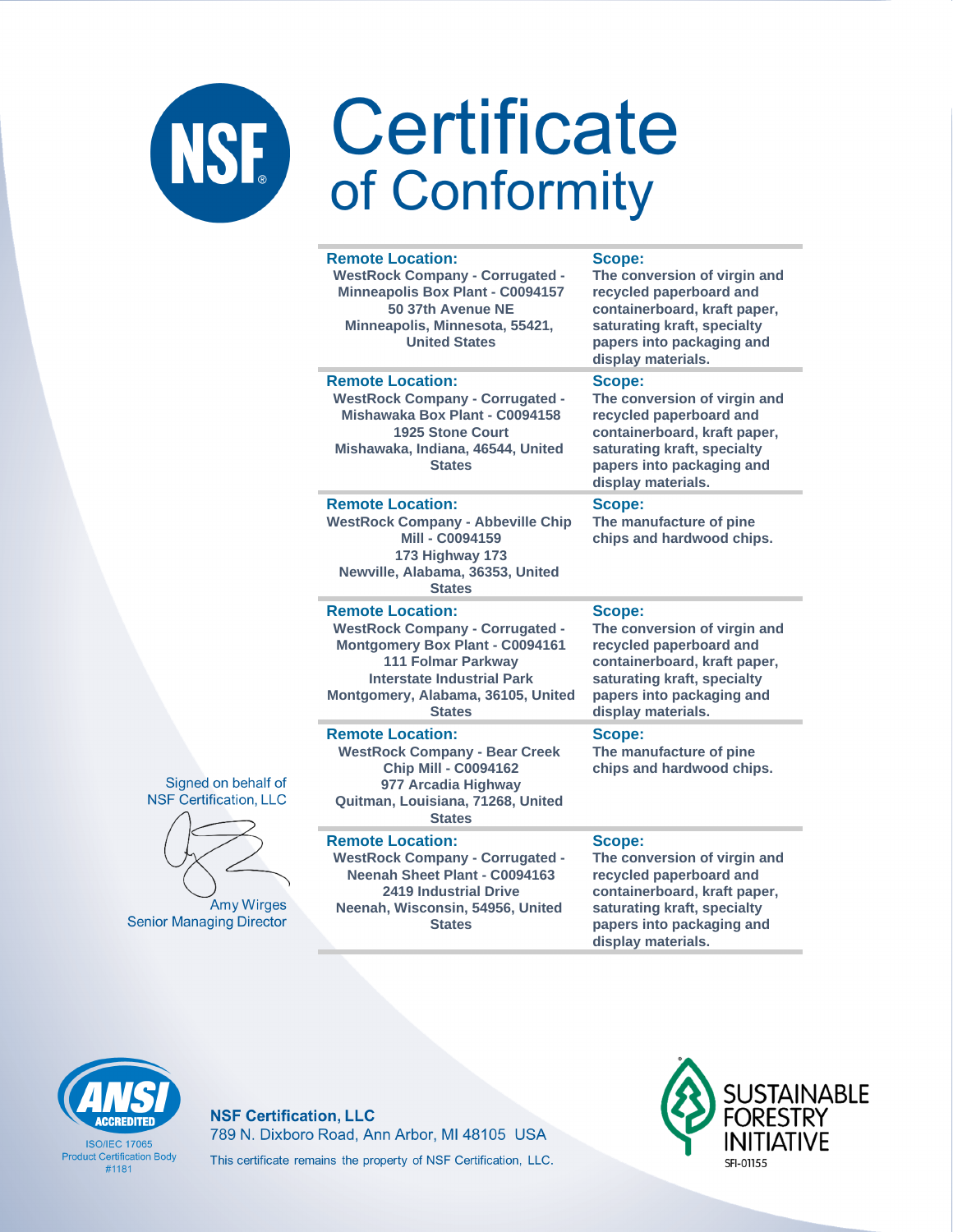| <b>Remote Location:</b><br><b>WestRock Company - Corrugated -</b><br><b>Minneapolis Box Plant - C0094157</b><br>50 37th Avenue NE<br>Minneapolis, Minnesota, 55421,<br><b>United States</b>                                   | Scope:<br>The conversion of virgin and<br>recycled paperboard and<br>containerboard, kraft paper,<br>saturating kraft, specialty<br>papers into packaging and<br>display materials. |
|-------------------------------------------------------------------------------------------------------------------------------------------------------------------------------------------------------------------------------|-------------------------------------------------------------------------------------------------------------------------------------------------------------------------------------|
| <b>Remote Location:</b><br><b>WestRock Company - Corrugated -</b><br>Mishawaka Box Plant - C0094158<br>1925 Stone Court<br>Mishawaka, Indiana, 46544, United<br><b>States</b>                                                 | Scope:<br>The conversion of virgin and<br>recycled paperboard and<br>containerboard, kraft paper,<br>saturating kraft, specialty<br>papers into packaging and<br>display materials. |
| <b>Remote Location:</b><br><b>WestRock Company - Abbeville Chip</b><br>Mill - C0094159<br>173 Highway 173<br>Newville, Alabama, 36353, United<br><b>States</b>                                                                | Scope:<br>The manufacture of pine<br>chips and hardwood chips.                                                                                                                      |
| <b>Remote Location:</b><br><b>WestRock Company - Corrugated -</b><br>Montgomery Box Plant - C0094161<br><b>111 Folmar Parkway</b><br><b>Interstate Industrial Park</b><br>Montgomery, Alabama, 36105, United<br><b>States</b> | Scope:<br>The conversion of virgin and<br>recycled paperboard and<br>containerboard, kraft paper,<br>saturating kraft, specialty<br>papers into packaging and<br>display materials. |
| <b>Remote Location:</b><br><b>WestRock Company - Bear Creek</b><br><b>Chip Mill - C0094162</b><br>977 Arcadia Highway<br>Quitman, Louisiana, 71268, United<br><b>States</b>                                                   | <b>Scope:</b><br>The manufacture of pine<br>chips and hardwood chips.                                                                                                               |
| <b>Remote Location:</b><br><b>WestRock Company - Corrugated -</b><br>Neenah Sheet Plant - C0094163                                                                                                                            | <b>Scope:</b><br>The conversion of virgin and<br>recycled paperboard and                                                                                                            |

Signed on behalf o **NSF Certification, LL** 



Amy Wirges **Senior Managing Director** 

### **2419 Industrial Drive Neenah, Wisconsin, 54956, United States**

**containerboard, kraft paper, saturating kraft, specialty papers into packaging and display materials.**



**ISO/IFC 17065 Product Certification Body** #1181

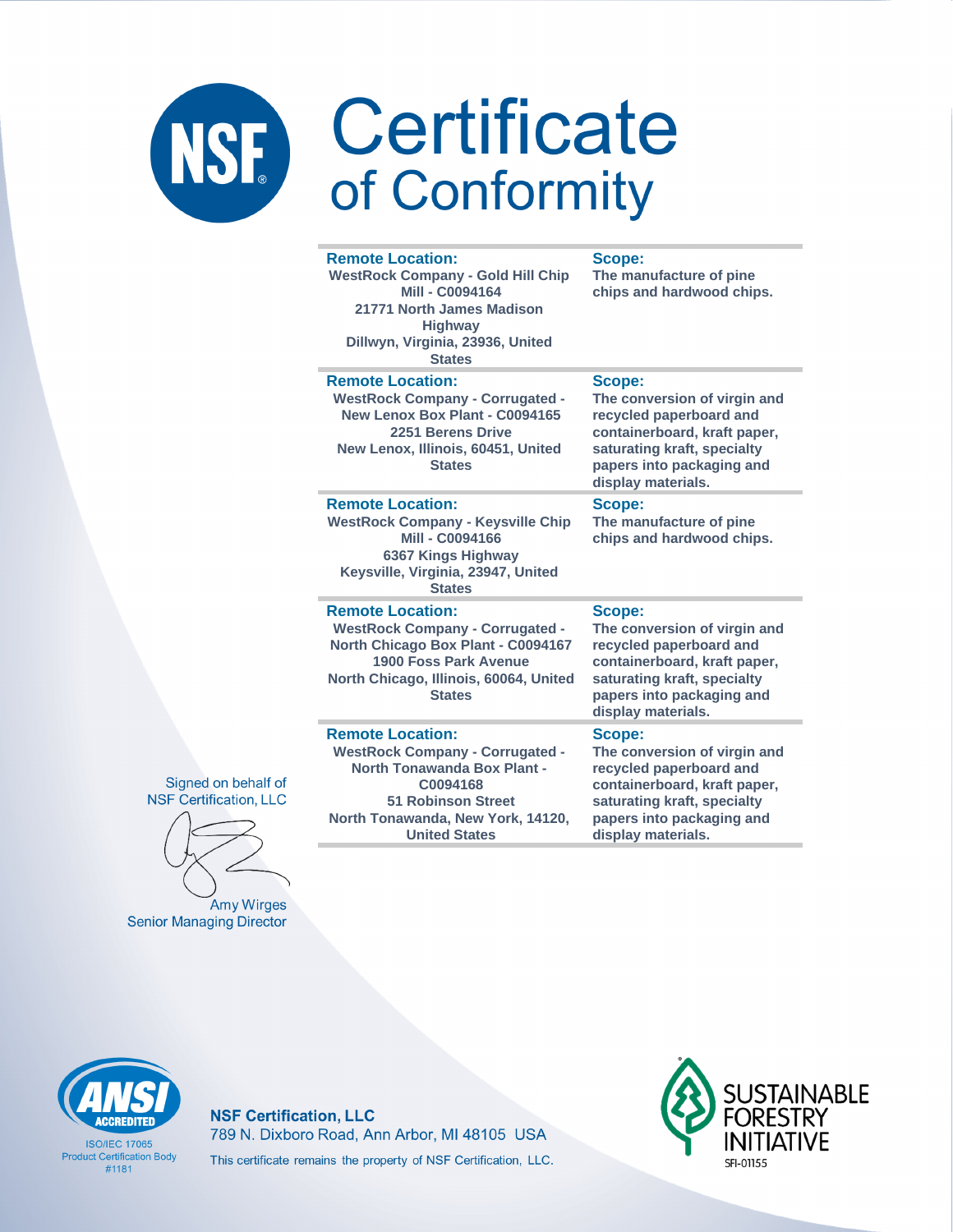| <b>Remote Location:</b><br><b>WestRock Company - Gold Hill Chip</b><br><b>Mill - C0094164</b><br>21771 North James Madison<br><b>Highway</b><br>Dillwyn, Virginia, 23936, United<br><b>States</b> | Scope:<br>The manufacture of pine<br>chips and hardwood chips.                                                                                                                      |
|---------------------------------------------------------------------------------------------------------------------------------------------------------------------------------------------------|-------------------------------------------------------------------------------------------------------------------------------------------------------------------------------------|
| <b>Remote Location:</b><br><b>WestRock Company - Corrugated -</b><br>New Lenox Box Plant - C0094165<br>2251 Berens Drive<br>New Lenox, Illinois, 60451, United<br><b>States</b>                   | Scope:<br>The conversion of virgin and<br>recycled paperboard and<br>containerboard, kraft paper,<br>saturating kraft, specialty<br>papers into packaging and<br>display materials. |
| <b>Remote Location:</b><br><b>WestRock Company - Keysville Chip</b><br>Mill - C0094166<br>6367 Kings Highway<br>Keysville, Virginia, 23947, United<br><b>States</b>                               | Scope:<br>The manufacture of pine<br>chips and hardwood chips.                                                                                                                      |
| <b>Remote Location:</b><br><b>WestRock Company - Corrugated -</b><br>North Chicago Box Plant - C0094167<br>1900 Foss Park Avenue<br>North Chicago, Illinois, 60064, United<br><b>States</b>       | Scope:<br>The conversion of virgin and<br>recycled paperboard and<br>containerboard, kraft paper,<br>saturating kraft, specialty<br>papers into packaging and<br>display materials. |
| <b>Remote Location:</b><br><b>WestRock Company - Corrugated -</b><br><b>North Tonawanda Box Plant -</b><br>C0094168<br><b>51 Robinson Street</b><br>North Tonawanda, New York, 14120,             | Scope:<br>The conversion of virgin and<br>recycled paperboard and<br>containerboard, kraft paper,<br>saturating kraft, specialty<br>papers into packaging and                       |

display materials.

### Signed on behalf of **NSF Certification, LLC**

Amy Wirges **Senior Managing Director** 



**ISO/IFC 17065 Product Certification Body**  $#1181$ 

### **NSF Certification, LLC** 789 N. Dixboro Road, Ann Arbor, MI 48105 USA This certificate remains the property of NSF Certification, LLC.

**United States** 

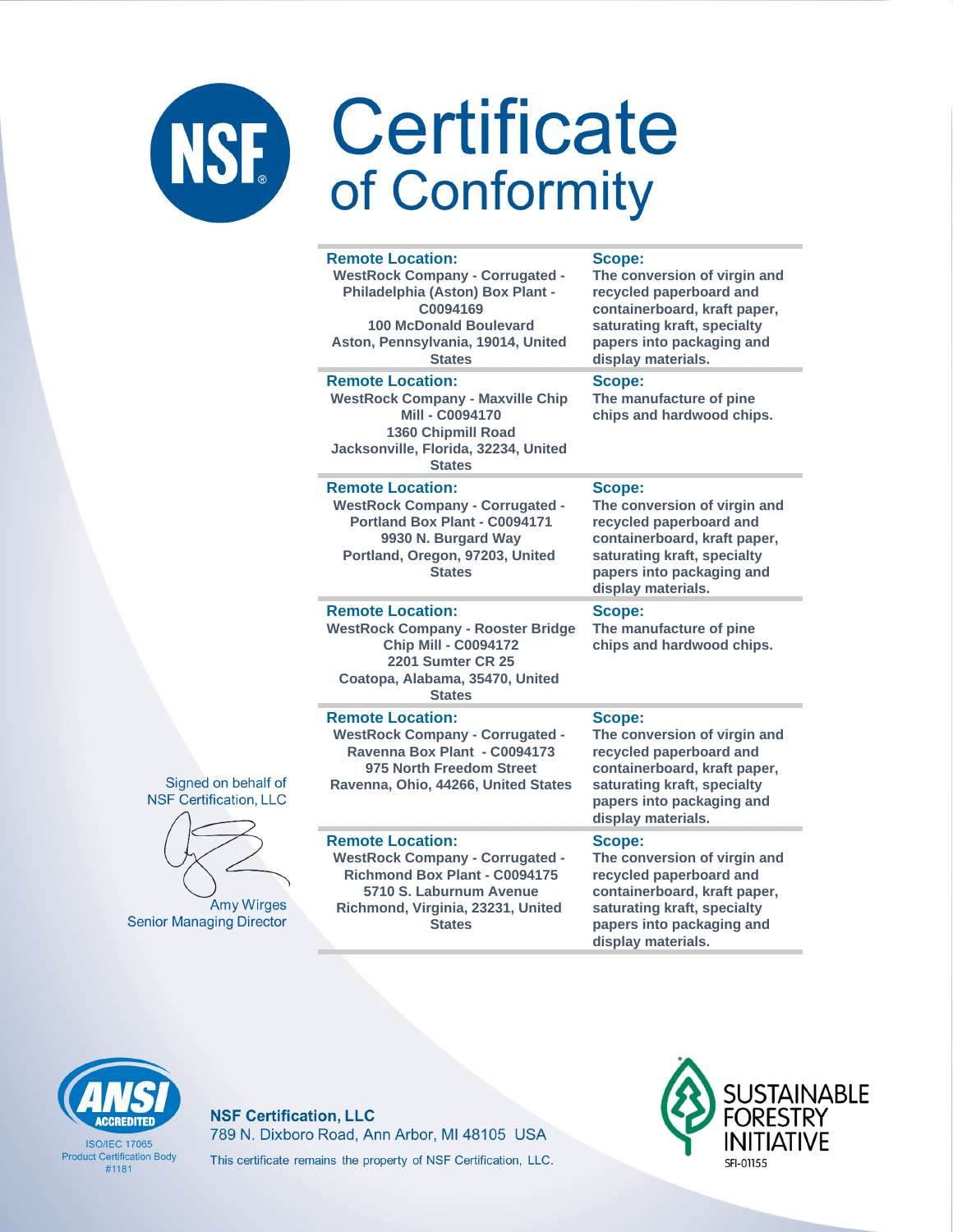|                                                      | <b>Remote Location:</b><br><b>WestRock Company - Corrugated -</b><br>Philadelphia (Aston) Box Plant -<br>C0094169<br><b>100 McDonald Boulevard</b><br>Aston, Pennsylvania, 19014, United<br><b>States</b> | Scope:<br>The conversion of virgin and<br>recycled paperboard and<br>containerboard, kraft paper,<br>saturating kraft, specialty<br>papers into packaging and<br>display materials. |
|------------------------------------------------------|-----------------------------------------------------------------------------------------------------------------------------------------------------------------------------------------------------------|-------------------------------------------------------------------------------------------------------------------------------------------------------------------------------------|
|                                                      | <b>Remote Location:</b><br><b>WestRock Company - Maxville Chip</b><br><b>Mill - C0094170</b><br><b>1360 Chipmill Road</b><br>Jacksonville, Florida, 32234, United<br><b>States</b>                        | Scope:<br>The manufacture of pine<br>chips and hardwood chips.                                                                                                                      |
|                                                      | <b>Remote Location:</b><br><b>WestRock Company - Corrugated -</b><br>Portland Box Plant - C0094171<br>9930 N. Burgard Way<br>Portland, Oregon, 97203, United<br><b>States</b>                             | Scope:<br>The conversion of virgin and<br>recycled paperboard and<br>containerboard, kraft paper,<br>saturating kraft, specialty<br>papers into packaging and<br>display materials. |
|                                                      | <b>Remote Location:</b><br><b>WestRock Company - Rooster Bridge</b><br><b>Chip Mill - C0094172</b><br><b>2201 Sumter CR 25</b><br>Coatopa, Alabama, 35470, United<br><b>States</b>                        | Scope:<br>The manufacture of pine<br>chips and hardwood chips.                                                                                                                      |
| Signed on behalf of<br><b>NSF Certification, LLC</b> | <b>Remote Location:</b><br><b>WestRock Company - Corrugated -</b><br>Ravenna Box Plant - C0094173<br>975 North Freedom Street<br>Ravenna, Ohio, 44266, United States                                      | Scope:<br>The conversion of virgin and<br>recycled paperboard and<br>containerboard, kraft paper,<br>saturating kraft, specialty<br>papers into packaging and<br>display materials. |
| <b>Amy Wirges</b><br><b>Senior Managing Director</b> | <b>Remote Location:</b><br><b>WestRock Company - Corrugated -</b><br><b>Richmond Box Plant - C0094175</b><br>5710 S. Laburnum Avenue<br>Richmond, Virginia, 23231, United<br><b>States</b>                | Scope:<br>The conversion of virgin and<br>recycled paperboard and<br>containerboard, kraft paper,<br>saturating kraft, specialty<br>papers into packaging and<br>display materials. |



**ISO/IEC 17065 Product Certification Body**  $#1181$ 

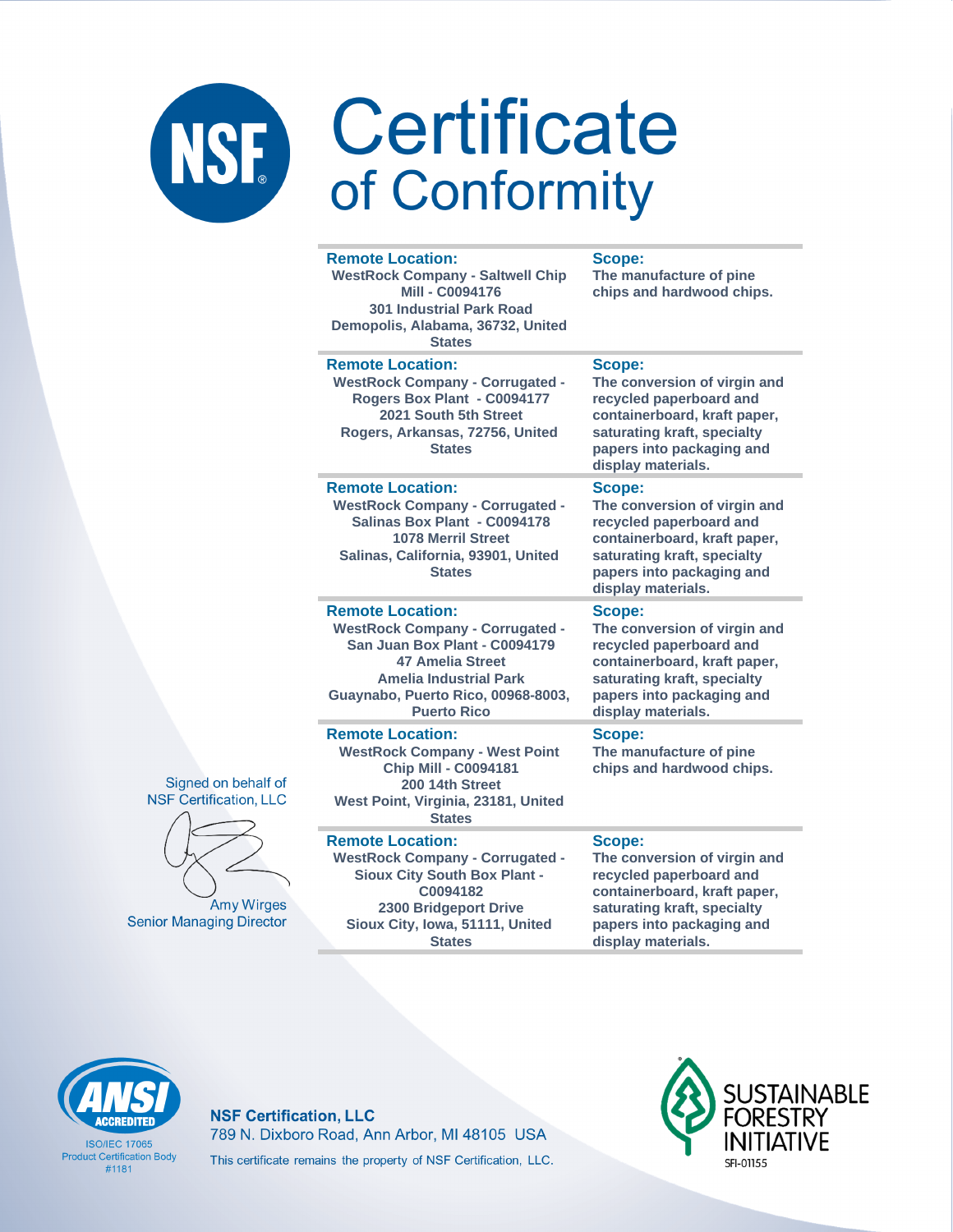#### **Remote Location:**

**WestRock Company - Saltwell Chip Mill - C0094176 301 Industrial Park Road Demopolis, Alabama, 36732, United States**

#### **Remote Location:**

**WestRock Company - Corrugated - Rogers Box Plant - C0094177 2021 South 5th Street Rogers, Arkansas, 72756, United States**

### **Remote Location:**

**WestRock Company - Corrugated - Salinas Box Plant - C0094178 1078 Merril Street Salinas, California, 93901, United States**

### **Remote Location:**

**WestRock Company - Corrugated - San Juan Box Plant - C0094179 47 Amelia Street Amelia Industrial Park Guaynabo, Puerto Rico, 00968-8003, Puerto Rico**

#### **Remote Location:**

**WestRock Company - West Point Chip Mill - C0094181 200 14th Street West Point, Virginia, 23181, United States**

#### **Remote Location:**

**WestRock Company - Corrugated - Sioux City South Box Plant - C0094182 2300 Bridgeport Drive Sioux City, Iowa, 51111, United States**

### **Scope:**

**The manufacture of pine chips and hardwood chips.**

### **Scope:**

**The conversion of virgin and recycled paperboard and containerboard, kraft paper, saturating kraft, specialty papers into packaging and display materials.**

#### **Scope:**

**The conversion of virgin and recycled paperboard and containerboard, kraft paper, saturating kraft, specialty papers into packaging and display materials.**

#### **Scope:**

**The conversion of virgin and recycled paperboard and containerboard, kraft paper, saturating kraft, specialty papers into packaging and display materials.**

### **Scope:**

**The manufacture of pine chips and hardwood chips.**

#### **Scope:**

**The conversion of virgin and recycled paperboard and containerboard, kraft paper, saturating kraft, specialty papers into packaging and display materials.**



**ISO/IEC 17065 Product Certification Body** #1181

### **NSF Certification, LLC** 789 N. Dixboro Road, Ann Arbor, MI 48105 USA This certificate remains the property of NSF Certification, LLC.



Signed on behalf of **NSF Certification, LLC** 

**Amy Wirges Senior Managing Director**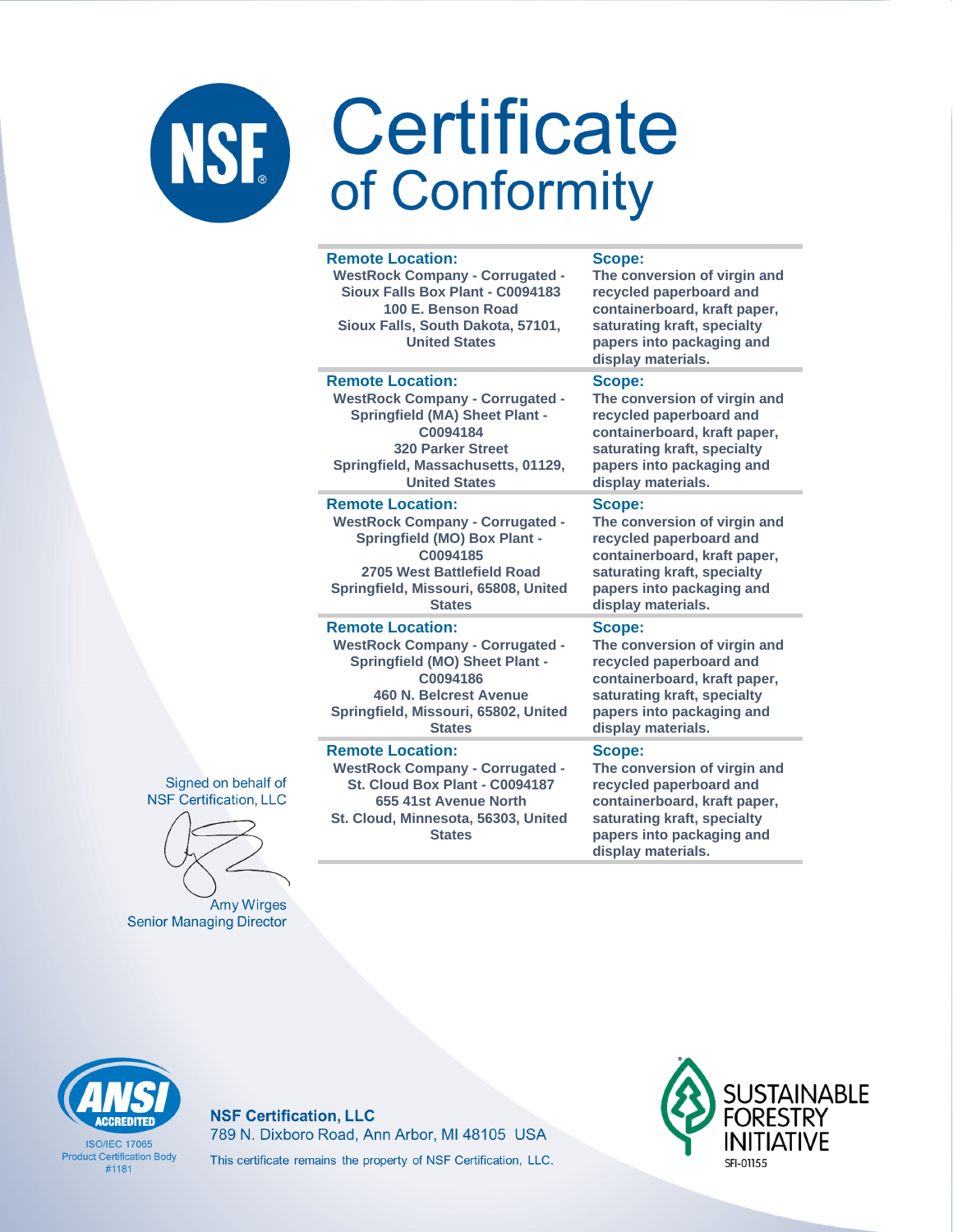#### **Remote Location:** Scope: **WestRock Company - Corrugated -**The conversion of virgin and Sioux Falls Box Plant - C0094183 recycled paperboard and 100 E. Benson Road containerboard, kraft paper, Sioux Falls, South Dakota, 57101, saturating kraft, specialty **United States** papers into packaging and display materials. **Remote Location:** Scope: **WestRock Company - Corrugated -**The conversion of virgin and **Springfield (MA) Sheet Plant** recycled paperboard and containerboard, kraft paper, C0094184 **320 Parker Street** saturating kraft, specialty Springfield, Massachusetts, 01129, papers into packaging and **United States** display materials. Scope: **Remote Location:** The conversion of virgin and **WestRock Company - Corrugated -Springfield (MO) Box Plant** recycled paperboard and C0094185 containerboard, kraft paper, 2705 West Battlefield Road saturating kraft, specialty Springfield, Missouri, 65808, United papers into packaging and **States** display materials. **Remote Location:** Scope: **WestRock Company - Corrugated -**The conversion of virgin and **Springfield (MO) Sheet Plant** recycled paperboard and containerboard, kraft paper. C0094186 **460 N. Belcrest Avenue** saturating kraft, specialty Springfield, Missouri, 65802, United papers into packaging and display materials. **States Remote Location:** Scope: **WestRock Company - Corrugated -**The conversion of virgin and St. Cloud Box Plant - C0094187 recycled paperboard and containerboard, kraft paper, 655 41st Avenue North St. Cloud, Minnesota, 56303, United saturating kraft, specialty **States** papers into packaging and

display materials.

Signed on behalf of **NSF Certification, LLC** 

**Amy Wirges Senior Managing Director** 

**ISO/IFC 17065 Product Certification Body** #1181

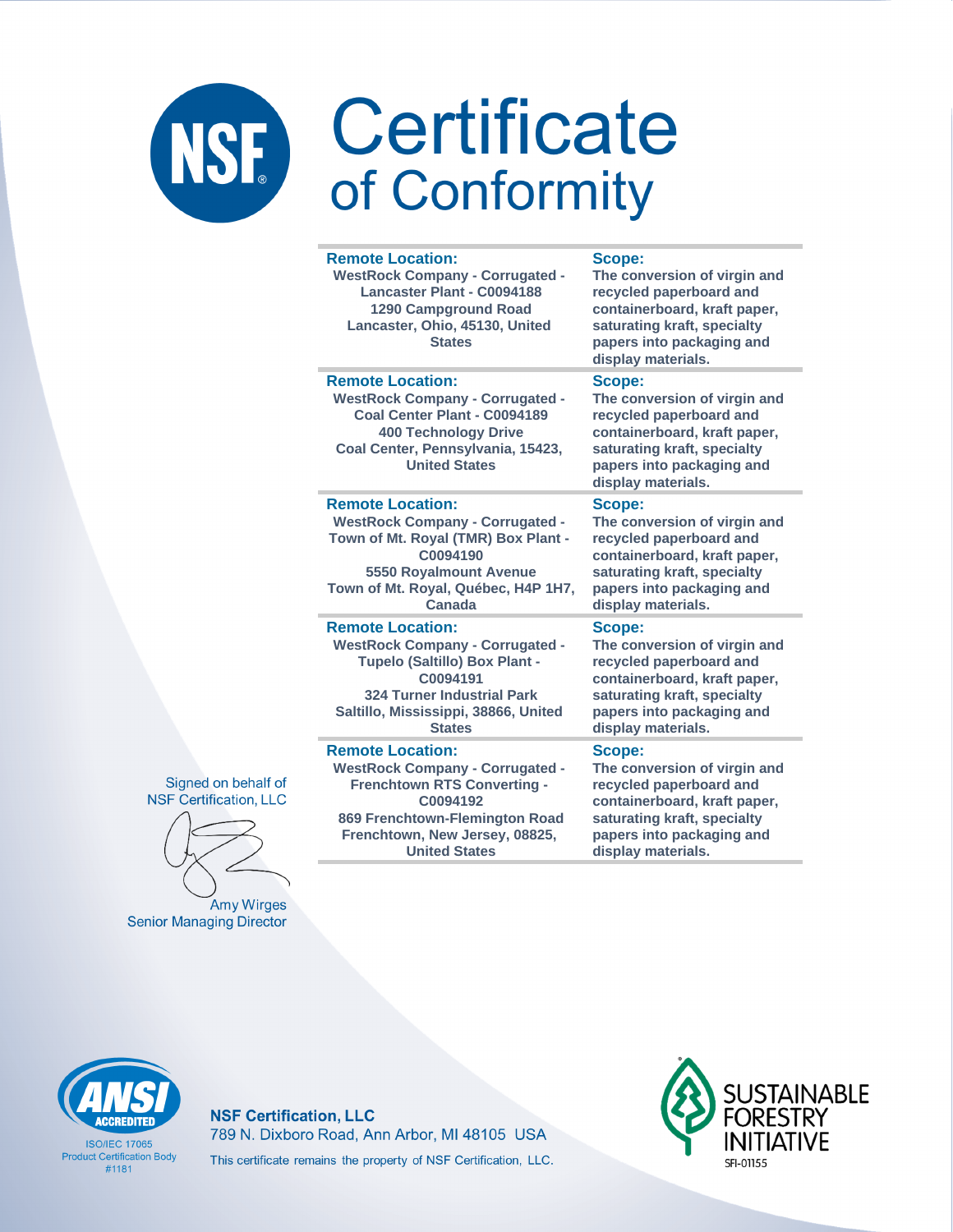| <b>Remote Location:</b><br><b>WestRock Company - Corrugated -</b><br>Lancaster Plant - C0094188<br>1290 Campground Road<br>Lancaster, Ohio, 45130, United<br><b>States</b>                    | Scope:<br>The conversion of virgin and<br>recycled paperboard and<br>containerboard, kraft paper,<br>saturating kraft, specialty<br>papers into packaging and<br>display materials. |
|-----------------------------------------------------------------------------------------------------------------------------------------------------------------------------------------------|-------------------------------------------------------------------------------------------------------------------------------------------------------------------------------------|
| <b>Remote Location:</b><br><b>WestRock Company - Corrugated -</b><br>Coal Center Plant - C0094189<br><b>400 Technology Drive</b><br>Coal Center, Pennsylvania, 15423,<br><b>United States</b> | Scope:<br>The conversion of virgin and<br>recycled paperboard and<br>containerboard, kraft paper,<br>saturating kraft, specialty<br>papers into packaging and<br>display materials. |
| <b>Remote Location:</b>                                                                                                                                                                       | Scope:                                                                                                                                                                              |
| <b>WestRock Company - Corrugated -</b>                                                                                                                                                        | The conversion of virgin and                                                                                                                                                        |
| Town of Mt. Royal (TMR) Box Plant -                                                                                                                                                           | recycled paperboard and                                                                                                                                                             |
| C0094190                                                                                                                                                                                      | containerboard, kraft paper,                                                                                                                                                        |
| 5550 Royalmount Avenue                                                                                                                                                                        | saturating kraft, specialty                                                                                                                                                         |
| Town of Mt. Royal, Québec, H4P 1H7,                                                                                                                                                           | papers into packaging and                                                                                                                                                           |
| Canada                                                                                                                                                                                        | display materials.                                                                                                                                                                  |
| <b>Remote Location:</b>                                                                                                                                                                       | Scope:                                                                                                                                                                              |
| <b>WestRock Company - Corrugated -</b>                                                                                                                                                        | The conversion of virgin and                                                                                                                                                        |
| Tupelo (Saltillo) Box Plant -                                                                                                                                                                 | recycled paperboard and                                                                                                                                                             |
| C0094191                                                                                                                                                                                      | containerboard, kraft paper,                                                                                                                                                        |
| <b>324 Turner Industrial Park</b>                                                                                                                                                             | saturating kraft, specialty                                                                                                                                                         |
| Saltillo, Mississippi, 38866, United                                                                                                                                                          | papers into packaging and                                                                                                                                                           |
| <b>States</b>                                                                                                                                                                                 | display materials.                                                                                                                                                                  |
| <b>Remote Location:</b>                                                                                                                                                                       | Scope:                                                                                                                                                                              |
| <b>WestRock Company - Corrugated -</b>                                                                                                                                                        | The conversion of virgin and                                                                                                                                                        |
| <b>Frenchtown RTS Converting -</b>                                                                                                                                                            | recycled paperboard and                                                                                                                                                             |
| C0094192                                                                                                                                                                                      | containerboard, kraft paper,                                                                                                                                                        |
| 869 Frenchtown-Flemington Road                                                                                                                                                                | saturating kraft, specialty                                                                                                                                                         |
| Frenchtown, New Jersey, 08825,                                                                                                                                                                | papers into packaging and                                                                                                                                                           |
| <b>United States</b>                                                                                                                                                                          | display materials.                                                                                                                                                                  |





Amy Wirges **Senior Managing Director** 



**ISO/IFC 17065 Product Certification Body**  $#1181$ 

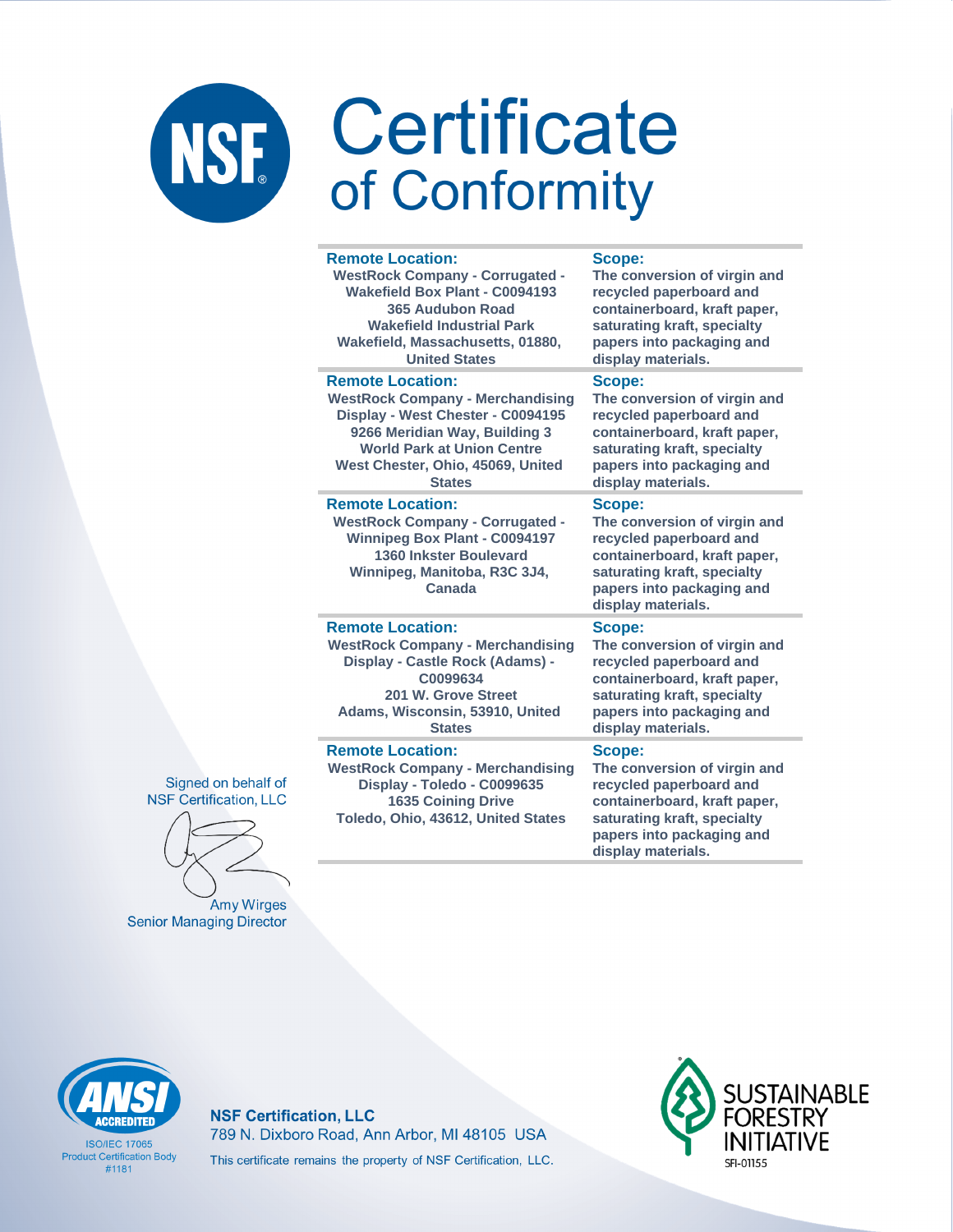| <b>Remote Location:</b>                                                                                                                                                       | Scope:                                                                                                                                                                              |
|-------------------------------------------------------------------------------------------------------------------------------------------------------------------------------|-------------------------------------------------------------------------------------------------------------------------------------------------------------------------------------|
| <b>WestRock Company - Corrugated -</b>                                                                                                                                        | The conversion of virgin and                                                                                                                                                        |
| <b>Wakefield Box Plant - C0094193</b>                                                                                                                                         | recycled paperboard and                                                                                                                                                             |
| 365 Audubon Road                                                                                                                                                              | containerboard, kraft paper,                                                                                                                                                        |
| <b>Wakefield Industrial Park</b>                                                                                                                                              | saturating kraft, specialty                                                                                                                                                         |
| Wakefield, Massachusetts, 01880,                                                                                                                                              | papers into packaging and                                                                                                                                                           |
| <b>United States</b>                                                                                                                                                          | display materials.                                                                                                                                                                  |
| <b>Remote Location:</b>                                                                                                                                                       | Scope:                                                                                                                                                                              |
| <b>WestRock Company - Merchandising</b>                                                                                                                                       | The conversion of virgin and                                                                                                                                                        |
| Display - West Chester - C0094195                                                                                                                                             | recycled paperboard and                                                                                                                                                             |
| 9266 Meridian Way, Building 3                                                                                                                                                 | containerboard, kraft paper,                                                                                                                                                        |
| <b>World Park at Union Centre</b>                                                                                                                                             | saturating kraft, specialty                                                                                                                                                         |
| West Chester, Ohio, 45069, United                                                                                                                                             | papers into packaging and                                                                                                                                                           |
| <b>States</b>                                                                                                                                                                 | display materials.                                                                                                                                                                  |
| <b>Remote Location:</b><br><b>WestRock Company - Corrugated -</b><br><b>Winnipeg Box Plant - C0094197</b><br>1360 Inkster Boulevard<br>Winnipeg, Manitoba, R3C 3J4,<br>Canada | Scope:<br>The conversion of virgin and<br>recycled paperboard and<br>containerboard, kraft paper,<br>saturating kraft, specialty<br>papers into packaging and<br>display materials. |
| <b>Remote Location:</b>                                                                                                                                                       | <b>Scope:</b>                                                                                                                                                                       |
| <b>WestRock Company - Merchandising</b>                                                                                                                                       | The conversion of virgin and                                                                                                                                                        |
| Display - Castle Rock (Adams) -                                                                                                                                               | recycled paperboard and                                                                                                                                                             |
| C0099634                                                                                                                                                                      | containerboard, kraft paper,                                                                                                                                                        |
| 201 W. Grove Street                                                                                                                                                           | saturating kraft, specialty                                                                                                                                                         |
| Adams, Wisconsin, 53910, United                                                                                                                                               | papers into packaging and                                                                                                                                                           |
| <b>States</b>                                                                                                                                                                 | display materials.                                                                                                                                                                  |
| <b>Remote Location:</b><br><b>WestRock Company - Merchandising</b><br>Display - Toledo - C0099635<br><b>1635 Coining Drive</b><br>Toledo, Ohio, 43612, United States          | Scope:<br>The conversion of virgin and<br>recycled paperboard and<br>containerboard, kraft paper,<br>saturating kraft, specialty<br>papers into packaging and                       |

display materials.

Signed on behalf of **NSF Certification, LLC** 

Amy Wirges **Senior Managing Director** 



**ISO/IEC 17065 Product Certification Body**  $#1181$ 

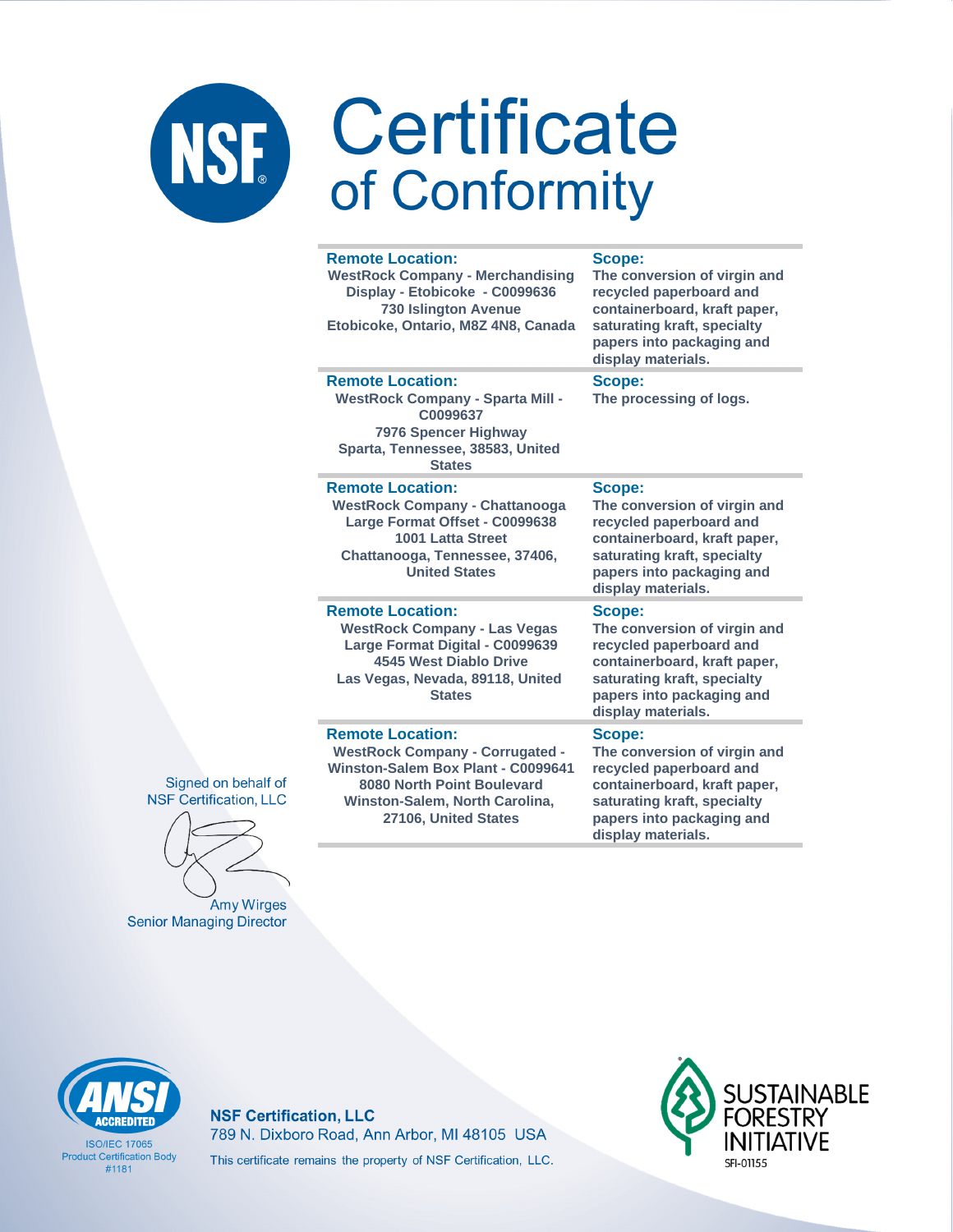### **Remote Location:**

**WestRock Company - Merchandising Display - Etobicoke - C0099636 730 Islington Avenue Etobicoke, Ontario, M8Z 4N8, Canada**

#### **Scope:**

**The conversion of virgin and recycled paperboard and containerboard, kraft paper, saturating kraft, specialty papers into packaging and display materials.**

**The processing of logs.**

### **Remote Location:**

**WestRock Company - Sparta Mill - C0099637 7976 Spencer Highway Sparta, Tennessee, 38583, United States**

#### **Remote Location:**

**WestRock Company - Chattanooga Large Format Offset - C0099638 1001 Latta Street Chattanooga, Tennessee, 37406, United States**

### **Remote Location:**

**WestRock Company - Las Vegas Large Format Digital - C0099639 4545 West Diablo Drive Las Vegas, Nevada, 89118, United States**

### **Remote Location:**

**WestRock Company - Corrugated - Winston-Salem Box Plant - C0099641 8080 North Point Boulevard Winston-Salem, North Carolina, 27106, United States**

### **Scope:**

**Scope:**

**The conversion of virgin and recycled paperboard and containerboard, kraft paper, saturating kraft, specialty papers into packaging and display materials.**

#### **Scope:**

**The conversion of virgin and recycled paperboard and containerboard, kraft paper, saturating kraft, specialty papers into packaging and display materials.**

#### **Scope:**

**The conversion of virgin and recycled paperboard and containerboard, kraft paper, saturating kraft, specialty papers into packaging and display materials.**

Signed on behalf of **NSF Certification, LLC** 

**Amy Wirges Senior Managing Director** 



**ISO/IFC 17065 Product Certification Body** #1181

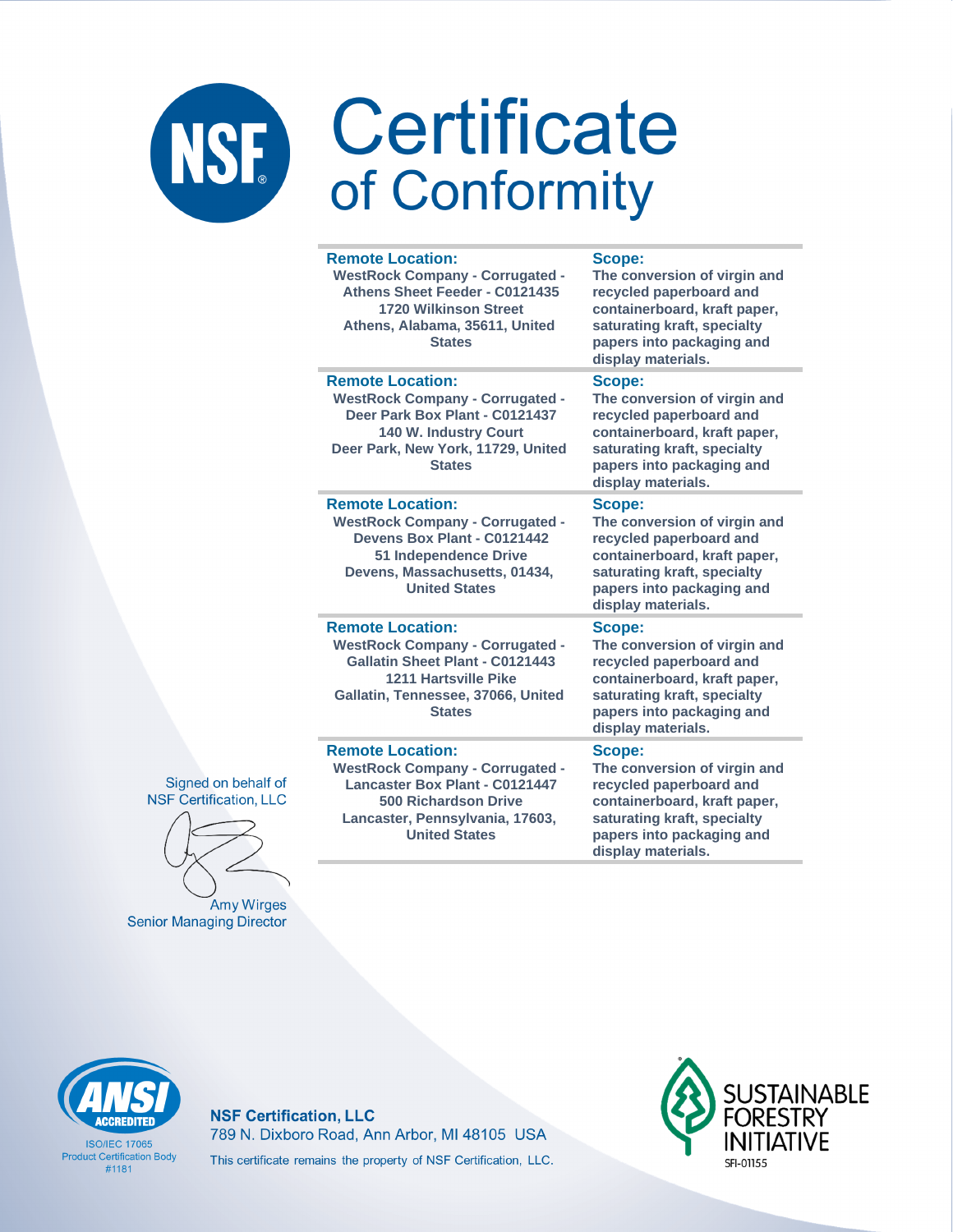| <b>Remote Location:</b><br><b>WestRock Company - Corrugated -</b><br>Athens Sheet Feeder - C0121435<br><b>1720 Wilkinson Street</b><br>Athens, Alabama, 35611, United<br><b>States</b>               | Scope:<br>The conversion of virgin and<br>recycled paperboard and<br>containerboard, kraft paper,<br>saturating kraft, specialty<br>papers into packaging and<br>display materials. |
|------------------------------------------------------------------------------------------------------------------------------------------------------------------------------------------------------|-------------------------------------------------------------------------------------------------------------------------------------------------------------------------------------|
| <b>Remote Location:</b><br><b>WestRock Company - Corrugated -</b><br>Deer Park Box Plant - C0121437<br><b>140 W. Industry Court</b><br>Deer Park, New York, 11729, United<br><b>States</b>           | Scope:<br>The conversion of virgin and<br>recycled paperboard and<br>containerboard, kraft paper,<br>saturating kraft, specialty<br>papers into packaging and<br>display materials. |
| <b>Remote Location:</b><br><b>WestRock Company - Corrugated -</b><br>Devens Box Plant - C0121442<br>51 Independence Drive<br>Devens, Massachusetts, 01434,<br><b>United States</b>                   | Scope:<br>The conversion of virgin and<br>recycled paperboard and<br>containerboard, kraft paper,<br>saturating kraft, specialty<br>papers into packaging and<br>display materials. |
| <b>Remote Location:</b><br><b>WestRock Company - Corrugated -</b><br>Gallatin Sheet Plant - C0121443<br><b>1211 Hartsville Pike</b><br>Gallatin, Tennessee, 37066, United<br><b>States</b>           | Scope:<br>The conversion of virgin and<br>recycled paperboard and<br>containerboard, kraft paper,<br>saturating kraft, specialty<br>papers into packaging and<br>display materials. |
| <b>Remote Location:</b><br><b>WestRock Company - Corrugated -</b><br><b>Lancaster Box Plant - C0121447</b><br><b>500 Richardson Drive</b><br>Lancaster, Pennsylvania, 17603,<br><b>United States</b> | Scope:<br>The conversion of virgin and<br>recycled paperboard and<br>containerboard, kraft paper,<br>saturating kraft, specialty<br>papers into packaging and                       |

display materials.

Signed on behalf of **NSF Certification, LLC** 

Amy Wirges **Senior Managing Director** 



**ISO/IFC 17065 Product Certification Body**  $#1181$ 

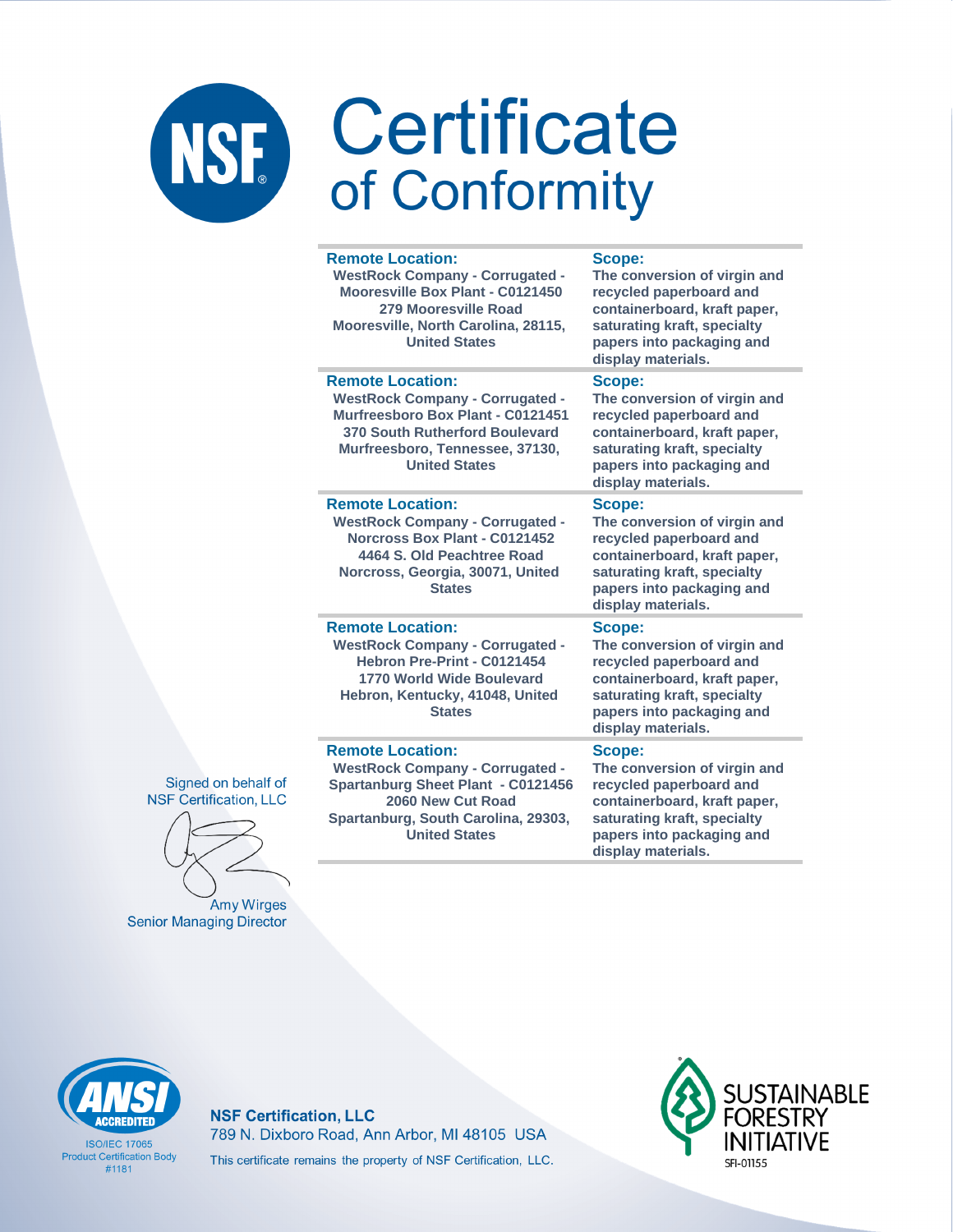×.

×.

| <b>Remote Location:</b><br><b>WestRock Company - Corrugated -</b><br>Mooresville Box Plant - C0121450<br>279 Mooresville Road<br>Mooresville, North Carolina, 28115,<br><b>United States</b>        | Scope:<br>The conversion of virgin and<br>recycled paperboard and<br>containerboard, kraft paper,<br>saturating kraft, specialty<br>papers into packaging and<br>display materials. |
|-----------------------------------------------------------------------------------------------------------------------------------------------------------------------------------------------------|-------------------------------------------------------------------------------------------------------------------------------------------------------------------------------------|
| <b>Remote Location:</b><br><b>WestRock Company - Corrugated -</b><br>Murfreesboro Box Plant - C0121451<br>370 South Rutherford Boulevard<br>Murfreesboro, Tennessee, 37130,<br><b>United States</b> | Scope:<br>The conversion of virgin and<br>recycled paperboard and<br>containerboard, kraft paper,<br>saturating kraft, specialty<br>papers into packaging and<br>display materials. |
| <b>Remote Location:</b><br><b>WestRock Company - Corrugated -</b><br>Norcross Box Plant - C0121452<br>4464 S. Old Peachtree Road<br>Norcross, Georgia, 30071, United<br><b>States</b>               | Scope:<br>The conversion of virgin and<br>recycled paperboard and<br>containerboard, kraft paper,<br>saturating kraft, specialty<br>papers into packaging and<br>display materials. |
| <b>Remote Location:</b><br><b>WestRock Company - Corrugated -</b><br>Hebron Pre-Print - C0121454<br><b>1770 World Wide Boulevard</b><br>Hebron, Kentucky, 41048, United<br><b>States</b>            | Scope:<br>The conversion of virgin and<br>recycled paperboard and<br>containerboard, kraft paper,<br>saturating kraft, specialty<br>papers into packaging and<br>display materials. |
| <b>Remote Location:</b><br><b>WestRock Company - Corrugated -</b><br><b>Spartanburg Sheet Plant - C0121456</b><br>2060 New Cut Road<br>Spartanburg, South Carolina, 29303,<br><b>United States</b>  | Scope:<br>The conversion of virgin and<br>recycled paperboard and<br>containerboard, kraft paper,<br>saturating kraft, specialty<br>papers into packaging and                       |

display materials.

Signed on behalf of **NSF Certification, LLC** 

Amy Wirges **Senior Managing Director** 



**ISO/IFC 17065 Product Certification Body** #1181

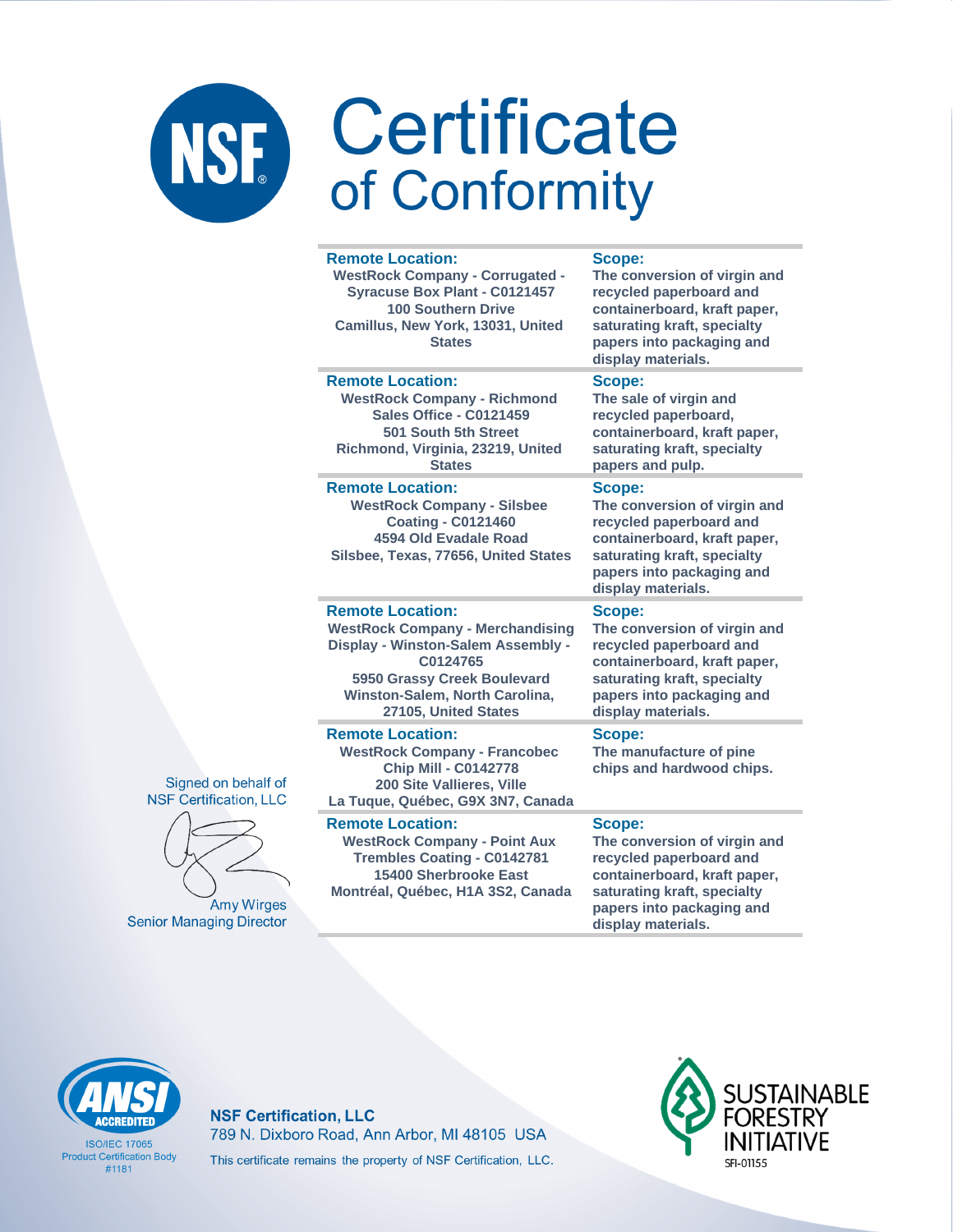#### **Remote Location:**

**WestRock Company - Corrugated - Syracuse Box Plant - C0121457 100 Southern Drive Camillus, New York, 13031, United States**

### **Scope:**

**Scope:**

**Scope:**

**The conversion of virgin and recycled paperboard and containerboard, kraft paper, saturating kraft, specialty papers into packaging and display materials.**

**The sale of virgin and recycled paperboard, containerboard, kraft paper, saturating kraft, specialty** 

**papers and pulp.**

**display materials.**

### **Remote Location:**

**WestRock Company - Richmond Sales Office - C0121459 501 South 5th Street Richmond, Virginia, 23219, United States**

#### **Remote Location:**

**WestRock Company - Silsbee Coating - C0121460 4594 Old Evadale Road Silsbee, Texas, 77656, United States**

### **Remote Location:**

**WestRock Company - Merchandising Display - Winston-Salem Assembly - C0124765 5950 Grassy Creek Boulevard Winston-Salem, North Carolina, 27105, United States**

#### **Remote Location:**

**WestRock Company - Francobec Chip Mill - C0142778 200 Site Vallieres, Ville La Tuque, Québec, G9X 3N7, Canada**

### **Remote Location:**

**WestRock Company - Point Aux Trembles Coating - C0142781 15400 Sherbrooke East Montréal, Québec, H1A 3S2, Canada**

### **Scope:**

**The conversion of virgin and recycled paperboard and containerboard, kraft paper, saturating kraft, specialty papers into packaging and display materials.**

**The conversion of virgin and recycled paperboard and containerboard, kraft paper, saturating kraft, specialty papers into packaging and** 

### **Scope:**

**The manufacture of pine chips and hardwood chips.**

#### **Scope:**

**The conversion of virgin and recycled paperboard and containerboard, kraft paper, saturating kraft, specialty papers into packaging and display materials.**



**ISO/IFC 17065 Product Certification Body** #1181

**NSF Certification, LLC** 789 N. Dixboro Road, Ann Arbor, MI 48105 USA This certificate remains the property of NSF Certification, LLC.





Signed on behalf of

**Amy Wirges Senior Managing Director**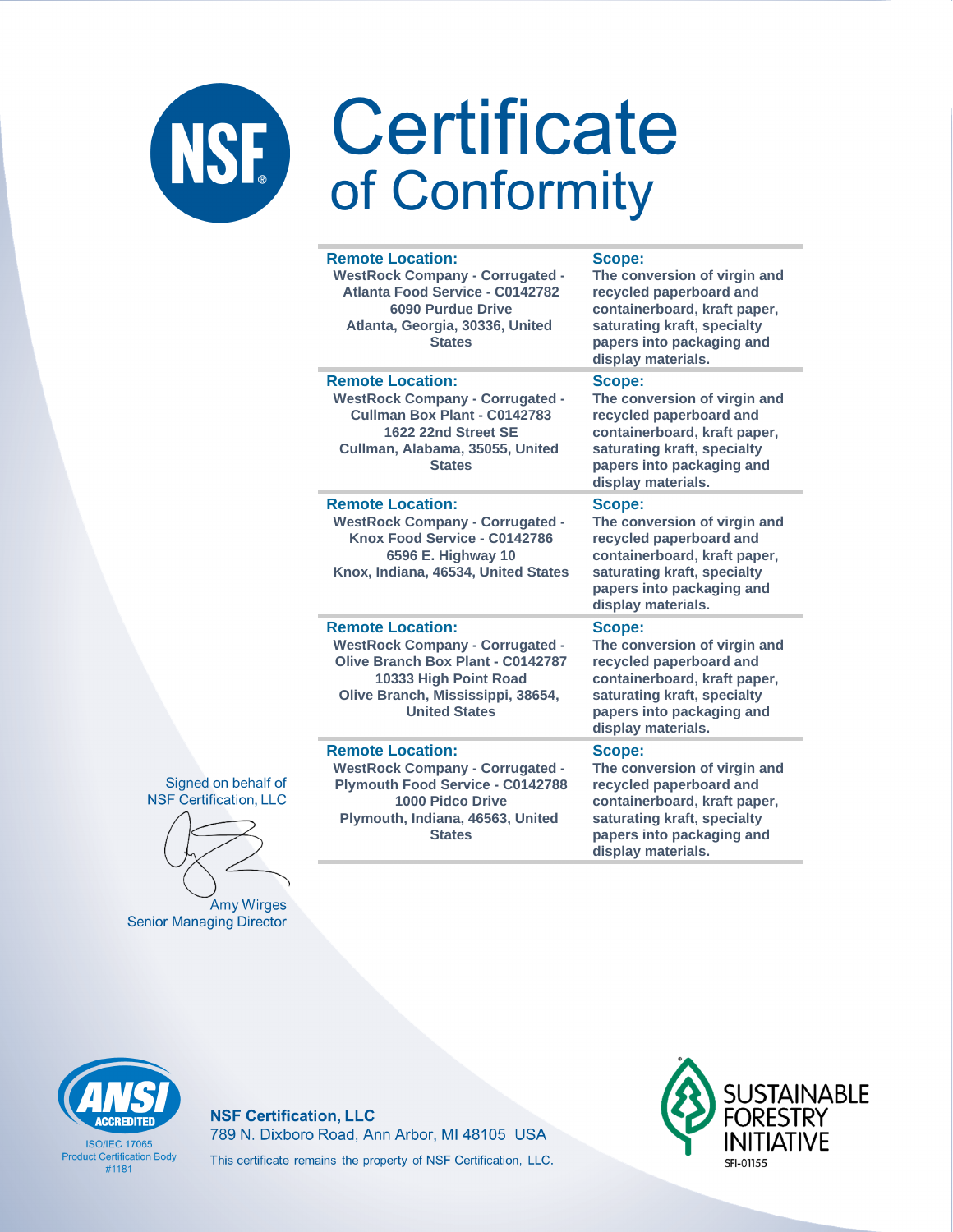| <b>Remote Location:</b><br><b>WestRock Company - Corrugated -</b><br>Atlanta Food Service - C0142782<br><b>6090 Purdue Drive</b><br>Atlanta, Georgia, 30336, United<br><b>States</b>                | Scope:<br>The conversion of virgin and<br>recycled paperboard and<br>containerboard, kraft paper,<br>saturating kraft, specialty<br>papers into packaging and<br>display materials. |
|-----------------------------------------------------------------------------------------------------------------------------------------------------------------------------------------------------|-------------------------------------------------------------------------------------------------------------------------------------------------------------------------------------|
| <b>Remote Location:</b><br><b>WestRock Company - Corrugated -</b><br>Cullman Box Plant - C0142783<br>1622 22nd Street SE<br>Cullman, Alabama, 35055, United<br><b>States</b>                        | Scope:<br>The conversion of virgin and<br>recycled paperboard and<br>containerboard, kraft paper,<br>saturating kraft, specialty<br>papers into packaging and<br>display materials. |
| <b>Remote Location:</b><br><b>WestRock Company - Corrugated -</b><br>Knox Food Service - C0142786<br>6596 E. Highway 10<br>Knox, Indiana, 46534, United States                                      | Scope:<br>The conversion of virgin and<br>recycled paperboard and<br>containerboard, kraft paper,<br>saturating kraft, specialty<br>papers into packaging and<br>display materials. |
| <b>Remote Location:</b><br><b>WestRock Company - Corrugated -</b><br><b>Olive Branch Box Plant - C0142787</b><br>10333 High Point Road<br>Olive Branch, Mississippi, 38654,<br><b>United States</b> | Scope:<br>The conversion of virgin and<br>recycled paperboard and<br>containerboard, kraft paper,<br>saturating kraft, specialty<br>papers into packaging and<br>display materials. |
| <b>Remote Location:</b><br><b>WestRock Company - Corrugated -</b><br><b>Plymouth Food Service - C0142788</b><br>1000 Pidco Drive<br>Plymouth, Indiana, 46563, United<br><b>States</b>               | Scope:<br>The conversion of virgin and<br>recycled paperboard and<br>containerboard, kraft paper,<br>saturating kraft, specialty<br>papers into packaging and                       |

display materials.

Signed on behalf of **NSF Certification, LLC** 

Amy Wirges **Senior Managing Director** 

**CCREDITED** 

**ISO/IFC 17065 Product Certification Body**  $#1181$ 

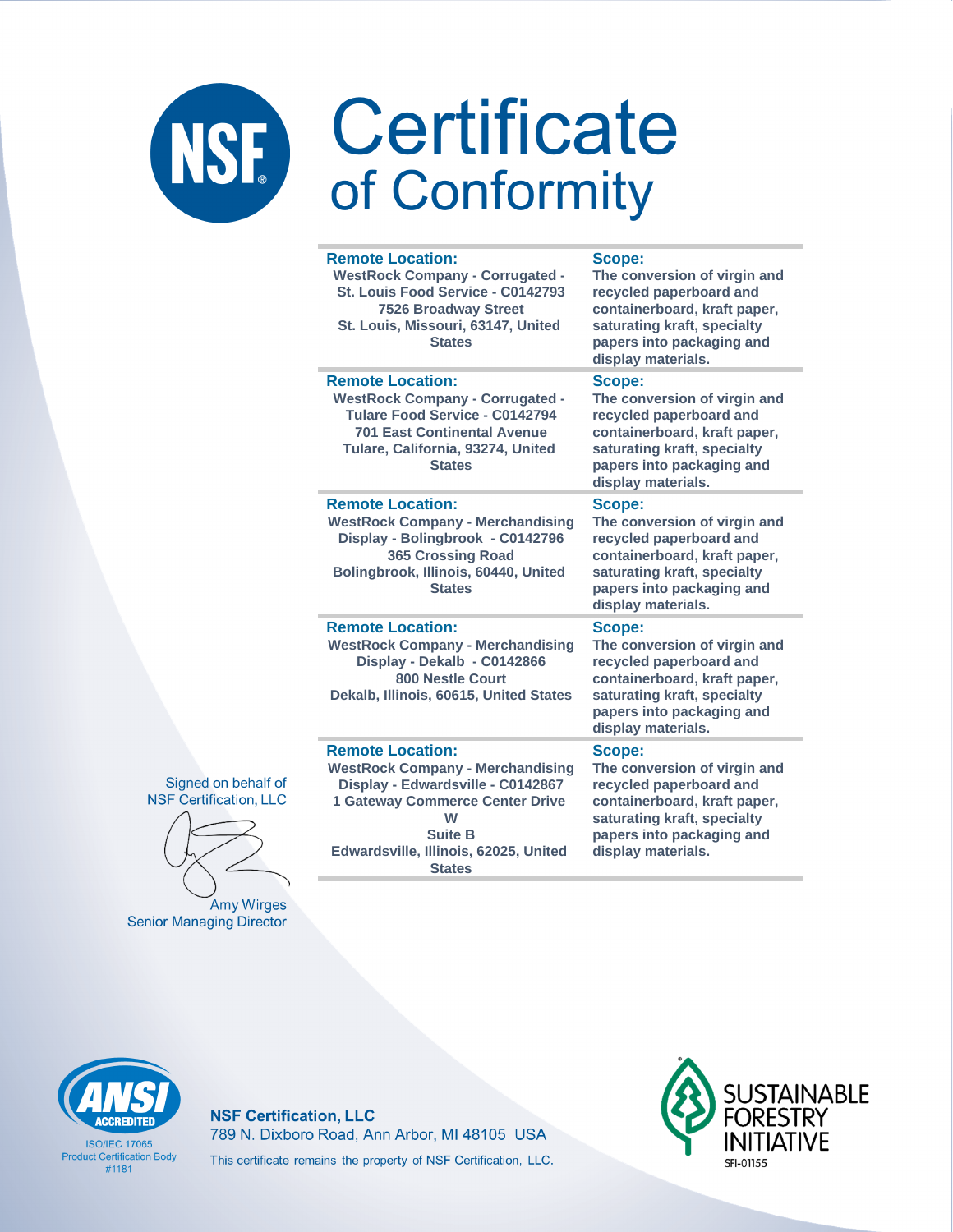| <b>Remote Location:</b><br><b>WestRock Company - Corrugated -</b><br>St. Louis Food Service - C0142793<br><b>7526 Broadway Street</b><br>St. Louis, Missouri, 63147, United<br><b>States</b>    | Scope:<br>The conversion of virgin and<br>recycled paperboard and<br>containerboard, kraft paper,<br>saturating kraft, specialty<br>papers into packaging and<br>display materials. |
|-------------------------------------------------------------------------------------------------------------------------------------------------------------------------------------------------|-------------------------------------------------------------------------------------------------------------------------------------------------------------------------------------|
| <b>Remote Location:</b><br><b>WestRock Company - Corrugated -</b><br>Tulare Food Service - C0142794<br><b>701 East Continental Avenue</b><br>Tulare, California, 93274, United<br><b>States</b> | Scope:<br>The conversion of virgin and<br>recycled paperboard and<br>containerboard, kraft paper,<br>saturating kraft, specialty<br>papers into packaging and<br>display materials. |
| <b>Remote Location:</b><br><b>WestRock Company - Merchandising</b><br>Display - Bolingbrook - C0142796<br><b>365 Crossing Road</b><br>Bolingbrook, Illinois, 60440, United<br><b>States</b>     | Scope:<br>The conversion of virgin and<br>recycled paperboard and<br>containerboard, kraft paper,<br>saturating kraft, specialty<br>papers into packaging and<br>display materials. |
| <b>Remote Location:</b><br><b>WestRock Company - Merchandising</b><br>Display - Dekalb - C0142866<br><b>800 Nestle Court</b><br>Dekalb, Illinois, 60615, United States                          | Scope:<br>The conversion of virgin and<br>recycled paperboard and<br>containerboard, kraft paper,<br>saturating kraft, specialty<br>papers into packaging and<br>display materials. |
| <b>Remote Location:</b><br><b>WestRock Company - Merchandising</b><br>Display - Edwardsville - C0142867<br><b>1 Gateway Commerce Center Drive</b><br>W<br><b>Suite B</b>                        | Scope:<br>The conversion of virgin and<br>recycled paperboard and<br>containerboard, kraft paper,<br>saturating kraft, specialty<br>papers into packaging and                       |

display materials.

Signed on behalf of **NSF Certification, LLC** 



Amy Wirges **Senior Managing Director** 

**CCREDITED** 

**ISO/IFC 17065 Product Certification Body** 

#1181

**NSF Certification, LLC** 789 N. Dixboro Road, Ann Arbor, MI 48105 USA This certificate remains the property of NSF Certification, LLC.

Edwardsville, Illinois, 62025, United

**States** 

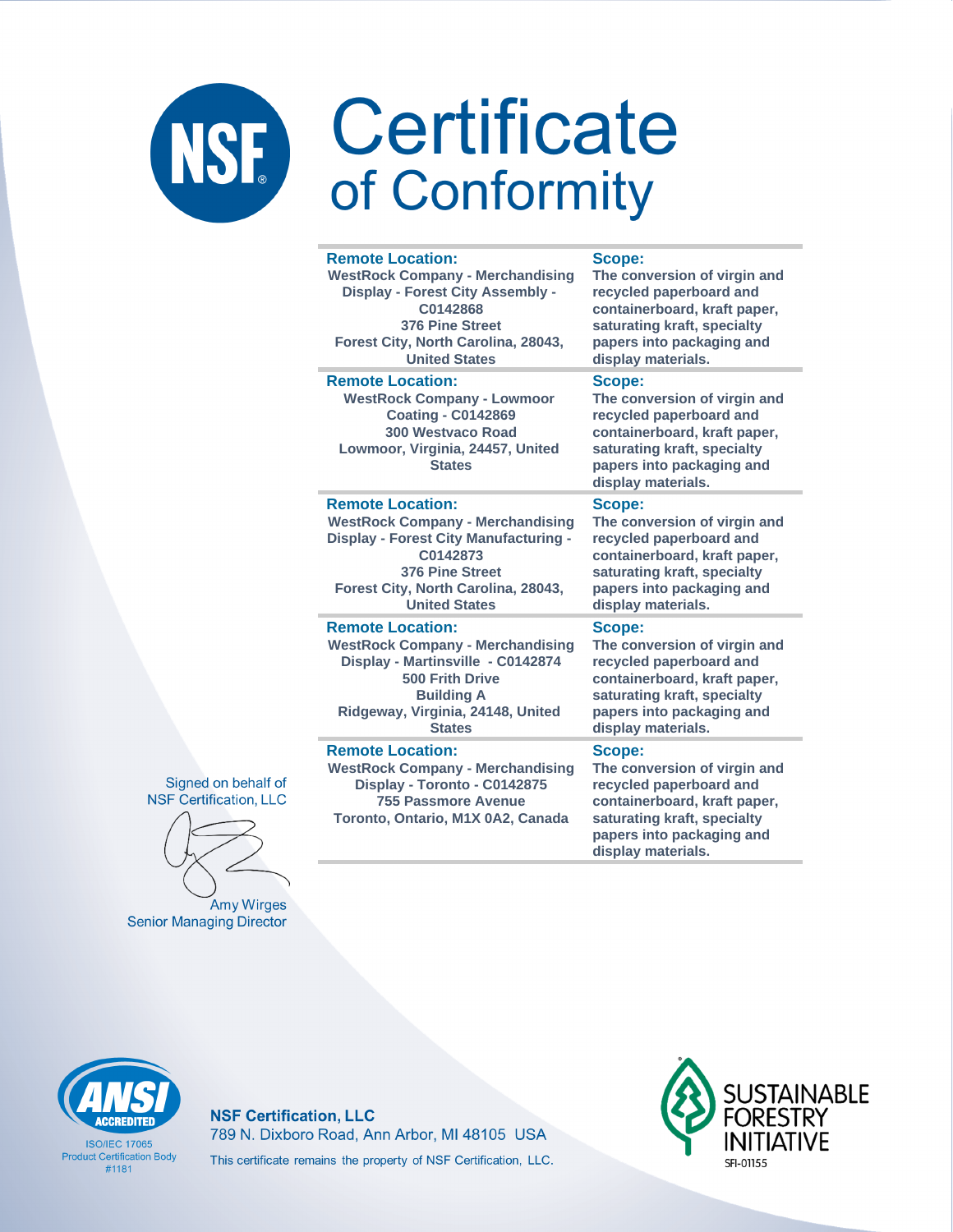#### **Remote Location: WestRock Company - Merchandising Display - Forest City Assembly - C0142868 376 Pine Street Forest City, North Carolina, 28043, United States display materials. Remote Location: WestRock Company - Lowmoor Coating - C0142869 300 Westvaco Road Lowmoor, Virginia, 24457, United States Scope: display materials. Remote Location: WestRock Company - Merchandising Display - Forest City Manufacturing - C0142873 376 Pine Street Forest City, North Carolina, 28043, United States Scope: display materials. Remote Location: WestRock Company - Merchandising Display - Martinsville - C0142874 500 Frith Drive Building A Ridgeway, Virginia, 24148, United States Scope: display materials.**

#### **Remote Location:**

**WestRock Company - Merchandising Display - Toronto - C0142875 755 Passmore Avenue Toronto, Ontario, M1X 0A2, Canada**

#### **Scope:**

**The conversion of virgin and recycled paperboard and containerboard, kraft paper, saturating kraft, specialty papers into packaging and** 

**The conversion of virgin and recycled paperboard and containerboard, kraft paper, saturating kraft, specialty papers into packaging and** 

**The conversion of virgin and recycled paperboard and containerboard, kraft paper, saturating kraft, specialty papers into packaging and** 

**The conversion of virgin and recycled paperboard and containerboard, kraft paper, saturating kraft, specialty papers into packaging and** 

#### **Scope:**

**The conversion of virgin and recycled paperboard and containerboard, kraft paper, saturating kraft, specialty papers into packaging and display materials.**



**Amy Wirges Senior Managing Director** 



**ISO/IFC 17065 Product Certification Body** #1181

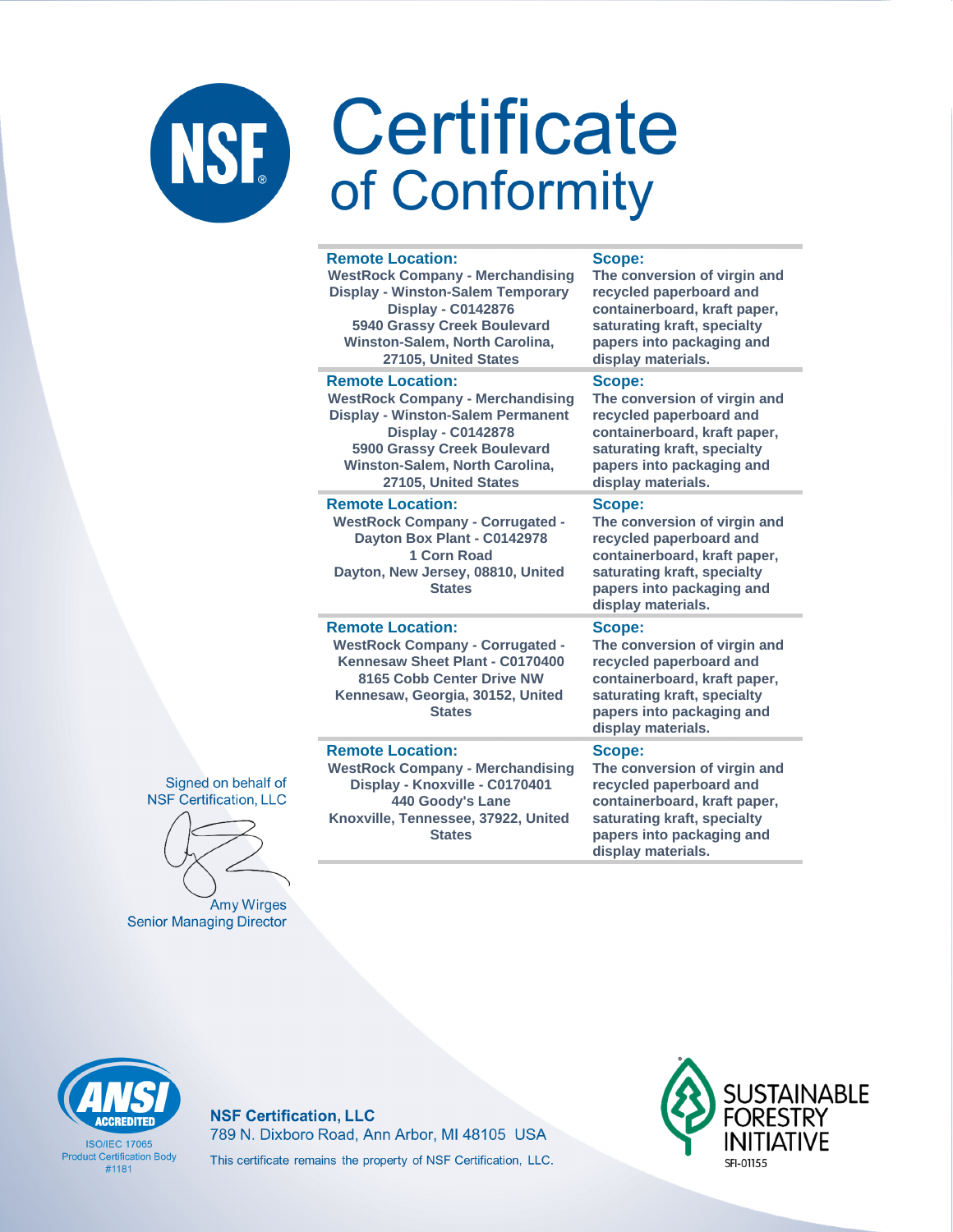#### **Remote Location:**

**WestRock Company - Merchandising Display - Winston-Salem Temporary Display - C0142876 5940 Grassy Creek Boulevard Winston-Salem, North Carolina, 27105, United States**

### **Remote Location:**

**WestRock Company - Merchandising Display - Winston-Salem Permanent Display - C0142878 5900 Grassy Creek Boulevard Winston-Salem, North Carolina, 27105, United States**

#### **Remote Location:**

**WestRock Company - Corrugated - Dayton Box Plant - C0142978 1 Corn Road Dayton, New Jersey, 08810, United States**

#### **Remote Location:**

**WestRock Company - Corrugated - Kennesaw Sheet Plant - C0170400 8165 Cobb Center Drive NW Kennesaw, Georgia, 30152, United States**

#### **Remote Location:**

**WestRock Company - Merchandising Display - Knoxville - C0170401 440 Goody's Lane Knoxville, Tennessee, 37922, United States**

#### **Scope:**

**The conversion of virgin and recycled paperboard and containerboard, kraft paper, saturating kraft, specialty papers into packaging and display materials.**

### **Scope:**

**The conversion of virgin and recycled paperboard and containerboard, kraft paper, saturating kraft, specialty papers into packaging and display materials.**

#### **Scope:**

**The conversion of virgin and recycled paperboard and containerboard, kraft paper, saturating kraft, specialty papers into packaging and display materials.**

#### **Scope:**

**The conversion of virgin and recycled paperboard and containerboard, kraft paper, saturating kraft, specialty papers into packaging and display materials.**

#### **Scope:**

**The conversion of virgin and recycled paperboard and containerboard, kraft paper, saturating kraft, specialty papers into packaging and display materials.**



**Amy Wirges Senior Managing Director** 



**ISO/IFC 17065 Product Certification Body** #1181

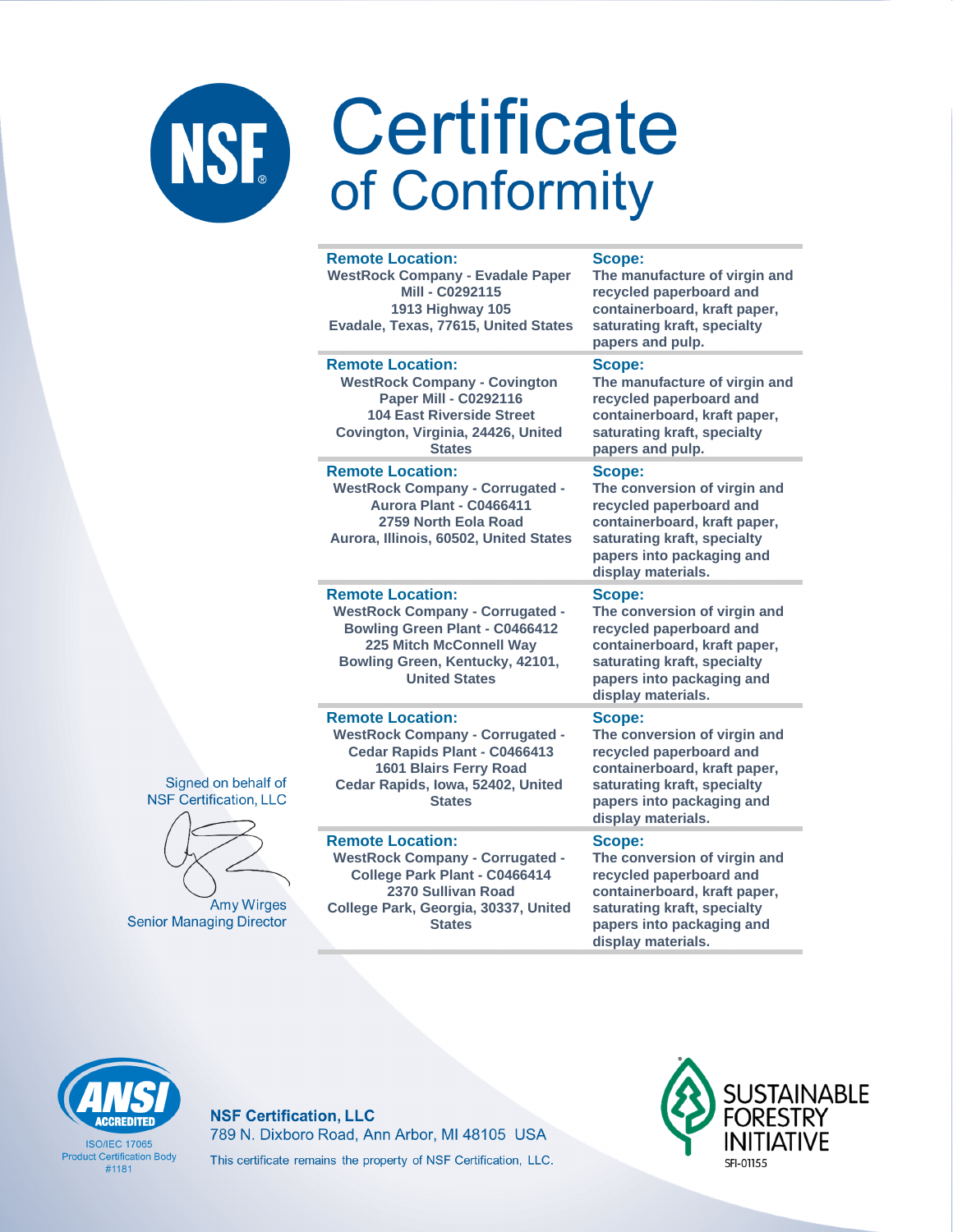| <b>Remote Location:</b><br><b>WestRock Company - Evadale Paper</b><br>Mill - C0292115<br>1913 Highway 105<br>Evadale, Texas, 77615, United States                                                | <b>Scope:</b><br>The manufacture of virgin and<br>recycled paperboard and<br>containerboard, kraft paper,<br>saturating kraft, specialty<br>papers and pulp.                               |
|--------------------------------------------------------------------------------------------------------------------------------------------------------------------------------------------------|--------------------------------------------------------------------------------------------------------------------------------------------------------------------------------------------|
| <b>Remote Location:</b><br><b>WestRock Company - Covington</b><br><b>Paper Mill - C0292116</b><br><b>104 East Riverside Street</b><br>Covington, Virginia, 24426, United<br><b>States</b>        | Scope:<br>The manufacture of virgin and<br>recycled paperboard and<br>containerboard, kraft paper,<br>saturating kraft, specialty<br>papers and pulp.                                      |
| <b>Remote Location:</b><br><b>WestRock Company - Corrugated -</b><br>Aurora Plant - C0466411<br>2759 North Eola Road<br>Aurora, Illinois, 60502, United States                                   | Scope:<br>The conversion of virgin and<br>recycled paperboard and<br>containerboard, kraft paper,<br>saturating kraft, specialty<br>papers into packaging and<br>display materials.        |
| <b>Remote Location:</b><br><b>WestRock Company - Corrugated -</b><br><b>Bowling Green Plant - C0466412</b><br>225 Mitch McConnell Way<br>Bowling Green, Kentucky, 42101,<br><b>United States</b> | <b>Scope:</b><br>The conversion of virgin and<br>recycled paperboard and<br>containerboard, kraft paper,<br>saturating kraft, specialty<br>papers into packaging and<br>display materials. |
| <b>Remote Location:</b><br><b>WestRock Company - Corrugated -</b><br>Cedar Rapids Plant - C0466413<br><b>1601 Blairs Ferry Road</b><br>Cedar Rapids, Iowa, 52402, United<br><b>States</b>        | Scope:<br>The conversion of virgin and<br>recycled paperboard and<br>containerboard, kraft paper,<br>saturating kraft, specialty<br>papers into packaging and<br>display materials.        |
| <b>Remote Location:</b><br><b>WestRock Company - Corrugated -</b><br>College Park Plant - C0466414<br>2370 Sullivan Road<br>College Park, Georgia, 30337, United<br><b>States</b>                | Scope:<br>The conversion of virgin and<br>recycled paperboard and<br>containerboard, kraft paper,<br>saturating kraft, specialty<br>papers into packaging and<br>display materials.        |



**ISO/IFC 17065 Product Certification Body**  $#1181$ 

### **NSF Certification, LLC** 789 N. Dixboro Road, Ann Arbor, MI 48105 USA This certificate remains the property of NSF Certification, LLC.



Signed on behalf of **NSF Certification, LLC** 



**Amy Wirges Senior Managing Director**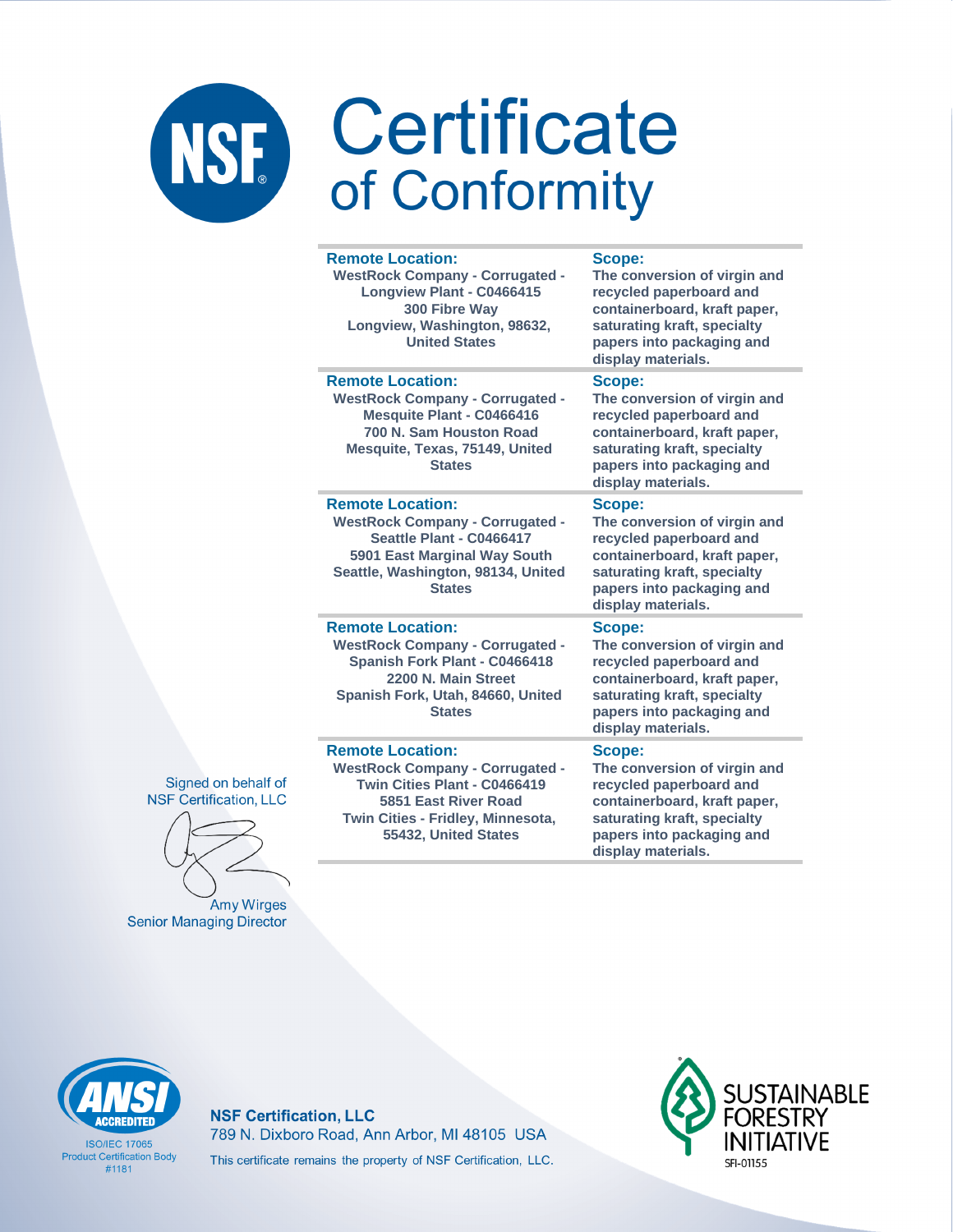i.

i.

| <b>Remote Location:</b><br><b>WestRock Company - Corrugated -</b><br>Longview Plant - C0466415<br>300 Fibre Way<br>Longview, Washington, 98632,<br><b>United States</b>                | Scope:<br>The conversion of virgin and<br>recycled paperboard and<br>containerboard, kraft paper,<br>saturating kraft, specialty<br>papers into packaging and<br>display materials. |
|----------------------------------------------------------------------------------------------------------------------------------------------------------------------------------------|-------------------------------------------------------------------------------------------------------------------------------------------------------------------------------------|
| <b>Remote Location:</b><br><b>WestRock Company - Corrugated -</b><br><b>Mesquite Plant - C0466416</b><br>700 N. Sam Houston Road<br>Mesquite, Texas, 75149, United<br><b>States</b>    | Scope:<br>The conversion of virgin and<br>recycled paperboard and<br>containerboard, kraft paper,<br>saturating kraft, specialty<br>papers into packaging and<br>display materials. |
| <b>Remote Location:</b><br><b>WestRock Company - Corrugated -</b><br>Seattle Plant - C0466417<br>5901 East Marginal Way South<br>Seattle, Washington, 98134, United<br><b>States</b>   | Scope:<br>The conversion of virgin and<br>recycled paperboard and<br>containerboard, kraft paper,<br>saturating kraft, specialty<br>papers into packaging and<br>display materials. |
| <b>Remote Location:</b><br><b>WestRock Company - Corrugated -</b><br>Spanish Fork Plant - C0466418<br>2200 N. Main Street<br>Spanish Fork, Utah, 84660, United<br><b>States</b>        | Scope:<br>The conversion of virgin and<br>recycled paperboard and<br>containerboard, kraft paper,<br>saturating kraft, specialty<br>papers into packaging and<br>display materials. |
| <b>Remote Location:</b><br><b>WestRock Company - Corrugated -</b><br>Twin Cities Plant - C0466419<br>5851 East River Road<br>Twin Cities - Fridley, Minnesota,<br>55432, United States | Scope:<br>The conversion of virgin and<br>recycled paperboard and<br>containerboard, kraft paper,<br>saturating kraft, specialty<br>papers into packaging and                       |

display materials.

Signed on behalf of **NSF Certification, LLC** 

Amy Wirges **Senior Managing Director**  z, united states



**ISO/IFC 17065 Product Certification Body**  $#1181$ 

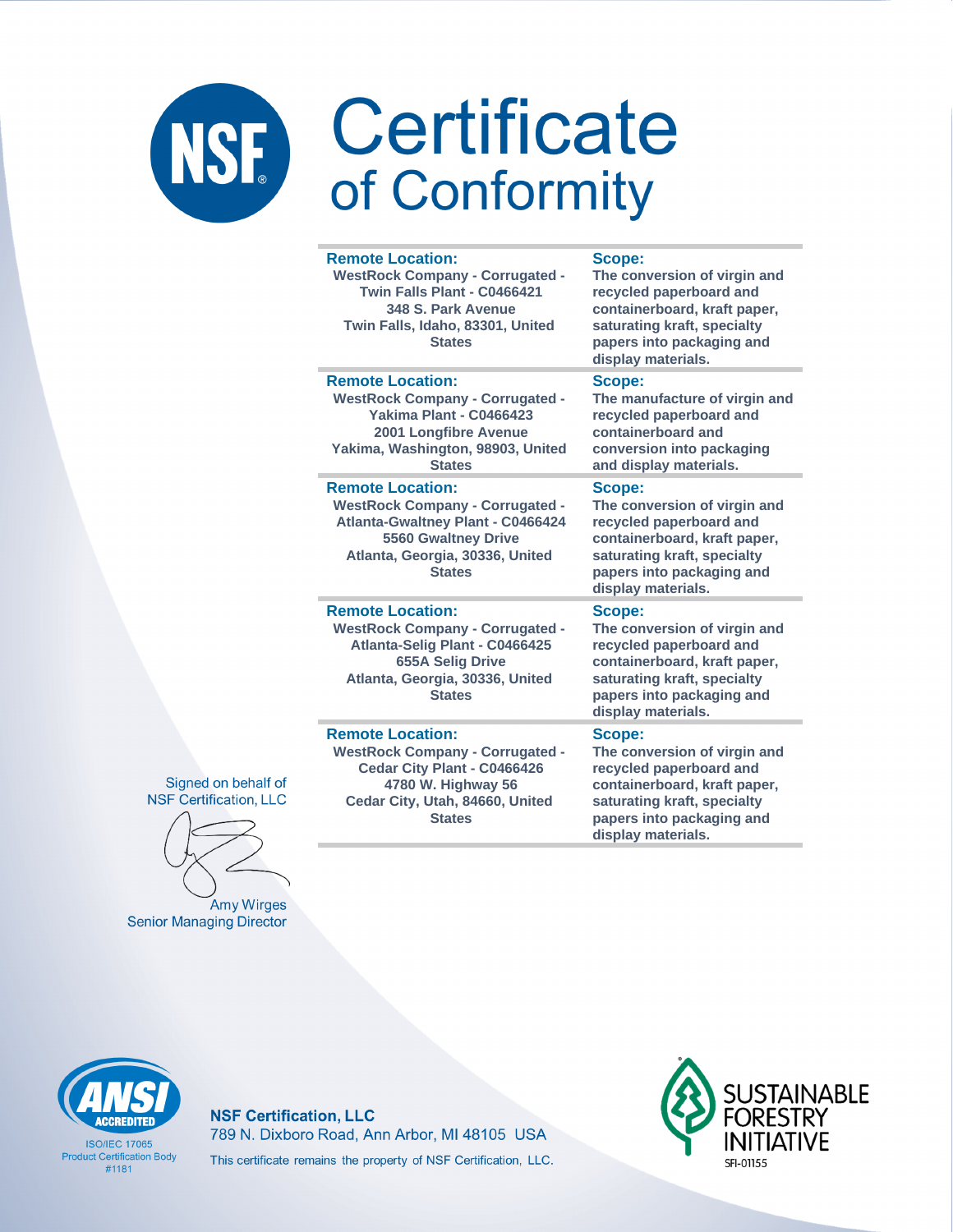|  | <b>Remote Location:</b><br><b>WestRock Company - Corrugated -</b><br>Twin Falls Plant - C0466421<br>348 S. Park Avenue<br>Twin Falls, Idaho, 83301, United<br><b>States</b>                     | Scope:<br>The conversion of virgin and<br>recycled paperboard and<br>containerboard, kraft paper,<br>saturating kraft, specialty<br>papers into packaging and<br>display materials. |
|--|-------------------------------------------------------------------------------------------------------------------------------------------------------------------------------------------------|-------------------------------------------------------------------------------------------------------------------------------------------------------------------------------------|
|  | <b>Remote Location:</b><br><b>WestRock Company - Corrugated -</b><br>Yakima Plant - C0466423<br>2001 Longfibre Avenue<br>Yakima, Washington, 98903, United<br><b>States</b>                     | Scope:<br>The manufacture of virgin and<br>recycled paperboard and<br>containerboard and<br>conversion into packaging<br>and display materials.                                     |
|  | <b>Remote Location:</b><br><b>WestRock Company - Corrugated -</b><br><b>Atlanta-Gwaltney Plant - C0466424</b><br><b>5560 Gwaltney Drive</b><br>Atlanta, Georgia, 30336, United<br><b>States</b> | Scope:<br>The conversion of virgin and<br>recycled paperboard and<br>containerboard, kraft paper,<br>saturating kraft, specialty<br>papers into packaging and<br>display materials. |
|  | <b>Remote Location:</b><br><b>WestRock Company - Corrugated -</b><br>Atlanta-Selig Plant - C0466425<br><b>655A Selig Drive</b><br>Atlanta, Georgia, 30336, United<br><b>States</b>              | Scope:<br>The conversion of virgin and<br>recycled paperboard and<br>containerboard, kraft paper,<br>saturating kraft, specialty<br>papers into packaging and<br>display materials. |
|  | <b>Remote Location:</b><br><b>WestRock Company - Corrugated -</b><br>Cedar City Plant - C0466426                                                                                                | Scope:<br>The conversion of virgin and<br>recycled paperboard and                                                                                                                   |

Signed on behalf of **NSF Certification, LLC** 

Amy Wirges **Senior Managing Director** 

**4780 W. Highway 56 Cedar City, Utah, 84660, United States**

**The conversion of virgin and containerboard, kraft paper, saturating kraft, specialty papers into packaging and display materials.**



**ISO/IFC 17065 Product Certification Body** #1181

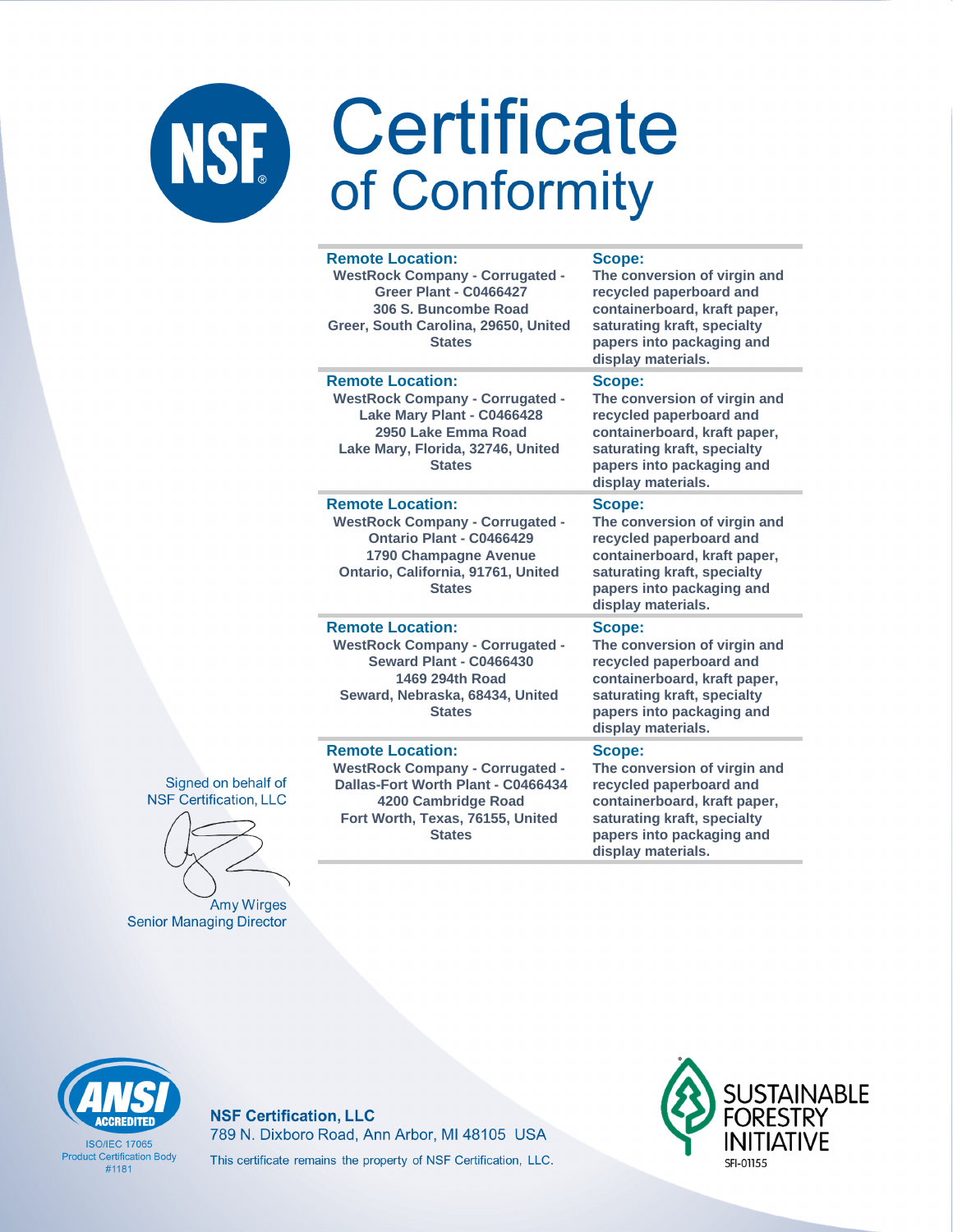|  | <b>Remote Location:</b><br><b>WestRock Company - Corrugated -</b><br><b>Greer Plant - C0466427</b><br>306 S. Buncombe Road<br>Greer, South Carolina, 29650, United<br><b>States</b> | Scope:<br>The conversion of virgin and<br>recycled paperboard and<br>containerboard, kraft paper,<br>saturating kraft, specialty<br>papers into packaging and<br>display materials. |
|--|-------------------------------------------------------------------------------------------------------------------------------------------------------------------------------------|-------------------------------------------------------------------------------------------------------------------------------------------------------------------------------------|
|  | <b>Remote Location:</b><br><b>WestRock Company - Corrugated -</b><br>Lake Mary Plant - C0466428<br>2950 Lake Emma Road<br>Lake Mary, Florida, 32746, United<br><b>States</b>        | Scope:<br>The conversion of virgin and<br>recycled paperboard and<br>containerboard, kraft paper,<br>saturating kraft, specialty<br>papers into packaging and<br>display materials. |
|  | <b>Remote Location:</b><br><b>WestRock Company - Corrugated -</b><br>Ontario Plant - C0466429<br>1790 Champagne Avenue<br>Ontario, California, 91761, United<br><b>States</b>       | Scope:<br>The conversion of virgin and<br>recycled paperboard and<br>containerboard, kraft paper,<br>saturating kraft, specialty<br>papers into packaging and<br>display materials. |
|  | <b>Remote Location:</b><br><b>WestRock Company - Corrugated -</b><br><b>Seward Plant - C0466430</b><br>1469 294th Road<br>Seward, Nebraska, 68434, United<br><b>States</b>          | Scope:<br>The conversion of virgin and<br>recycled paperboard and<br>containerboard, kraft paper,<br>saturating kraft, specialty<br>papers into packaging and<br>display materials. |
|  | <b>Remote Location:</b><br><b>WestRock Company - Corrugated -</b><br>Dallas-Fort Worth Plant - C0466434<br>4200 Cambridge Road<br>Fort Worth, Texas, 76155, United                  | Scope:<br>The conversion of virgin and<br>recycled paperboard and<br>containerboard, kraft paper,<br>saturating kraft, specialty                                                    |

Signed on behalf of **NSF Certification, LLC** 

**Amy Wirges Senior Managing Director** 

# **CCREDITEI**

**ISO/IFC 17065 Product Certification Body**  $#1181$ 

### **NSF Certification, LLC** 789 N. Dixboro Road, Ann Arbor, MI 48105 USA This certificate remains the property of NSF Certification, LLC.

**States** 



papers into packaging and

display materials.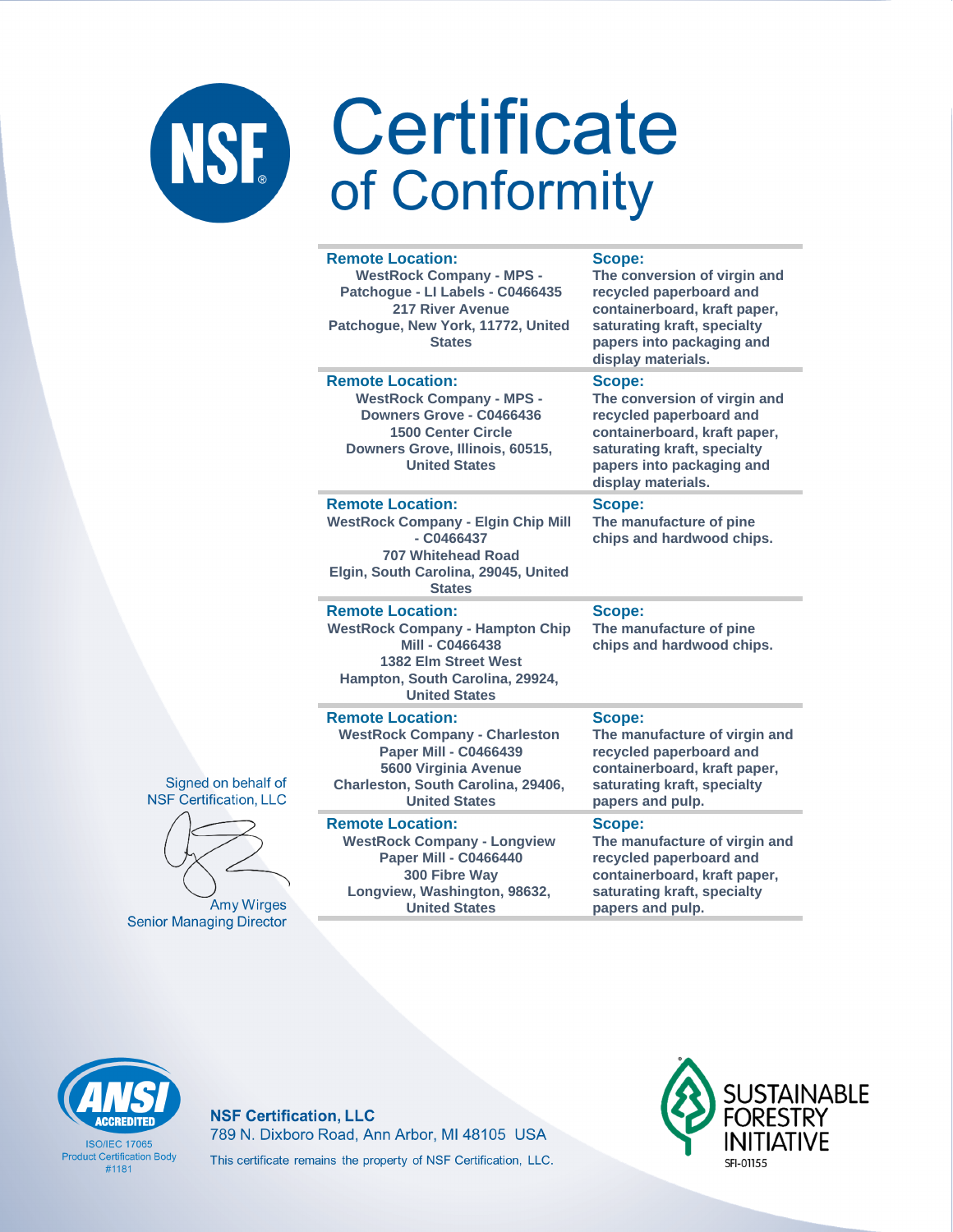|    | <b>Remote Location:</b><br><b>WestRock Company - MPS -</b><br>Patchogue - LI Labels - C0466435<br>217 River Avenue<br>Patchogue, New York, 11772, United<br><b>States</b>             | <b>Scope:</b><br>The conversion of virgin and<br>recycled paperboard and<br>containerboard, kraft paper,<br>saturating kraft, specialty<br>papers into packaging and<br>display materials. |
|----|---------------------------------------------------------------------------------------------------------------------------------------------------------------------------------------|--------------------------------------------------------------------------------------------------------------------------------------------------------------------------------------------|
|    | <b>Remote Location:</b><br><b>WestRock Company - MPS -</b><br>Downers Grove - C0466436<br><b>1500 Center Circle</b><br>Downers Grove, Illinois, 60515,<br><b>United States</b>        | Scope:<br>The conversion of virgin and<br>recycled paperboard and<br>containerboard, kraft paper,<br>saturating kraft, specialty<br>papers into packaging and<br>display materials.        |
|    | <b>Remote Location:</b><br><b>WestRock Company - Elgin Chip Mill</b><br>$-$ C0466437<br><b>707 Whitehead Road</b><br>Elgin, South Carolina, 29045, United<br><b>States</b>            | Scope:<br>The manufacture of pine<br>chips and hardwood chips.                                                                                                                             |
|    | <b>Remote Location:</b><br><b>WestRock Company - Hampton Chip</b><br>Mill - C0466438<br>1382 Elm Street West<br>Hampton, South Carolina, 29924,<br><b>United States</b>               | Scope:<br>The manufacture of pine<br>chips and hardwood chips.                                                                                                                             |
| if | <b>Remote Location:</b><br><b>WestRock Company - Charleston</b><br><b>Paper Mill - C0466439</b><br>5600 Virginia Avenue<br>Charleston, South Carolina, 29406,<br><b>United States</b> | <b>Scope:</b><br>The manufacture of virgin and<br>recycled paperboard and<br>containerboard, kraft paper,<br>saturating kraft, specialty<br>papers and pulp.                               |
|    | <b>Remote Location:</b><br><b>WestRock Company - Longview</b><br>Paper Mill - C0466440<br>300 Fibre Way<br>Longview, Washington, 98632,                                               | Scope:<br>The manufacture of virgin and<br>recycled paperboard and<br>containerboard, kraft paper,<br>saturating kraft, specialty                                                          |





**Amy Wirges Senior Managing Director** 

# **CCREDITEI**

**ISO/IFC 17065 Product Certification Body**  $#1181$ 

**NSF Certification, LLC** 789 N. Dixboro Road, Ann Arbor, MI 48105 USA This certificate remains the property of NSF Certification, LLC.

**United States** 



papers and pulp.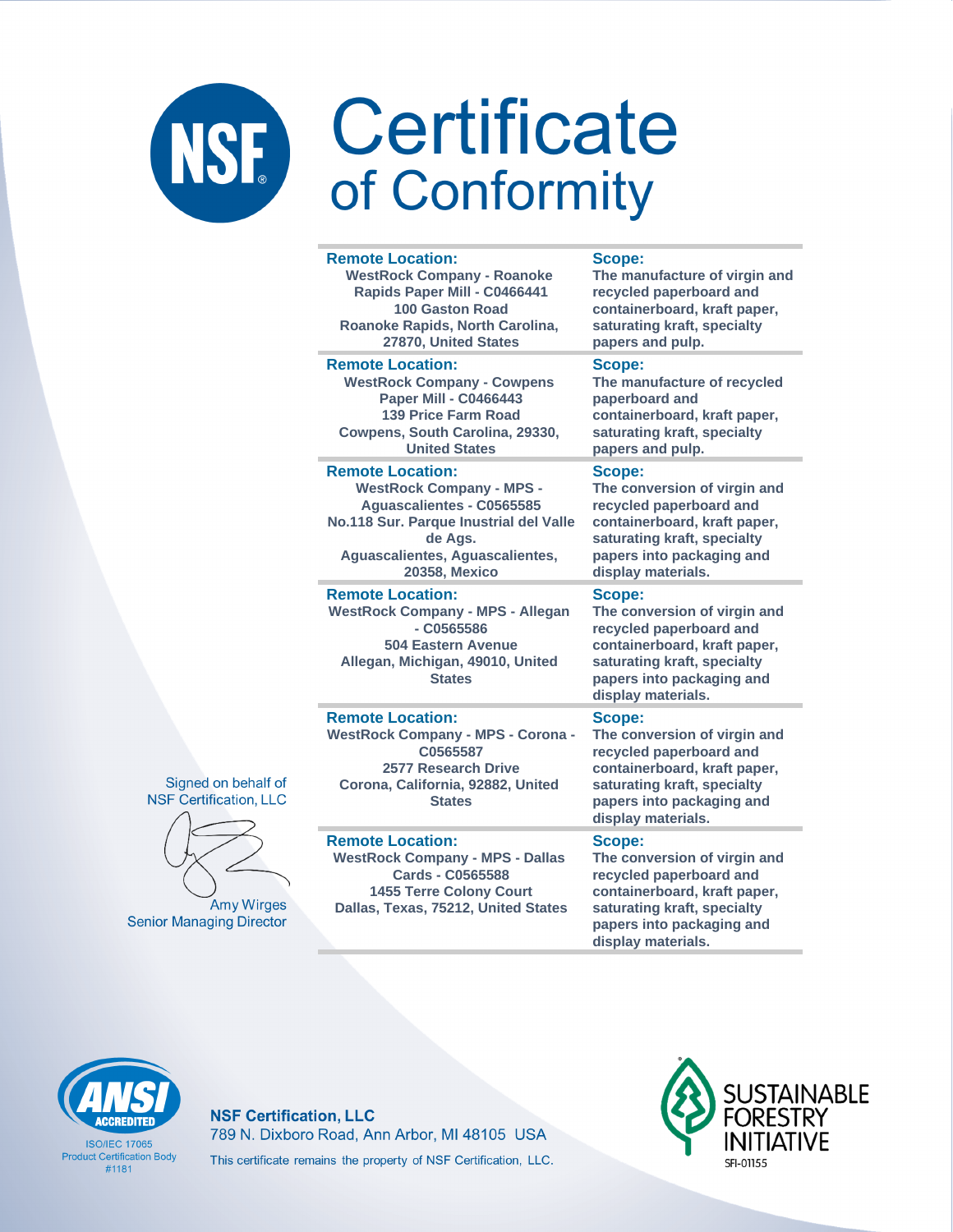#### **Remote Location:**

**WestRock Company - Roanoke Rapids Paper Mill - C0466441 100 Gaston Road Roanoke Rapids, North Carolina, 27870, United States**

#### **Remote Location:**

**WestRock Company - Cowpens Paper Mill - C0466443 139 Price Farm Road Cowpens, South Carolina, 29330, United States**

#### **Remote Location:**

**WestRock Company - MPS - Aguascalientes - C0565585 No.118 Sur. Parque Inustrial del Valle de Ags. Aguascalientes, Aguascalientes, 20358, Mexico**

### **Remote Location:**

**Remote Location:** 

**Remote Location:** 

**WestRock Company - MPS - Allegan - C0565586 504 Eastern Avenue Allegan, Michigan, 49010, United States**

**WestRock Company - MPS - Corona - C0565587 2577 Research Drive Corona, California, 92882, United States**

**WestRock Company - MPS - Dallas Cards - C0565588 1455 Terre Colony Court Dallas, Texas, 75212, United States**

#### **Scope:**

**The manufacture of virgin and recycled paperboard and containerboard, kraft paper, saturating kraft, specialty papers and pulp.**

### **Scope:**

**The manufacture of recycled paperboard and containerboard, kraft paper, saturating kraft, specialty papers and pulp.**

### **Scope:**

**The conversion of virgin and recycled paperboard and containerboard, kraft paper, saturating kraft, specialty papers into packaging and display materials.**

### **Scope:**

**The conversion of virgin and recycled paperboard and containerboard, kraft paper, saturating kraft, specialty papers into packaging and display materials.**

### **Scope:**

**The conversion of virgin and recycled paperboard and containerboard, kraft paper, saturating kraft, specialty papers into packaging and display materials.**

### **Scope:**

**The conversion of virgin and recycled paperboard and containerboard, kraft paper, saturating kraft, specialty papers into packaging and display materials.**

### Signed on behalf of **NSF Certification, LLC**



**Senior Managing Director** 

**NSF Certification, LLC** 789 N. Dixboro Road, Ann Arbor, MI 48105 USA This certificate remains the property of NSF Certification, LLC.



**ISO/IFC 17065 Product Certification Body** #1181



**Amy Wirges**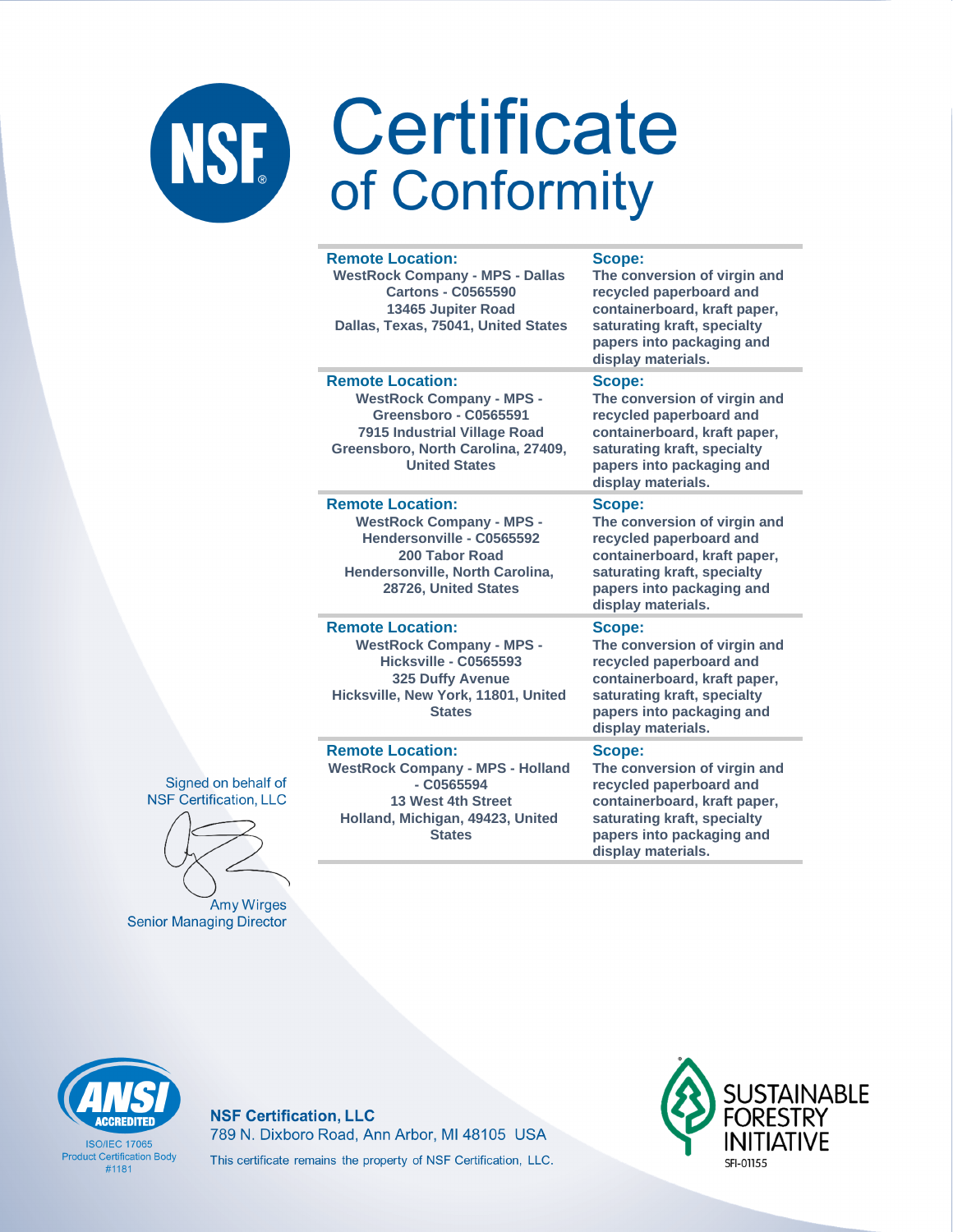#### **Remote Location: WestRock Company - MPS - Dallas Cartons - C0565590 13465 Jupiter Road Dallas, Texas, 75041, United States Scope: The conversion of virgin and recycled paperboard and containerboard, kraft paper, saturating kraft, specialty papers into packaging and display materials. Remote Location: WestRock Company - MPS - Greensboro - C0565591 7915 Industrial Village Road Greensboro, North Carolina, 27409, United States Scope: The conversion of virgin and recycled paperboard and containerboard, kraft paper, saturating kraft, specialty papers into packaging and display materials. Remote Location: WestRock Company - MPS - Hendersonville - C0565592 200 Tabor Road Hendersonville, North Carolina, 28726, United States Scope: The conversion of virgin and recycled paperboard and containerboard, kraft paper, saturating kraft, specialty papers into packaging and display materials. Remote Location: WestRock Company - MPS - Hicksville - C0565593 325 Duffy Avenue Hicksville, New York, 11801, United States Scope: The conversion of virgin and recycled paperboard and display materials.**

**Remote Location:** 

**WestRock Company - MPS - Holland - C0565594 13 West 4th Street Holland, Michigan, 49423, United States**

**containerboard, kraft paper, saturating kraft, specialty papers into packaging and** 

### **Scope:**

**The conversion of virgin and recycled paperboard and containerboard, kraft paper, saturating kraft, specialty papers into packaging and display materials.**





**Senior Managing Director** 



**ISO/IFC 17065 Product Certification Body** #1181

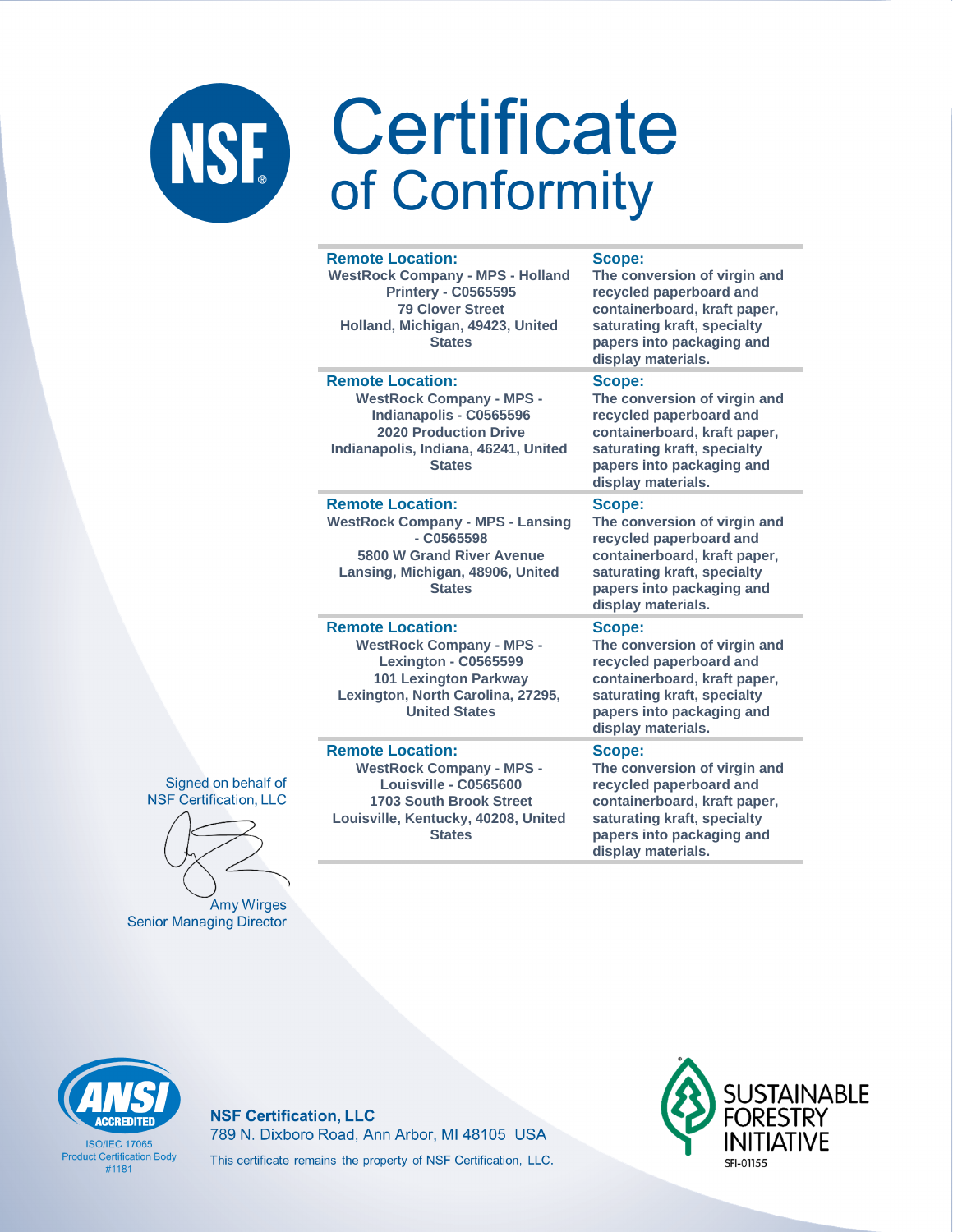| <b>Remote Location:</b><br><b>WestRock Company - MPS - Holland</b><br><b>Printery - C0565595</b><br><b>79 Clover Street</b><br>Holland, Michigan, 49423, United<br><b>States</b>       | Scope:<br>The conversion of virgin and<br>recycled paperboard and<br>containerboard, kraft paper,<br>saturating kraft, specialty<br>papers into packaging and<br>display materials. |
|----------------------------------------------------------------------------------------------------------------------------------------------------------------------------------------|-------------------------------------------------------------------------------------------------------------------------------------------------------------------------------------|
| <b>Remote Location:</b><br><b>WestRock Company - MPS -</b><br>Indianapolis - C0565596<br><b>2020 Production Drive</b><br>Indianapolis, Indiana, 46241, United<br><b>States</b>         | Scope:<br>The conversion of virgin and<br>recycled paperboard and<br>containerboard, kraft paper,<br>saturating kraft, specialty<br>papers into packaging and<br>display materials. |
| <b>Remote Location:</b><br><b>WestRock Company - MPS - Lansing</b><br>$ C0565598$<br>5800 W Grand River Avenue<br>Lansing, Michigan, 48906, United<br><b>States</b>                    | Scope:<br>The conversion of virgin and<br>recycled paperboard and<br>containerboard, kraft paper,<br>saturating kraft, specialty<br>papers into packaging and<br>display materials. |
| <b>Remote Location:</b><br><b>WestRock Company - MPS -</b><br><b>Lexington - C0565599</b><br><b>101 Lexington Parkway</b><br>Lexington, North Carolina, 27295,<br><b>United States</b> | Scope:<br>The conversion of virgin and<br>recycled paperboard and<br>containerboard, kraft paper,<br>saturating kraft, specialty<br>papers into packaging and<br>display materials. |
| <b>Remote Location:</b><br><b>WestRock Company - MPS -</b><br>Louisville - C0565600<br><b>1703 South Brook Street</b><br>Louisville, Kentucky, 40208, United<br><b>States</b>          | Scope:<br>The conversion of virgin and<br>recycled paperboard and<br>containerboard, kraft paper,<br>saturating kraft, specialty<br>papers into packaging and                       |





Amy Wirges **Senior Managing Director** 

**CCREDITED** 

**ISO/IFC 17065 Product Certification Body** 

 $#1181$ 

**NSF Certification, LLC** 789 N. Dixboro Road, Ann Arbor, MI 48105 USA This certificate remains the property of NSF Certification, LLC.



display materials.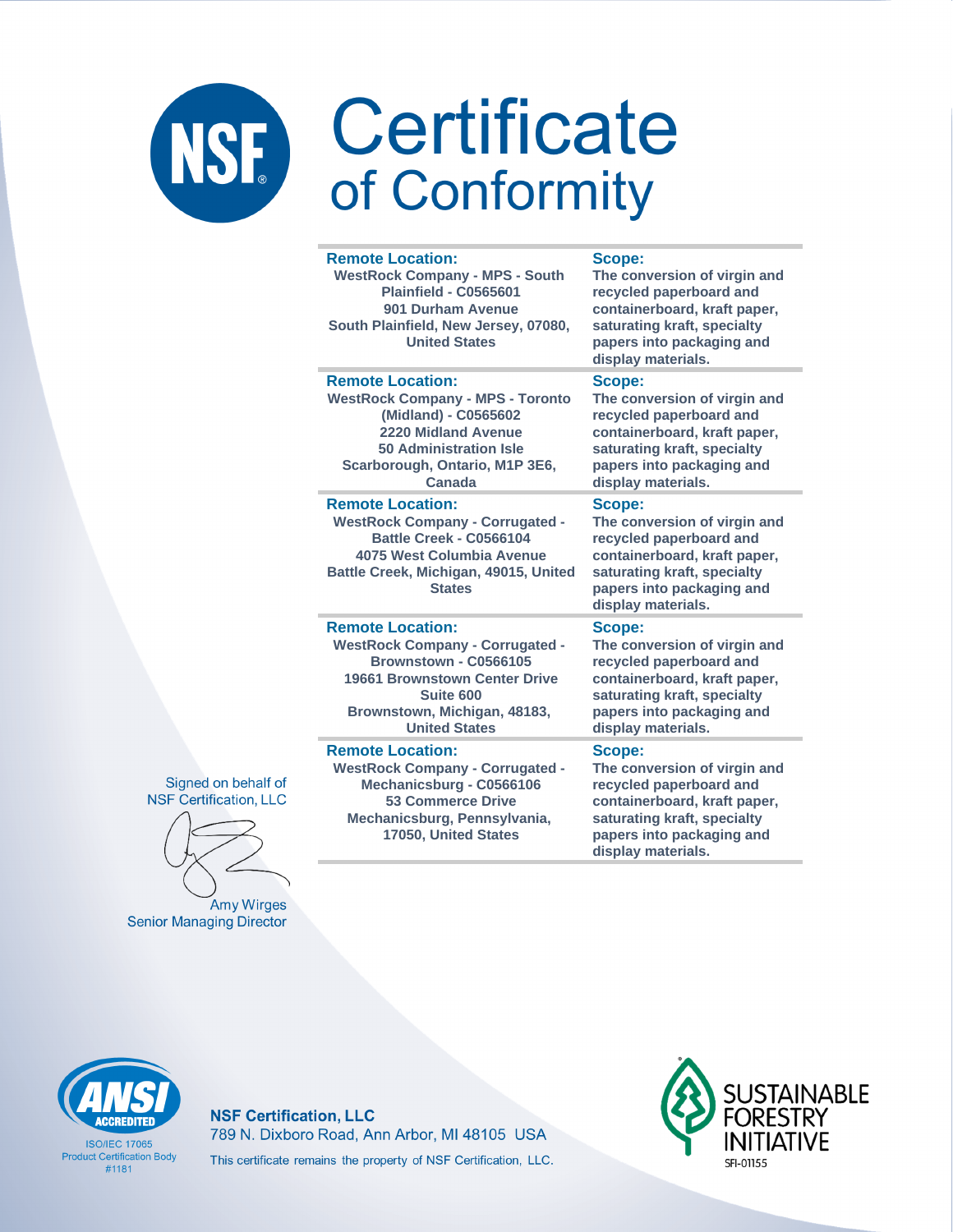**Remote Location:** 

|  | <b>WestRock Company - MPS - South</b><br><b>Plainfield - C0565601</b><br>901 Durham Avenue<br>South Plainfield, New Jersey, 07080,<br><b>United States</b>                                              | The conversion of virgin and<br>recycled paperboard and<br>containerboard, kraft paper,<br>saturating kraft, specialty<br>papers into packaging and<br>display materials.                  |
|--|---------------------------------------------------------------------------------------------------------------------------------------------------------------------------------------------------------|--------------------------------------------------------------------------------------------------------------------------------------------------------------------------------------------|
|  | <b>Remote Location:</b><br><b>WestRock Company - MPS - Toronto</b><br>(Midland) - C0565602<br>2220 Midland Avenue<br><b>50 Administration Isle</b><br>Scarborough, Ontario, M1P 3E6,<br>Canada          | Scope:<br>The conversion of virgin and<br>recycled paperboard and<br>containerboard, kraft paper,<br>saturating kraft, specialty<br>papers into packaging and<br>display materials.        |
|  | <b>Remote Location:</b><br><b>WestRock Company - Corrugated -</b><br>Battle Creek - C0566104<br>4075 West Columbia Avenue<br>Battle Creek, Michigan, 49015, United<br><b>States</b>                     | Scope:<br>The conversion of virgin and<br>recycled paperboard and<br>containerboard, kraft paper,<br>saturating kraft, specialty<br>papers into packaging and<br>display materials.        |
|  | <b>Remote Location:</b><br><b>WestRock Company - Corrugated -</b><br>Brownstown - C0566105<br><b>19661 Brownstown Center Drive</b><br>Suite 600<br>Brownstown, Michigan, 48183,<br><b>United States</b> | <b>Scope:</b><br>The conversion of virgin and<br>recycled paperboard and<br>containerboard, kraft paper,<br>saturating kraft, specialty<br>papers into packaging and<br>display materials. |
|  | <b>Remote Location:</b><br><b>WestRock Company - Corrugated -</b><br>Mechanicsburg - C0566106<br><b>53 Commerce Drive</b><br>Mechanicsburg, Pennsylvania,<br>17050, United States                       | Scope:<br>The conversion of virgin and<br>recycled paperboard and<br>containerboard, kraft paper,<br>saturating kraft, specialty<br>papers into packaging and                              |

Scope:

display materials.

Signed on behalf of **NSF Certification, LLC** 

Amy Wirges **Senior Managing Director** 

**ISO/IEC 17065 Product Certification Body**  $#1181$ 

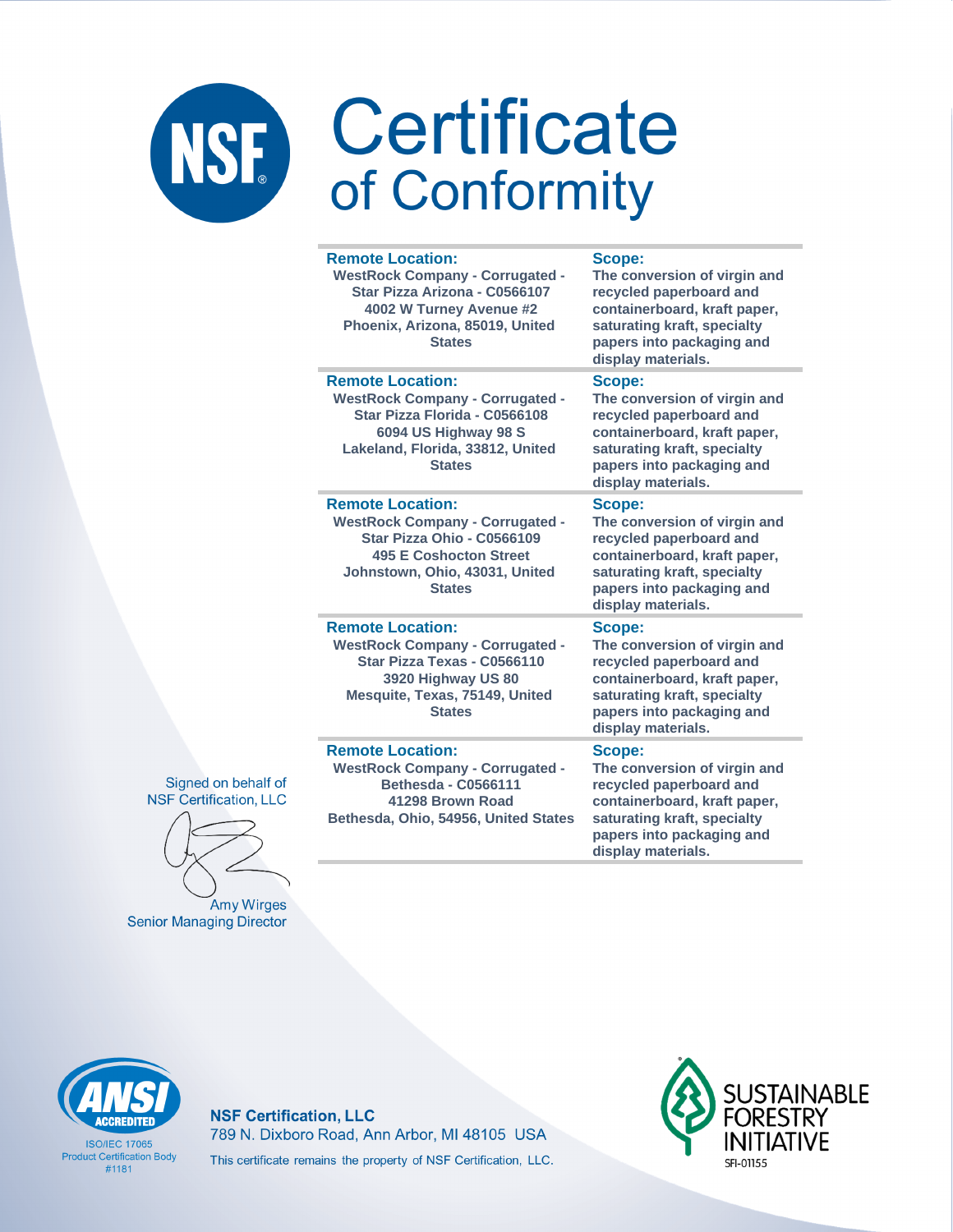| <b>Remote Location:</b><br><b>WestRock Company - Corrugated -</b><br>Star Pizza Arizona - C0566107<br>4002 W Turney Avenue #2<br>Phoenix, Arizona, 85019, United<br><b>States</b>   | Scope:<br>The conversion of virgin and<br>recycled paperboard and<br>containerboard, kraft paper,<br>saturating kraft, specialty<br>papers into packaging and<br>display materials. |
|-------------------------------------------------------------------------------------------------------------------------------------------------------------------------------------|-------------------------------------------------------------------------------------------------------------------------------------------------------------------------------------|
| <b>Remote Location:</b><br><b>WestRock Company - Corrugated -</b><br>Star Pizza Florida - C0566108<br>6094 US Highway 98 S<br>Lakeland, Florida, 33812, United<br><b>States</b>     | Scope:<br>The conversion of virgin and<br>recycled paperboard and<br>containerboard, kraft paper,<br>saturating kraft, specialty<br>papers into packaging and<br>display materials. |
| <b>Remote Location:</b><br><b>WestRock Company - Corrugated -</b><br>Star Pizza Ohio - C0566109<br><b>495 E Coshocton Street</b><br>Johnstown, Ohio, 43031, United<br><b>States</b> | Scope:<br>The conversion of virgin and<br>recycled paperboard and<br>containerboard, kraft paper,<br>saturating kraft, specialty<br>papers into packaging and<br>display materials. |
| <b>Remote Location:</b><br><b>WestRock Company - Corrugated -</b><br>Star Pizza Texas - C0566110<br>3920 Highway US 80<br>Mesquite, Texas, 75149, United<br><b>States</b>           | Scope:<br>The conversion of virgin and<br>recycled paperboard and<br>containerboard, kraft paper,<br>saturating kraft, specialty<br>papers into packaging and<br>display materials. |
| <b>Remote Location:</b><br><b>WestRock Company - Corrugated -</b><br><b>Bethesda - C0566111</b><br>41298 Brown Road<br>Bethesda, Ohio, 54956, United States                         | <b>Scope:</b><br>The conversion of virgin and<br>recycled paperboard and<br>containerboard, kraft paper,<br>saturating kraft, specialty<br>papers into packaging and                |

display materials.

Signed on behalf of **NSF Certification, LLC** 

Amy Wirges **Senior Managing Director** 



**ISO/IFC 17065 Product Certification Body** #1181